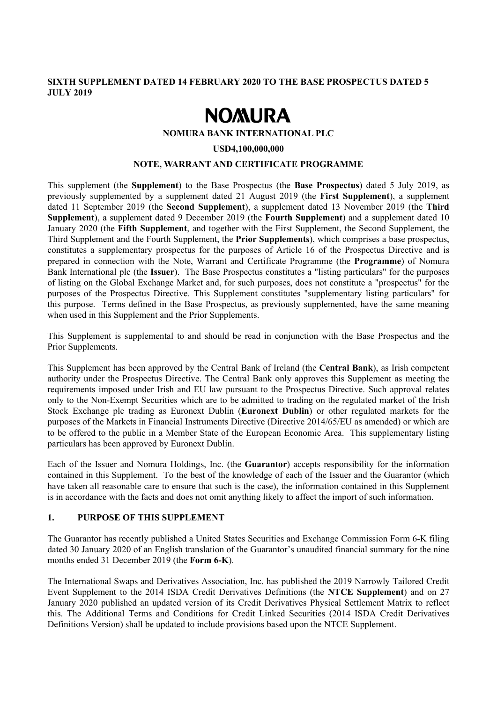## **SIXTH SUPPLEMENT DATED 14 FEBRUARY 2020 TO THE BASE PROSPECTUS DATED 5 JULY 2019**

# **NOMURA**

#### **NOMURA BANK INTERNATIONAL PLC**

#### **USD4,100,000,000**

#### **NOTE, WARRANT AND CERTIFICATE PROGRAMME**

This supplement (the **Supplement**) to the Base Prospectus (the **Base Prospectus**) dated 5 July 2019, as previously supplemented by a supplement dated 21 August 2019 (the **First Supplement**), a supplement dated 11 September 2019 (the **Second Supplement**), a supplement dated 13 November 2019 (the **Third Supplement**), a supplement dated 9 December 2019 (the **Fourth Supplement**) and a supplement dated 10 January 2020 (the **Fifth Supplement**, and together with the First Supplement, the Second Supplement, the Third Supplement and the Fourth Supplement, the **Prior Supplements**), which comprises a base prospectus, constitutes a supplementary prospectus for the purposes of Article 16 of the Prospectus Directive and is prepared in connection with the Note, Warrant and Certificate Programme (the **Programme**) of Nomura Bank International plc (the **Issuer**). The Base Prospectus constitutes a "listing particulars" for the purposes of listing on the Global Exchange Market and, for such purposes, does not constitute a "prospectus" for the purposes of the Prospectus Directive. This Supplement constitutes "supplementary listing particulars" for this purpose. Terms defined in the Base Prospectus, as previously supplemented, have the same meaning when used in this Supplement and the Prior Supplements.

This Supplement is supplemental to and should be read in conjunction with the Base Prospectus and the Prior Supplements.

This Supplement has been approved by the Central Bank of Ireland (the **Central Bank**), as Irish competent authority under the Prospectus Directive. The Central Bank only approves this Supplement as meeting the requirements imposed under Irish and EU law pursuant to the Prospectus Directive. Such approval relates only to the Non-Exempt Securities which are to be admitted to trading on the regulated market of the Irish Stock Exchange plc trading as Euronext Dublin (**Euronext Dublin**) or other regulated markets for the purposes of the Markets in Financial Instruments Directive (Directive 2014/65/EU as amended) or which are to be offered to the public in a Member State of the European Economic Area. This supplementary listing particulars has been approved by Euronext Dublin.

Each of the Issuer and Nomura Holdings, Inc. (the **Guarantor**) accepts responsibility for the information contained in this Supplement. To the best of the knowledge of each of the Issuer and the Guarantor (which have taken all reasonable care to ensure that such is the case), the information contained in this Supplement is in accordance with the facts and does not omit anything likely to affect the import of such information.

#### **1. PURPOSE OF THIS SUPPLEMENT**

The Guarantor has recently published a United States Securities and Exchange Commission Form 6-K filing dated 30 January 2020 of an English translation of the Guarantor's unaudited financial summary for the nine months ended 31 December 2019 (the **Form 6-K**).

The International Swaps and Derivatives Association, Inc. has published the 2019 Narrowly Tailored Credit Event Supplement to the 2014 ISDA Credit Derivatives Definitions (the **NTCE Supplement**) and on 27 January 2020 published an updated version of its Credit Derivatives Physical Settlement Matrix to reflect this. The Additional Terms and Conditions for Credit Linked Securities (2014 ISDA Credit Derivatives Definitions Version) shall be updated to include provisions based upon the NTCE Supplement.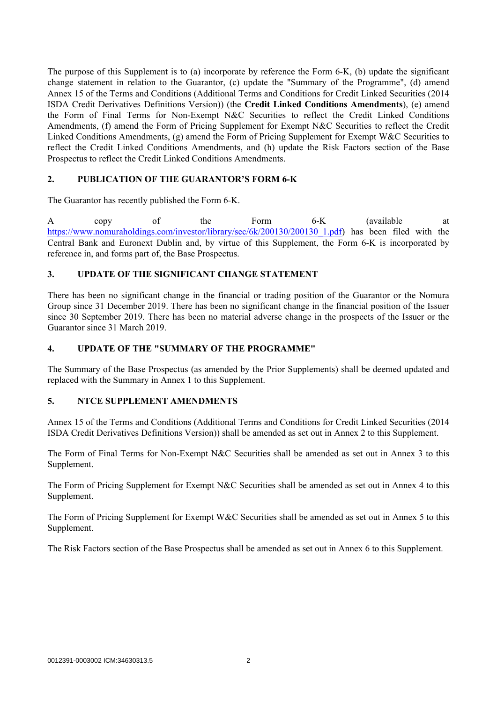The purpose of this Supplement is to (a) incorporate by reference the Form 6-K, (b) update the significant change statement in relation to the Guarantor, (c) update the "Summary of the Programme", (d) amend Annex 15 of the Terms and Conditions (Additional Terms and Conditions for Credit Linked Securities (2014 ISDA Credit Derivatives Definitions Version)) (the **Credit Linked Conditions Amendments**), (e) amend the Form of Final Terms for Non-Exempt N&C Securities to reflect the Credit Linked Conditions Amendments, (f) amend the Form of Pricing Supplement for Exempt N&C Securities to reflect the Credit Linked Conditions Amendments, (g) amend the Form of Pricing Supplement for Exempt W&C Securities to reflect the Credit Linked Conditions Amendments, and (h) update the Risk Factors section of the Base Prospectus to reflect the Credit Linked Conditions Amendments.

# **2. PUBLICATION OF THE GUARANTOR'S FORM 6-K**

The Guarantor has recently published the Form 6-K.

A copy of the Form 6-K (available at https://www.nomuraholdings.com/investor/library/sec/6k/200130/200130\_1.pdf) has been filed with the Central Bank and Euronext Dublin and, by virtue of this Supplement, the Form 6-K is incorporated by reference in, and forms part of, the Base Prospectus.

# **3. UPDATE OF THE SIGNIFICANT CHANGE STATEMENT**

There has been no significant change in the financial or trading position of the Guarantor or the Nomura Group since 31 December 2019. There has been no significant change in the financial position of the Issuer since 30 September 2019. There has been no material adverse change in the prospects of the Issuer or the Guarantor since 31 March 2019.

#### **4. UPDATE OF THE "SUMMARY OF THE PROGRAMME"**

The Summary of the Base Prospectus (as amended by the Prior Supplements) shall be deemed updated and replaced with the Summary in Annex 1 to this Supplement.

#### **5. NTCE SUPPLEMENT AMENDMENTS**

Annex 15 of the Terms and Conditions (Additional Terms and Conditions for Credit Linked Securities (2014 ISDA Credit Derivatives Definitions Version)) shall be amended as set out in Annex 2 to this Supplement.

The Form of Final Terms for Non-Exempt N&C Securities shall be amended as set out in Annex 3 to this Supplement.

The Form of Pricing Supplement for Exempt N&C Securities shall be amended as set out in Annex 4 to this Supplement.

The Form of Pricing Supplement for Exempt W&C Securities shall be amended as set out in Annex 5 to this Supplement.

The Risk Factors section of the Base Prospectus shall be amended as set out in Annex 6 to this Supplement.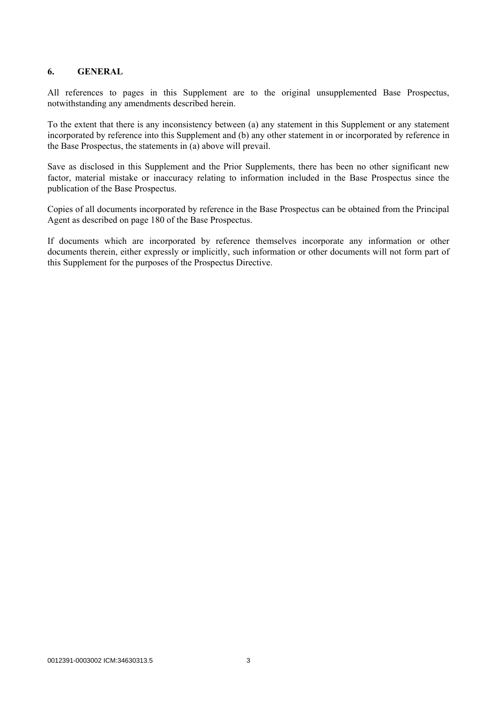## **6. GENERAL**

All references to pages in this Supplement are to the original unsupplemented Base Prospectus, notwithstanding any amendments described herein.

To the extent that there is any inconsistency between (a) any statement in this Supplement or any statement incorporated by reference into this Supplement and (b) any other statement in or incorporated by reference in the Base Prospectus, the statements in (a) above will prevail.

Save as disclosed in this Supplement and the Prior Supplements, there has been no other significant new factor, material mistake or inaccuracy relating to information included in the Base Prospectus since the publication of the Base Prospectus.

Copies of all documents incorporated by reference in the Base Prospectus can be obtained from the Principal Agent as described on page 180 of the Base Prospectus.

If documents which are incorporated by reference themselves incorporate any information or other documents therein, either expressly or implicitly, such information or other documents will not form part of this Supplement for the purposes of the Prospectus Directive.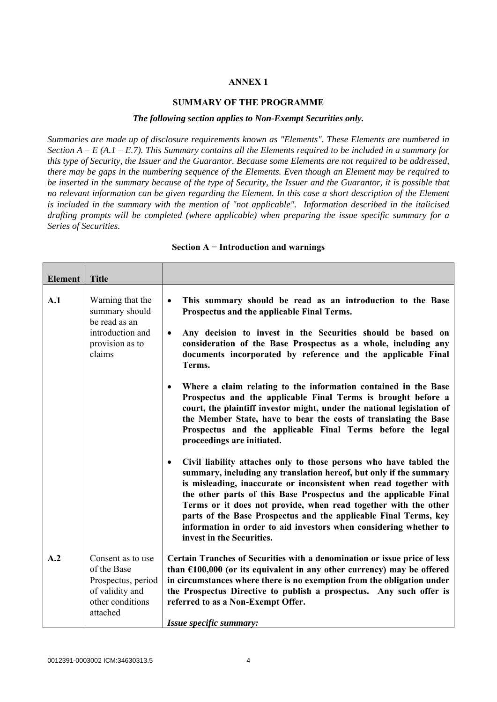# **ANNEX 1**

#### **SUMMARY OF THE PROGRAMME**

#### *The following section applies to Non-Exempt Securities only.*

*Summaries are made up of disclosure requirements known as "Elements". These Elements are numbered in Section A – E (A.1 – E.7). This Summary contains all the Elements required to be included in a summary for this type of Security, the Issuer and the Guarantor. Because some Elements are not required to be addressed, there may be gaps in the numbering sequence of the Elements. Even though an Element may be required to be inserted in the summary because of the type of Security, the Issuer and the Guarantor, it is possible that no relevant information can be given regarding the Element. In this case a short description of the Element is included in the summary with the mention of "not applicable". Information described in the italicised drafting prompts will be completed (where applicable) when preparing the issue specific summary for a Series of Securities.*

| <b>Element</b> | <b>Title</b>                                                                                              |                                                                                                                                                                                                                                                                                                                                                                                                                                                                                                                                                                                                                                                                                                            |
|----------------|-----------------------------------------------------------------------------------------------------------|------------------------------------------------------------------------------------------------------------------------------------------------------------------------------------------------------------------------------------------------------------------------------------------------------------------------------------------------------------------------------------------------------------------------------------------------------------------------------------------------------------------------------------------------------------------------------------------------------------------------------------------------------------------------------------------------------------|
| A.1            | Warning that the<br>summary should<br>be read as an<br>introduction and<br>provision as to<br>claims      | This summary should be read as an introduction to the Base<br>$\bullet$<br>Prospectus and the applicable Final Terms.<br>Any decision to invest in the Securities should be based on<br>$\bullet$<br>consideration of the Base Prospectus as a whole, including any<br>documents incorporated by reference and the applicable Final<br>Terms.<br>Where a claim relating to the information contained in the Base<br>$\bullet$<br>Prospectus and the applicable Final Terms is brought before a<br>court, the plaintiff investor might, under the national legislation of<br>the Member State, have to bear the costs of translating the Base<br>Prospectus and the applicable Final Terms before the legal |
|                |                                                                                                           | proceedings are initiated.<br>Civil liability attaches only to those persons who have tabled the<br>$\bullet$<br>summary, including any translation hereof, but only if the summary<br>is misleading, inaccurate or inconsistent when read together with<br>the other parts of this Base Prospectus and the applicable Final<br>Terms or it does not provide, when read together with the other<br>parts of the Base Prospectus and the applicable Final Terms, key<br>information in order to aid investors when considering whether to<br>invest in the Securities.                                                                                                                                      |
| A.2            | Consent as to use<br>of the Base<br>Prospectus, period<br>of validity and<br>other conditions<br>attached | Certain Tranches of Securities with a denomination or issue price of less<br>than $£100,000$ (or its equivalent in any other currency) may be offered<br>in circumstances where there is no exemption from the obligation under<br>the Prospectus Directive to publish a prospectus. Any such offer is<br>referred to as a Non-Exempt Offer.<br>Issue specific summary:                                                                                                                                                                                                                                                                                                                                    |

#### **Section A − Introduction and warnings**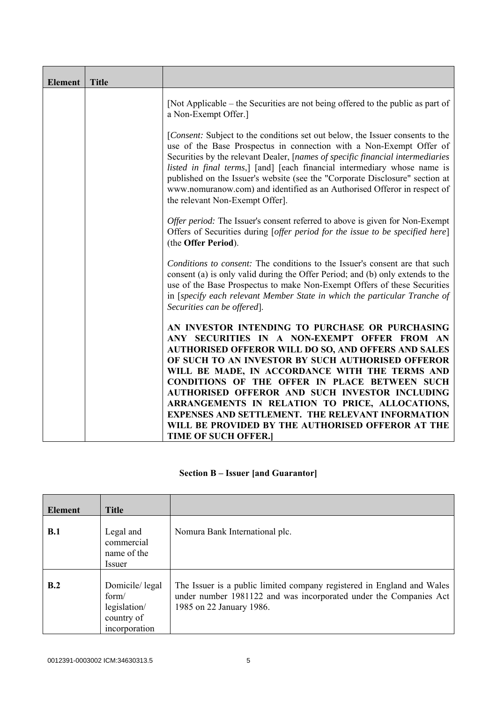| <b>Element</b> | <b>Title</b> |                                                                                                                                                                                                                                                                                                                                                                                                                                                                                                                           |
|----------------|--------------|---------------------------------------------------------------------------------------------------------------------------------------------------------------------------------------------------------------------------------------------------------------------------------------------------------------------------------------------------------------------------------------------------------------------------------------------------------------------------------------------------------------------------|
|                |              | [Not Applicable – the Securities are not being offered to the public as part of<br>a Non-Exempt Offer.]                                                                                                                                                                                                                                                                                                                                                                                                                   |
|                |              | [ <i>Consent:</i> Subject to the conditions set out below, the Issuer consents to the<br>use of the Base Prospectus in connection with a Non-Exempt Offer of<br>Securities by the relevant Dealer, [names of specific financial intermediaries<br>listed in final terms,] [and] [each financial intermediary whose name is<br>published on the Issuer's website (see the "Corporate Disclosure" section at<br>www.nomuranow.com) and identified as an Authorised Offeror in respect of<br>the relevant Non-Exempt Offer]. |
|                |              | Offer period: The Issuer's consent referred to above is given for Non-Exempt<br>Offers of Securities during [offer period for the issue to be specified here]<br>(the Offer Period).                                                                                                                                                                                                                                                                                                                                      |
|                |              | Conditions to consent: The conditions to the Issuer's consent are that such<br>consent (a) is only valid during the Offer Period; and (b) only extends to the<br>use of the Base Prospectus to make Non-Exempt Offers of these Securities<br>in [specify each relevant Member State in which the particular Tranche of<br>Securities can be offered.                                                                                                                                                                      |
|                |              | AN INVESTOR INTENDING TO PURCHASE OR PURCHASING<br>ANY SECURITIES IN A NON-EXEMPT OFFER FROM AN<br><b>AUTHORISED OFFEROR WILL DO SO, AND OFFERS AND SALES</b><br>OF SUCH TO AN INVESTOR BY SUCH AUTHORISED OFFEROR<br>WILL BE MADE, IN ACCORDANCE WITH THE TERMS AND<br><b>CONDITIONS OF THE OFFER IN PLACE BETWEEN SUCH</b>                                                                                                                                                                                              |
|                |              | <b>AUTHORISED OFFEROR AND SUCH INVESTOR INCLUDING</b><br>ARRANGEMENTS IN RELATION TO PRICE, ALLOCATIONS,                                                                                                                                                                                                                                                                                                                                                                                                                  |
|                |              | <b>EXPENSES AND SETTLEMENT. THE RELEVANT INFORMATION</b><br>WILL BE PROVIDED BY THE AUTHORISED OFFEROR AT THE                                                                                                                                                                                                                                                                                                                                                                                                             |
|                |              | <b>TIME OF SUCH OFFER.</b>                                                                                                                                                                                                                                                                                                                                                                                                                                                                                                |

# **Section B – Issuer [and Guarantor]**

| <b>Element</b> | <b>Title</b>                                                           |                                                                                                                                                                         |
|----------------|------------------------------------------------------------------------|-------------------------------------------------------------------------------------------------------------------------------------------------------------------------|
| B.1            | Legal and<br>commercial<br>name of the<br>Issuer                       | Nomura Bank International plc.                                                                                                                                          |
| B.2            | Domicile/legal<br>form/<br>legislation/<br>country of<br>incorporation | The Issuer is a public limited company registered in England and Wales<br>under number 1981122 and was incorporated under the Companies Act<br>1985 on 22 January 1986. |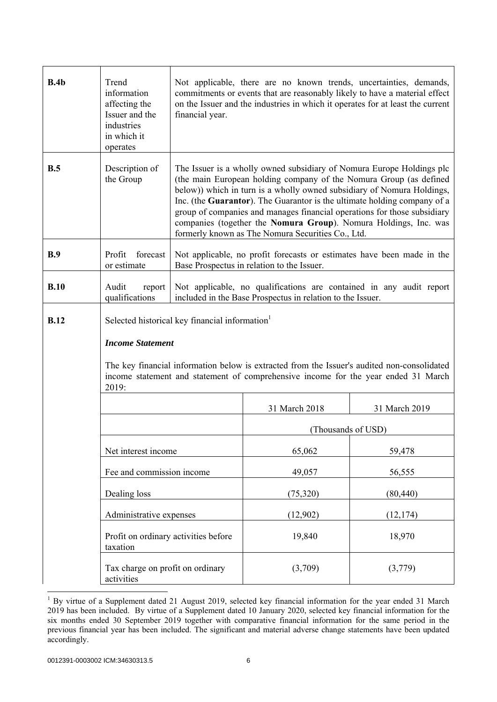| B.4b        | Trend<br>information<br>affecting the<br>Issuer and the<br>industries<br>in which it<br>operates                                                                                           | financial year.                                                                                                                                                                                                                                                                                                                                                                                                                                                                                        | Not applicable, there are no known trends, uncertainties, demands,<br>commitments or events that are reasonably likely to have a material effect<br>on the Issuer and the industries in which it operates for at least the current |               |
|-------------|--------------------------------------------------------------------------------------------------------------------------------------------------------------------------------------------|--------------------------------------------------------------------------------------------------------------------------------------------------------------------------------------------------------------------------------------------------------------------------------------------------------------------------------------------------------------------------------------------------------------------------------------------------------------------------------------------------------|------------------------------------------------------------------------------------------------------------------------------------------------------------------------------------------------------------------------------------|---------------|
| B.5         | Description of<br>the Group                                                                                                                                                                | The Issuer is a wholly owned subsidiary of Nomura Europe Holdings plc<br>(the main European holding company of the Nomura Group (as defined<br>below)) which in turn is a wholly owned subsidiary of Nomura Holdings,<br>Inc. (the Guarantor). The Guarantor is the ultimate holding company of a<br>group of companies and manages financial operations for those subsidiary<br>companies (together the Nomura Group). Nomura Holdings, Inc. was<br>formerly known as The Nomura Securities Co., Ltd. |                                                                                                                                                                                                                                    |               |
| B.9         | Profit<br>forecast<br>or estimate                                                                                                                                                          |                                                                                                                                                                                                                                                                                                                                                                                                                                                                                                        | Not applicable, no profit forecasts or estimates have been made in the<br>Base Prospectus in relation to the Issuer.                                                                                                               |               |
| B.10        | Audit<br>report<br>qualifications                                                                                                                                                          |                                                                                                                                                                                                                                                                                                                                                                                                                                                                                                        | Not applicable, no qualifications are contained in any audit report<br>included in the Base Prospectus in relation to the Issuer.                                                                                                  |               |
| <b>B.12</b> |                                                                                                                                                                                            | Selected historical key financial information <sup>1</sup>                                                                                                                                                                                                                                                                                                                                                                                                                                             |                                                                                                                                                                                                                                    |               |
|             | <b>Income Statement</b>                                                                                                                                                                    |                                                                                                                                                                                                                                                                                                                                                                                                                                                                                                        |                                                                                                                                                                                                                                    |               |
|             | The key financial information below is extracted from the Issuer's audited non-consolidated<br>income statement and statement of comprehensive income for the year ended 31 March<br>2019: |                                                                                                                                                                                                                                                                                                                                                                                                                                                                                                        |                                                                                                                                                                                                                                    |               |
|             |                                                                                                                                                                                            |                                                                                                                                                                                                                                                                                                                                                                                                                                                                                                        | 31 March 2018                                                                                                                                                                                                                      | 31 March 2019 |
|             |                                                                                                                                                                                            |                                                                                                                                                                                                                                                                                                                                                                                                                                                                                                        | (Thousands of USD)                                                                                                                                                                                                                 |               |
|             | Net interest income                                                                                                                                                                        |                                                                                                                                                                                                                                                                                                                                                                                                                                                                                                        | 65,062                                                                                                                                                                                                                             | 59,478        |
|             | Fee and commission income                                                                                                                                                                  |                                                                                                                                                                                                                                                                                                                                                                                                                                                                                                        | 49,057                                                                                                                                                                                                                             | 56,555        |
|             | Dealing loss                                                                                                                                                                               |                                                                                                                                                                                                                                                                                                                                                                                                                                                                                                        | (75,320)                                                                                                                                                                                                                           | (80, 440)     |
|             | Administrative expenses                                                                                                                                                                    |                                                                                                                                                                                                                                                                                                                                                                                                                                                                                                        | (12,902)                                                                                                                                                                                                                           | (12, 174)     |
|             | Profit on ordinary activities before<br>taxation                                                                                                                                           |                                                                                                                                                                                                                                                                                                                                                                                                                                                                                                        | 19,840                                                                                                                                                                                                                             | 18,970        |
|             | Tax charge on profit on ordinary<br>activities                                                                                                                                             |                                                                                                                                                                                                                                                                                                                                                                                                                                                                                                        | (3,709)                                                                                                                                                                                                                            | (3,779)       |

<sup>&</sup>lt;sup>1</sup> By virtue of a Supplement dated 21 August 2019, selected key financial information for the year ended 31 March 2019 has been included. By virtue of a Supplement dated 10 January 2020, selected key financial information for the six months ended 30 September 2019 together with comparative financial information for the same period in the previous financial year has been included. The significant and material adverse change statements have been updated accordingly.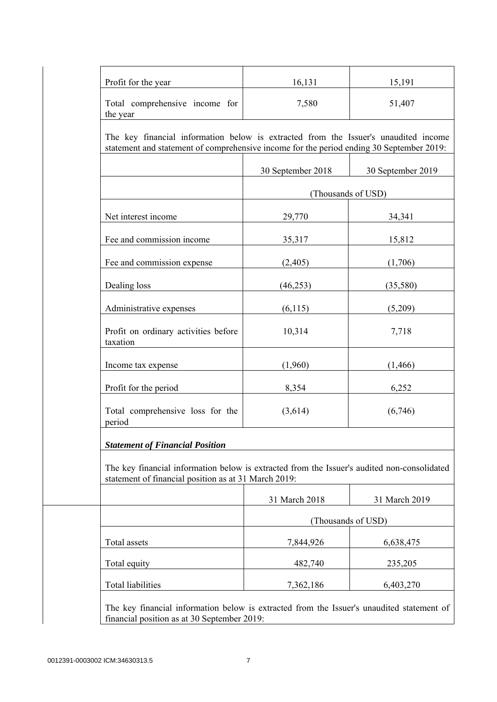| Profit for the year                                                                                                                                                             | 16,131             | 15,191            |  |  |
|---------------------------------------------------------------------------------------------------------------------------------------------------------------------------------|--------------------|-------------------|--|--|
| Total comprehensive income for<br>the year                                                                                                                                      | 7,580              | 51,407            |  |  |
| The key financial information below is extracted from the Issuer's unaudited income<br>statement and statement of comprehensive income for the period ending 30 September 2019: |                    |                   |  |  |
|                                                                                                                                                                                 | 30 September 2018  | 30 September 2019 |  |  |
|                                                                                                                                                                                 | (Thousands of USD) |                   |  |  |
| Net interest income                                                                                                                                                             | 29,770             | 34,341            |  |  |
| Fee and commission income                                                                                                                                                       | 35,317             | 15,812            |  |  |
| Fee and commission expense                                                                                                                                                      | (2,405)            | (1,706)           |  |  |
| Dealing loss                                                                                                                                                                    | (46, 253)          | (35,580)          |  |  |
| Administrative expenses                                                                                                                                                         | (6, 115)           | (5,209)           |  |  |
| Profit on ordinary activities before<br>taxation                                                                                                                                | 10,314             | 7,718             |  |  |
| Income tax expense                                                                                                                                                              | (1,960)            | (1, 466)          |  |  |
| Profit for the period                                                                                                                                                           | 8,354              | 6,252             |  |  |
| Total comprehensive loss for the<br>period                                                                                                                                      | (3,614)            | (6,746)           |  |  |
| <b>Statement of Financial Position</b>                                                                                                                                          |                    |                   |  |  |
| The key financial information below is extracted from the Issuer's audited non-consolidated<br>statement of financial position as at 31 March 2019:                             |                    |                   |  |  |
|                                                                                                                                                                                 | 31 March 2018      | 31 March 2019     |  |  |
|                                                                                                                                                                                 | (Thousands of USD) |                   |  |  |
| Total assets                                                                                                                                                                    | 7,844,926          | 6,638,475         |  |  |
| Total equity                                                                                                                                                                    | 482,740            | 235,205           |  |  |
|                                                                                                                                                                                 | 7,362,186          | 6,403,270         |  |  |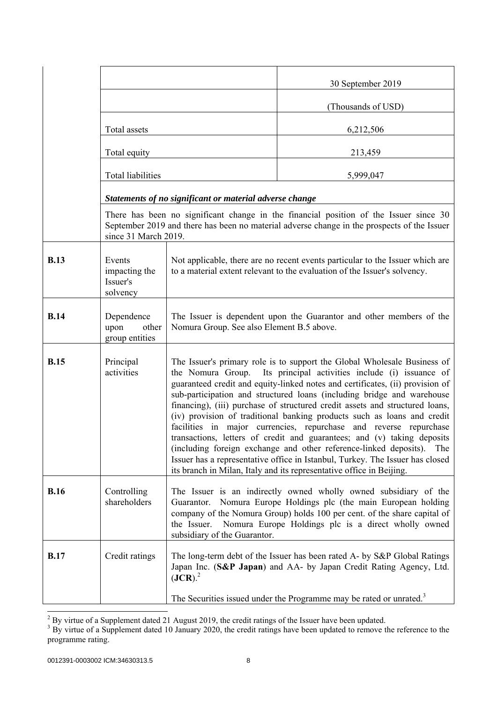|             |                                                 |                                                                                                                                                                                                                                                                                                                                                                                                                                                                                                                                                                                                                                                                                                                                                                                                                                                           | 30 September 2019                                                                                                                                                                                                                                            |
|-------------|-------------------------------------------------|-----------------------------------------------------------------------------------------------------------------------------------------------------------------------------------------------------------------------------------------------------------------------------------------------------------------------------------------------------------------------------------------------------------------------------------------------------------------------------------------------------------------------------------------------------------------------------------------------------------------------------------------------------------------------------------------------------------------------------------------------------------------------------------------------------------------------------------------------------------|--------------------------------------------------------------------------------------------------------------------------------------------------------------------------------------------------------------------------------------------------------------|
|             |                                                 |                                                                                                                                                                                                                                                                                                                                                                                                                                                                                                                                                                                                                                                                                                                                                                                                                                                           | (Thousands of USD)                                                                                                                                                                                                                                           |
|             | Total assets                                    |                                                                                                                                                                                                                                                                                                                                                                                                                                                                                                                                                                                                                                                                                                                                                                                                                                                           | 6,212,506                                                                                                                                                                                                                                                    |
|             | Total equity                                    |                                                                                                                                                                                                                                                                                                                                                                                                                                                                                                                                                                                                                                                                                                                                                                                                                                                           | 213,459                                                                                                                                                                                                                                                      |
|             | <b>Total liabilities</b>                        |                                                                                                                                                                                                                                                                                                                                                                                                                                                                                                                                                                                                                                                                                                                                                                                                                                                           | 5,999,047                                                                                                                                                                                                                                                    |
|             |                                                 | Statements of no significant or material adverse change                                                                                                                                                                                                                                                                                                                                                                                                                                                                                                                                                                                                                                                                                                                                                                                                   |                                                                                                                                                                                                                                                              |
|             | since 31 March 2019.                            |                                                                                                                                                                                                                                                                                                                                                                                                                                                                                                                                                                                                                                                                                                                                                                                                                                                           | There has been no significant change in the financial position of the Issuer since 30<br>September 2019 and there has been no material adverse change in the prospects of the Issuer                                                                         |
| <b>B.13</b> | Events<br>impacting the<br>Issuer's<br>solvency |                                                                                                                                                                                                                                                                                                                                                                                                                                                                                                                                                                                                                                                                                                                                                                                                                                                           | Not applicable, there are no recent events particular to the Issuer which are<br>to a material extent relevant to the evaluation of the Issuer's solvency.                                                                                                   |
| <b>B.14</b> | Dependence<br>upon<br>other<br>group entities   | Nomura Group. See also Element B.5 above.                                                                                                                                                                                                                                                                                                                                                                                                                                                                                                                                                                                                                                                                                                                                                                                                                 | The Issuer is dependent upon the Guarantor and other members of the                                                                                                                                                                                          |
| <b>B.15</b> | Principal<br>activities                         | The Issuer's primary role is to support the Global Wholesale Business of<br>the Nomura Group. Its principal activities include (i) issuance of<br>guaranteed credit and equity-linked notes and certificates, (ii) provision of<br>sub-participation and structured loans (including bridge and warehouse<br>financing), (iii) purchase of structured credit assets and structured loans,<br>(iv) provision of traditional banking products such as loans and credit<br>facilities in major currencies, repurchase and reverse repurchase<br>transactions, letters of credit and guarantees; and (v) taking deposits<br>(including foreign exchange and other reference-linked deposits).<br>The<br>Issuer has a representative office in Istanbul, Turkey. The Issuer has closed<br>its branch in Milan, Italy and its representative office in Beijing. |                                                                                                                                                                                                                                                              |
| <b>B.16</b> | Controlling<br>shareholders                     | Guarantor.<br>the Issuer.<br>subsidiary of the Guarantor.                                                                                                                                                                                                                                                                                                                                                                                                                                                                                                                                                                                                                                                                                                                                                                                                 | The Issuer is an indirectly owned wholly owned subsidiary of the<br>Nomura Europe Holdings plc (the main European holding<br>company of the Nomura Group) holds 100 per cent. of the share capital of<br>Nomura Europe Holdings plc is a direct wholly owned |
| <b>B.17</b> | Credit ratings                                  | $(JCR)$ <sup>2</sup>                                                                                                                                                                                                                                                                                                                                                                                                                                                                                                                                                                                                                                                                                                                                                                                                                                      | The long-term debt of the Issuer has been rated A- by S&P Global Ratings<br>Japan Inc. (S&P Japan) and AA- by Japan Credit Rating Agency, Ltd.                                                                                                               |
|             |                                                 |                                                                                                                                                                                                                                                                                                                                                                                                                                                                                                                                                                                                                                                                                                                                                                                                                                                           | The Securities issued under the Programme may be rated or unrated. <sup>3</sup>                                                                                                                                                                              |

 $\frac{2}{3}$  By virtue of a Supplement dated 21 August 2019, the credit ratings of the Issuer have been updated.<br><sup>3</sup> By virtue of a Supplement dated 10 January 2020, the credit ratings have been updated to remove the referen programme rating.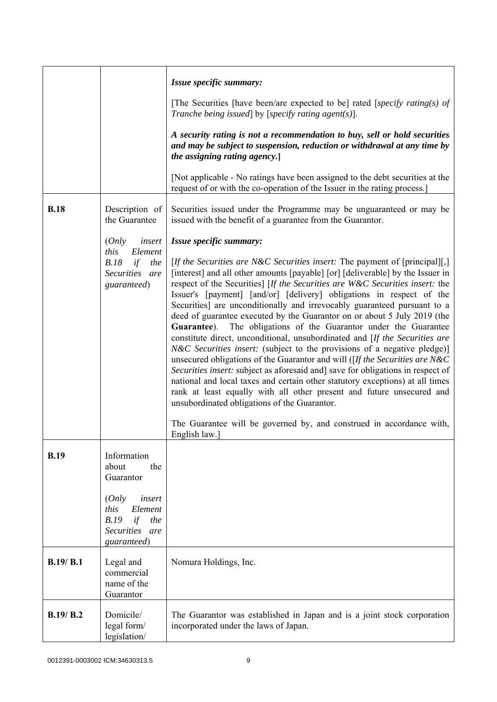|             |                                                                                                    | Issue specific summary:                                                                                                                                                                                                                                                                                                                                                                                                                                                                                                                                                                                                                                                                                                                                                                                                                                                                                                                                                                                                                                                                                                                                                                             |
|-------------|----------------------------------------------------------------------------------------------------|-----------------------------------------------------------------------------------------------------------------------------------------------------------------------------------------------------------------------------------------------------------------------------------------------------------------------------------------------------------------------------------------------------------------------------------------------------------------------------------------------------------------------------------------------------------------------------------------------------------------------------------------------------------------------------------------------------------------------------------------------------------------------------------------------------------------------------------------------------------------------------------------------------------------------------------------------------------------------------------------------------------------------------------------------------------------------------------------------------------------------------------------------------------------------------------------------------|
|             |                                                                                                    | [The Securities [have been/are expected to be] rated [specify rating(s) of<br>Tranche being issued] by [specify rating agent(s)].                                                                                                                                                                                                                                                                                                                                                                                                                                                                                                                                                                                                                                                                                                                                                                                                                                                                                                                                                                                                                                                                   |
|             |                                                                                                    | A security rating is not a recommendation to buy, sell or hold securities<br>and may be subject to suspension, reduction or withdrawal at any time by<br>the assigning rating agency.                                                                                                                                                                                                                                                                                                                                                                                                                                                                                                                                                                                                                                                                                                                                                                                                                                                                                                                                                                                                               |
|             |                                                                                                    | [Not applicable - No ratings have been assigned to the debt securities at the<br>request of or with the co-operation of the Issuer in the rating process.                                                                                                                                                                                                                                                                                                                                                                                                                                                                                                                                                                                                                                                                                                                                                                                                                                                                                                                                                                                                                                           |
| <b>B.18</b> | Description of<br>the Guarantee                                                                    | Securities issued under the Programme may be unguaranteed or may be<br>issued with the benefit of a guarantee from the Guarantor.                                                                                                                                                                                                                                                                                                                                                                                                                                                                                                                                                                                                                                                                                                                                                                                                                                                                                                                                                                                                                                                                   |
|             | (Only<br>insert                                                                                    | Issue specific summary:                                                                                                                                                                                                                                                                                                                                                                                                                                                                                                                                                                                                                                                                                                                                                                                                                                                                                                                                                                                                                                                                                                                                                                             |
|             | this<br>Element<br>B.18<br>if<br>the<br>Securities are<br>guaranteed)                              | [If the Securities are N&C Securities insert: The payment of [principal][,]<br>[interest] and all other amounts [payable] [or] [deliverable] by the Issuer in<br>respect of the Securities] [If the Securities are W&C Securities insert: the<br>Issuer's [payment] [and/or] [delivery] obligations in respect of the<br>Securities] are unconditionally and irrevocably guaranteed pursuant to a<br>deed of guarantee executed by the Guarantor on or about 5 July 2019 (the<br>The obligations of the Guarantor under the Guarantee<br>Guarantee).<br>constitute direct, unconditional, unsubordinated and [If the Securities are<br><i>N&amp;C Securities insert:</i> (subject to the provisions of a negative pledge)]<br>unsecured obligations of the Guarantor and will ( $[If the Securities are N&C]$<br>Securities insert: subject as aforesaid and] save for obligations in respect of<br>national and local taxes and certain other statutory exceptions) at all times<br>rank at least equally with all other present and future unsecured and<br>unsubordinated obligations of the Guarantor.<br>The Guarantee will be governed by, and construed in accordance with,<br>English law.] |
| B.19        | Information<br>the<br>about<br>Guarantor                                                           |                                                                                                                                                                                                                                                                                                                                                                                                                                                                                                                                                                                                                                                                                                                                                                                                                                                                                                                                                                                                                                                                                                                                                                                                     |
|             | (Only<br>insert<br>this<br>Element<br>B.19<br>if<br>the<br><b>Securities</b><br>are<br>guaranteed) |                                                                                                                                                                                                                                                                                                                                                                                                                                                                                                                                                                                                                                                                                                                                                                                                                                                                                                                                                                                                                                                                                                                                                                                                     |
| B.19/B.1    | Legal and<br>commercial<br>name of the<br>Guarantor                                                | Nomura Holdings, Inc.                                                                                                                                                                                                                                                                                                                                                                                                                                                                                                                                                                                                                                                                                                                                                                                                                                                                                                                                                                                                                                                                                                                                                                               |
| B.19/B.2    | Domicile/<br>legal form/<br>legislation/                                                           | The Guarantor was established in Japan and is a joint stock corporation<br>incorporated under the laws of Japan.                                                                                                                                                                                                                                                                                                                                                                                                                                                                                                                                                                                                                                                                                                                                                                                                                                                                                                                                                                                                                                                                                    |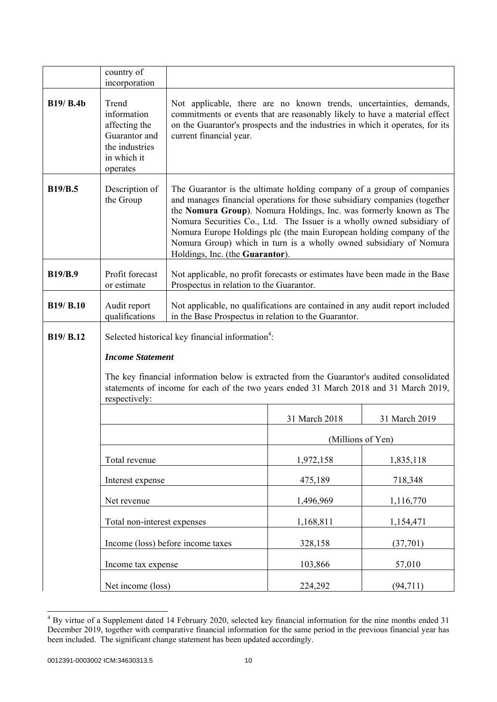|                                   | country of<br>incorporation                                                                                                                                                                          |                                                                                                                                                                                                                                                                                                                                                                                                                                                                                     |               |                   |
|-----------------------------------|------------------------------------------------------------------------------------------------------------------------------------------------------------------------------------------------------|-------------------------------------------------------------------------------------------------------------------------------------------------------------------------------------------------------------------------------------------------------------------------------------------------------------------------------------------------------------------------------------------------------------------------------------------------------------------------------------|---------------|-------------------|
| <b>B19/ B.4b</b>                  | Trend<br>information<br>affecting the<br>Guarantor and<br>the industries<br>in which it<br>operates                                                                                                  | Not applicable, there are no known trends, uncertainties, demands,<br>commitments or events that are reasonably likely to have a material effect<br>on the Guarantor's prospects and the industries in which it operates, for its<br>current financial year.                                                                                                                                                                                                                        |               |                   |
| <b>B19/B.5</b>                    | Description of<br>the Group                                                                                                                                                                          | The Guarantor is the ultimate holding company of a group of companies<br>and manages financial operations for those subsidiary companies (together<br>the Nomura Group). Nomura Holdings, Inc. was formerly known as The<br>Nomura Securities Co., Ltd. The Issuer is a wholly owned subsidiary of<br>Nomura Europe Holdings plc (the main European holding company of the<br>Nomura Group) which in turn is a wholly owned subsidiary of Nomura<br>Holdings, Inc. (the Guarantor). |               |                   |
| <b>B19/B.9</b>                    | Profit forecast<br>or estimate                                                                                                                                                                       | Not applicable, no profit forecasts or estimates have been made in the Base<br>Prospectus in relation to the Guarantor.                                                                                                                                                                                                                                                                                                                                                             |               |                   |
| <b>B19/ B.10</b>                  | Audit report<br>qualifications                                                                                                                                                                       | Not applicable, no qualifications are contained in any audit report included<br>in the Base Prospectus in relation to the Guarantor.                                                                                                                                                                                                                                                                                                                                                |               |                   |
| B <sub>19</sub> /B <sub>.12</sub> |                                                                                                                                                                                                      | Selected historical key financial information <sup>4</sup> :                                                                                                                                                                                                                                                                                                                                                                                                                        |               |                   |
|                                   | <b>Income Statement</b>                                                                                                                                                                              |                                                                                                                                                                                                                                                                                                                                                                                                                                                                                     |               |                   |
|                                   | The key financial information below is extracted from the Guarantor's audited consolidated<br>statements of income for each of the two years ended 31 March 2018 and 31 March 2019,<br>respectively: |                                                                                                                                                                                                                                                                                                                                                                                                                                                                                     |               |                   |
|                                   |                                                                                                                                                                                                      |                                                                                                                                                                                                                                                                                                                                                                                                                                                                                     | 31 March 2018 | 31 March 2019     |
|                                   |                                                                                                                                                                                                      |                                                                                                                                                                                                                                                                                                                                                                                                                                                                                     |               | (Millions of Yen) |
|                                   | Total revenue                                                                                                                                                                                        |                                                                                                                                                                                                                                                                                                                                                                                                                                                                                     | 1,972,158     | 1,835,118         |
|                                   | Interest expense                                                                                                                                                                                     |                                                                                                                                                                                                                                                                                                                                                                                                                                                                                     | 475,189       | 718,348           |
|                                   | Net revenue                                                                                                                                                                                          |                                                                                                                                                                                                                                                                                                                                                                                                                                                                                     | 1,496,969     | 1,116,770         |
|                                   | Total non-interest expenses                                                                                                                                                                          |                                                                                                                                                                                                                                                                                                                                                                                                                                                                                     | 1,168,811     | 1,154,471         |
|                                   |                                                                                                                                                                                                      | Income (loss) before income taxes                                                                                                                                                                                                                                                                                                                                                                                                                                                   | 328,158       | (37,701)          |
|                                   | Income tax expense                                                                                                                                                                                   |                                                                                                                                                                                                                                                                                                                                                                                                                                                                                     | 103,866       | 57,010            |
|                                   | Net income (loss)                                                                                                                                                                                    |                                                                                                                                                                                                                                                                                                                                                                                                                                                                                     | 224,292       | (94, 711)         |

 4 By virtue of a Supplement dated 14 February 2020, selected key financial information for the nine months ended 31 December 2019, together with comparative financial information for the same period in the previous financial year has been included. The significant change statement has been updated accordingly.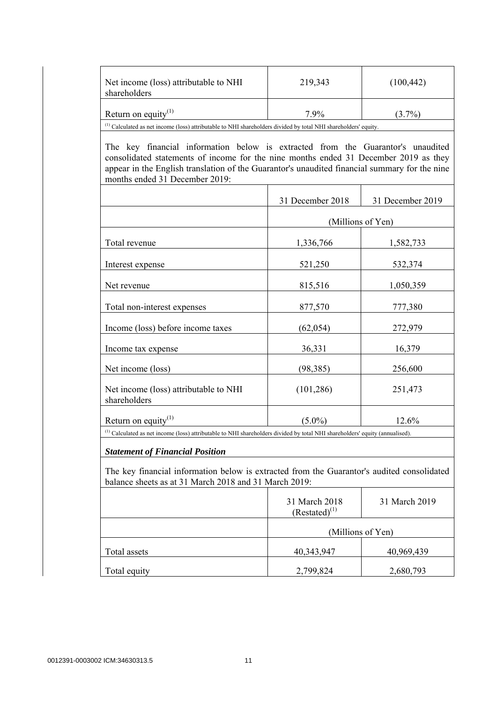| Net income (loss) attributable to NHI<br>shareholders                                                                                                                                                                                                                                                      | 219,343                             | (100, 442)       |
|------------------------------------------------------------------------------------------------------------------------------------------------------------------------------------------------------------------------------------------------------------------------------------------------------------|-------------------------------------|------------------|
| Return on equity <sup>(1)</sup>                                                                                                                                                                                                                                                                            | 7.9%                                | $(3.7\%)$        |
| $^{(1)}$ Calculated as net income (loss) attributable to NHI shareholders divided by total NHI shareholders' equity.                                                                                                                                                                                       |                                     |                  |
| The key financial information below is extracted from the Guarantor's unaudited<br>consolidated statements of income for the nine months ended 31 December 2019 as they<br>appear in the English translation of the Guarantor's unaudited financial summary for the nine<br>months ended 31 December 2019: |                                     |                  |
|                                                                                                                                                                                                                                                                                                            | 31 December 2018                    | 31 December 2019 |
|                                                                                                                                                                                                                                                                                                            | (Millions of Yen)                   |                  |
| Total revenue                                                                                                                                                                                                                                                                                              | 1,336,766                           | 1,582,733        |
| Interest expense                                                                                                                                                                                                                                                                                           | 521,250                             | 532,374          |
| Net revenue                                                                                                                                                                                                                                                                                                | 815,516                             | 1,050,359        |
| Total non-interest expenses                                                                                                                                                                                                                                                                                | 877,570                             | 777,380          |
| Income (loss) before income taxes                                                                                                                                                                                                                                                                          | (62, 054)                           | 272,979          |
| Income tax expense                                                                                                                                                                                                                                                                                         | 36,331                              | 16,379           |
| Net income (loss)                                                                                                                                                                                                                                                                                          | (98, 385)                           | 256,600          |
| Net income (loss) attributable to NHI<br>shareholders                                                                                                                                                                                                                                                      | (101, 286)                          | 251,473          |
| Return on equity $(1)$                                                                                                                                                                                                                                                                                     | $(5.0\%)$                           | 12.6%            |
| <sup>(1)</sup> Calculated as net income (loss) attributable to NHI shareholders divided by total NHI shareholders' equity (annualised).                                                                                                                                                                    |                                     |                  |
| <b>Statement of Financial Position</b>                                                                                                                                                                                                                                                                     |                                     |                  |
| The key financial information below is extracted from the Guarantor's audited consolidated<br>balance sheets as at 31 March 2018 and 31 March 2019:                                                                                                                                                        |                                     |                  |
|                                                                                                                                                                                                                                                                                                            | 31 March 2018<br>$(Restated)^{(1)}$ | 31 March 2019    |
|                                                                                                                                                                                                                                                                                                            | (Millions of Yen)                   |                  |
| Total assets                                                                                                                                                                                                                                                                                               | 40,343,947                          | 40,969,439       |
| Total equity                                                                                                                                                                                                                                                                                               | 2,799,824                           | 2,680,793        |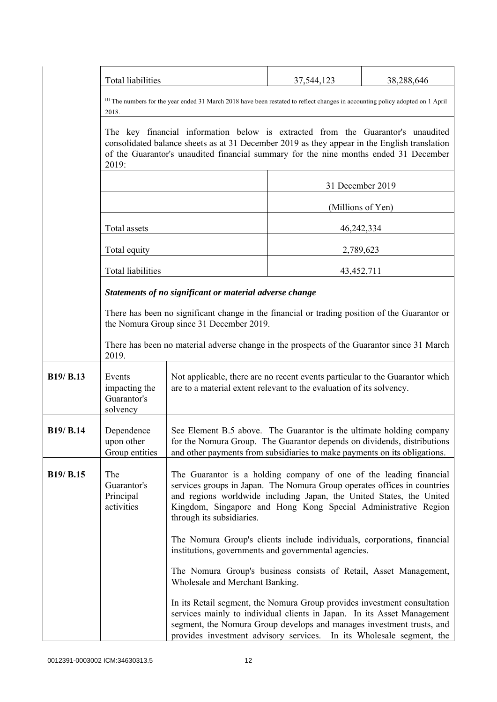|                  | Total liabilities                                                                                                                                                                                                                                                                |                                                                                                                                                                                                                                                                                                                       | 37,544,123        | 38,288,646 |
|------------------|----------------------------------------------------------------------------------------------------------------------------------------------------------------------------------------------------------------------------------------------------------------------------------|-----------------------------------------------------------------------------------------------------------------------------------------------------------------------------------------------------------------------------------------------------------------------------------------------------------------------|-------------------|------------|
|                  | 2018.                                                                                                                                                                                                                                                                            | <sup>(1)</sup> The numbers for the year ended 31 March 2018 have been restated to reflect changes in accounting policy adopted on 1 April                                                                                                                                                                             |                   |            |
|                  | The key financial information below is extracted from the Guarantor's unaudited<br>consolidated balance sheets as at 31 December 2019 as they appear in the English translation<br>of the Guarantor's unaudited financial summary for the nine months ended 31 December<br>2019: |                                                                                                                                                                                                                                                                                                                       |                   |            |
|                  |                                                                                                                                                                                                                                                                                  |                                                                                                                                                                                                                                                                                                                       | 31 December 2019  |            |
|                  |                                                                                                                                                                                                                                                                                  |                                                                                                                                                                                                                                                                                                                       | (Millions of Yen) |            |
|                  | Total assets                                                                                                                                                                                                                                                                     |                                                                                                                                                                                                                                                                                                                       | 46,242,334        |            |
|                  | Total equity                                                                                                                                                                                                                                                                     |                                                                                                                                                                                                                                                                                                                       | 2,789,623         |            |
|                  | Total liabilities                                                                                                                                                                                                                                                                |                                                                                                                                                                                                                                                                                                                       | 43,452,711        |            |
|                  |                                                                                                                                                                                                                                                                                  | Statements of no significant or material adverse change                                                                                                                                                                                                                                                               |                   |            |
|                  |                                                                                                                                                                                                                                                                                  | There has been no significant change in the financial or trading position of the Guarantor or<br>the Nomura Group since 31 December 2019.                                                                                                                                                                             |                   |            |
|                  | 2019.                                                                                                                                                                                                                                                                            | There has been no material adverse change in the prospects of the Guarantor since 31 March                                                                                                                                                                                                                            |                   |            |
| B19/ B.13        | Events<br>impacting the<br>Guarantor's<br>solvency                                                                                                                                                                                                                               | Not applicable, there are no recent events particular to the Guarantor which<br>are to a material extent relevant to the evaluation of its solvency.                                                                                                                                                                  |                   |            |
| <b>B19/ B.14</b> | Dependence<br>upon other<br>Group entities                                                                                                                                                                                                                                       | See Element B.5 above. The Guarantor is the ultimate holding company<br>for the Nomura Group. The Guarantor depends on dividends, distributions<br>and other payments from subsidiaries to make payments on its obligations.                                                                                          |                   |            |
| B19/ B.15        | The<br>Guarantor's<br>Principal<br>activities                                                                                                                                                                                                                                    | The Guarantor is a holding company of one of the leading financial<br>services groups in Japan. The Nomura Group operates offices in countries<br>and regions worldwide including Japan, the United States, the United<br>Kingdom, Singapore and Hong Kong Special Administrative Region<br>through its subsidiaries. |                   |            |
|                  |                                                                                                                                                                                                                                                                                  | The Nomura Group's clients include individuals, corporations, financial<br>institutions, governments and governmental agencies.                                                                                                                                                                                       |                   |            |
|                  |                                                                                                                                                                                                                                                                                  | The Nomura Group's business consists of Retail, Asset Management,<br>Wholesale and Merchant Banking.                                                                                                                                                                                                                  |                   |            |
|                  |                                                                                                                                                                                                                                                                                  | In its Retail segment, the Nomura Group provides investment consultation<br>services mainly to individual clients in Japan. In its Asset Management<br>segment, the Nomura Group develops and manages investment trusts, and<br>provides investment advisory services. In its Wholesale segment, the                  |                   |            |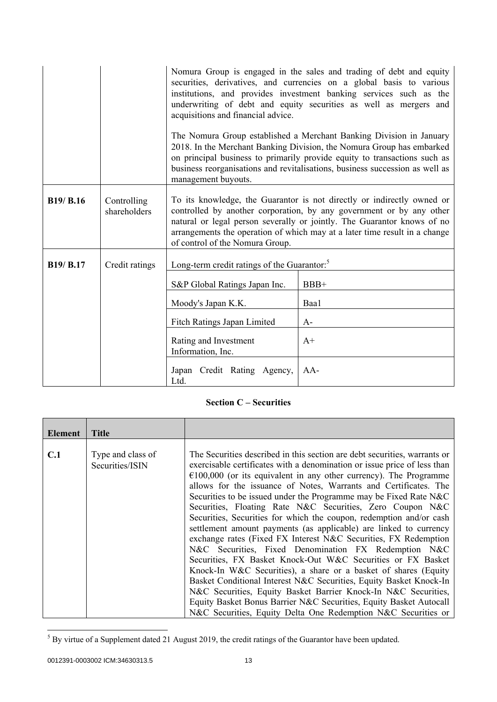|                  |                             | acquisitions and financial advice.<br>management buyouts.                                                                                                                                                                                                                                                                                  | Nomura Group is engaged in the sales and trading of debt and equity<br>securities, derivatives, and currencies on a global basis to various<br>institutions, and provides investment banking services such as the<br>underwriting of debt and equity securities as well as mergers and<br>The Nomura Group established a Merchant Banking Division in January<br>2018. In the Merchant Banking Division, the Nomura Group has embarked<br>on principal business to primarily provide equity to transactions such as<br>business reorganisations and revitalisations, business succession as well as |
|------------------|-----------------------------|--------------------------------------------------------------------------------------------------------------------------------------------------------------------------------------------------------------------------------------------------------------------------------------------------------------------------------------------|-----------------------------------------------------------------------------------------------------------------------------------------------------------------------------------------------------------------------------------------------------------------------------------------------------------------------------------------------------------------------------------------------------------------------------------------------------------------------------------------------------------------------------------------------------------------------------------------------------|
| <b>B19/ B.16</b> | Controlling<br>shareholders | To its knowledge, the Guarantor is not directly or indirectly owned or<br>controlled by another corporation, by any government or by any other<br>natural or legal person severally or jointly. The Guarantor knows of no<br>arrangements the operation of which may at a later time result in a change<br>of control of the Nomura Group. |                                                                                                                                                                                                                                                                                                                                                                                                                                                                                                                                                                                                     |
| B19/ B.17        | Credit ratings              | Long-term credit ratings of the Guarantor: <sup>5</sup>                                                                                                                                                                                                                                                                                    |                                                                                                                                                                                                                                                                                                                                                                                                                                                                                                                                                                                                     |
|                  |                             | S&P Global Ratings Japan Inc.                                                                                                                                                                                                                                                                                                              | $BBB+$                                                                                                                                                                                                                                                                                                                                                                                                                                                                                                                                                                                              |
|                  |                             | Moody's Japan K.K.                                                                                                                                                                                                                                                                                                                         | Baa1                                                                                                                                                                                                                                                                                                                                                                                                                                                                                                                                                                                                |
|                  |                             | Fitch Ratings Japan Limited                                                                                                                                                                                                                                                                                                                | $A-$                                                                                                                                                                                                                                                                                                                                                                                                                                                                                                                                                                                                |
|                  |                             | Rating and Investment<br>Information, Inc.                                                                                                                                                                                                                                                                                                 | $A+$                                                                                                                                                                                                                                                                                                                                                                                                                                                                                                                                                                                                |
|                  |                             | Japan Credit Rating Agency,<br>Ltd.                                                                                                                                                                                                                                                                                                        | $AA-$                                                                                                                                                                                                                                                                                                                                                                                                                                                                                                                                                                                               |

# **Section C – Securities**

| Element | <b>Title</b>                         |                                                                                                                                                                                                                                                                                                                                                                                                                                                                                                                                                                                                                                                                                                                                                                                                                                                                                                                                                                                                                                                                                                                                    |
|---------|--------------------------------------|------------------------------------------------------------------------------------------------------------------------------------------------------------------------------------------------------------------------------------------------------------------------------------------------------------------------------------------------------------------------------------------------------------------------------------------------------------------------------------------------------------------------------------------------------------------------------------------------------------------------------------------------------------------------------------------------------------------------------------------------------------------------------------------------------------------------------------------------------------------------------------------------------------------------------------------------------------------------------------------------------------------------------------------------------------------------------------------------------------------------------------|
|         |                                      |                                                                                                                                                                                                                                                                                                                                                                                                                                                                                                                                                                                                                                                                                                                                                                                                                                                                                                                                                                                                                                                                                                                                    |
| C.1     | Type and class of<br>Securities/ISIN | The Securities described in this section are debt securities, warrants or<br>exercisable certificates with a denomination or issue price of less than<br>$\epsilon$ 100,000 (or its equivalent in any other currency). The Programme<br>allows for the issuance of Notes, Warrants and Certificates. The<br>Securities to be issued under the Programme may be Fixed Rate N&C<br>Securities, Floating Rate N&C Securities, Zero Coupon N&C<br>Securities, Securities for which the coupon, redemption and/or cash<br>settlement amount payments (as applicable) are linked to currency<br>exchange rates (Fixed FX Interest N&C Securities, FX Redemption<br>N&C Securities, Fixed Denomination FX Redemption N&C<br>Securities, FX Basket Knock-Out W&C Securities or FX Basket<br>Knock-In W&C Securities), a share or a basket of shares (Equity<br>Basket Conditional Interest N&C Securities, Equity Basket Knock-In<br>N&C Securities, Equity Basket Barrier Knock-In N&C Securities,<br>Equity Basket Bonus Barrier N&C Securities, Equity Basket Autocall<br>N&C Securities, Equity Delta One Redemption N&C Securities or |

<sup>&</sup>lt;sup>5</sup> By virtue of a Supplement dated 21 August 2019, the credit ratings of the Guarantor have been updated.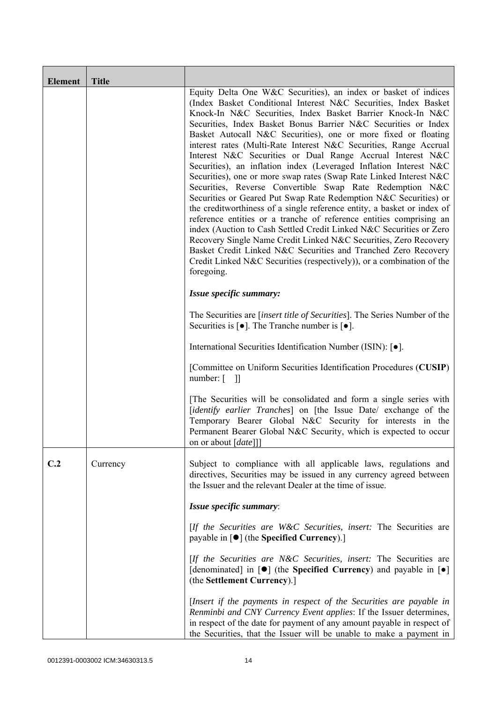| <b>Element</b> | <b>Title</b> |                                                                                                                                                                                                                                                                                                                                                                                                                                                                                                                                                                                                                                                                                                                                                                                                                                                                                                                                                                                                                                                                                                                                                                                                          |
|----------------|--------------|----------------------------------------------------------------------------------------------------------------------------------------------------------------------------------------------------------------------------------------------------------------------------------------------------------------------------------------------------------------------------------------------------------------------------------------------------------------------------------------------------------------------------------------------------------------------------------------------------------------------------------------------------------------------------------------------------------------------------------------------------------------------------------------------------------------------------------------------------------------------------------------------------------------------------------------------------------------------------------------------------------------------------------------------------------------------------------------------------------------------------------------------------------------------------------------------------------|
|                |              | Equity Delta One W&C Securities), an index or basket of indices<br>(Index Basket Conditional Interest N&C Securities, Index Basket<br>Knock-In N&C Securities, Index Basket Barrier Knock-In N&C<br>Securities, Index Basket Bonus Barrier N&C Securities or Index<br>Basket Autocall N&C Securities), one or more fixed or floating<br>interest rates (Multi-Rate Interest N&C Securities, Range Accrual<br>Interest N&C Securities or Dual Range Accrual Interest N&C<br>Securities), an inflation index (Leveraged Inflation Interest N&C<br>Securities), one or more swap rates (Swap Rate Linked Interest N&C<br>Securities, Reverse Convertible Swap Rate Redemption N&C<br>Securities or Geared Put Swap Rate Redemption N&C Securities) or<br>the creditworthiness of a single reference entity, a basket or index of<br>reference entities or a tranche of reference entities comprising an<br>index (Auction to Cash Settled Credit Linked N&C Securities or Zero<br>Recovery Single Name Credit Linked N&C Securities, Zero Recovery<br>Basket Credit Linked N&C Securities and Tranched Zero Recovery<br>Credit Linked N&C Securities (respectively)), or a combination of the<br>foregoing. |
|                |              | Issue specific summary:                                                                                                                                                                                                                                                                                                                                                                                                                                                                                                                                                                                                                                                                                                                                                                                                                                                                                                                                                                                                                                                                                                                                                                                  |
|                |              | The Securities are <i>[insert title of Securities]</i> . The Series Number of the<br>Securities is $\lceil \bullet \rceil$ . The Tranche number is $\lceil \bullet \rceil$ .                                                                                                                                                                                                                                                                                                                                                                                                                                                                                                                                                                                                                                                                                                                                                                                                                                                                                                                                                                                                                             |
|                |              | International Securities Identification Number (ISIN): [ $\bullet$ ].                                                                                                                                                                                                                                                                                                                                                                                                                                                                                                                                                                                                                                                                                                                                                                                                                                                                                                                                                                                                                                                                                                                                    |
|                |              | [Committee on Uniform Securities Identification Procedures (CUSIP)<br>$number: [$ ]]                                                                                                                                                                                                                                                                                                                                                                                                                                                                                                                                                                                                                                                                                                                                                                                                                                                                                                                                                                                                                                                                                                                     |
|                |              | [The Securities will be consolidated and form a single series with<br>[identify earlier Tranches] on [the Issue Date/ exchange of the<br>Temporary Bearer Global N&C Security for interests in the<br>Permanent Bearer Global N&C Security, which is expected to occur<br>on or about [ <i>date</i> ]]                                                                                                                                                                                                                                                                                                                                                                                                                                                                                                                                                                                                                                                                                                                                                                                                                                                                                                   |
| C.2            | Currency     | Subject to compliance with all applicable laws, regulations and<br>directives, Securities may be issued in any currency agreed between<br>the Issuer and the relevant Dealer at the time of issue.                                                                                                                                                                                                                                                                                                                                                                                                                                                                                                                                                                                                                                                                                                                                                                                                                                                                                                                                                                                                       |
|                |              | Issue specific summary:                                                                                                                                                                                                                                                                                                                                                                                                                                                                                                                                                                                                                                                                                                                                                                                                                                                                                                                                                                                                                                                                                                                                                                                  |
|                |              | [If the Securities are W&C Securities, insert: The Securities are<br>payable in $\lceil \bullet \rceil$ (the Specified Currency).]                                                                                                                                                                                                                                                                                                                                                                                                                                                                                                                                                                                                                                                                                                                                                                                                                                                                                                                                                                                                                                                                       |
|                |              | [If the Securities are N&C Securities, insert: The Securities are<br>[denominated] in $[\bullet]$ (the Specified Currency) and payable in $[\bullet]$<br>(the Settlement Currency).]                                                                                                                                                                                                                                                                                                                                                                                                                                                                                                                                                                                                                                                                                                                                                                                                                                                                                                                                                                                                                     |
|                |              | [Insert if the payments in respect of the Securities are payable in<br>Renminbi and CNY Currency Event applies: If the Issuer determines,<br>in respect of the date for payment of any amount payable in respect of<br>the Securities, that the Issuer will be unable to make a payment in                                                                                                                                                                                                                                                                                                                                                                                                                                                                                                                                                                                                                                                                                                                                                                                                                                                                                                               |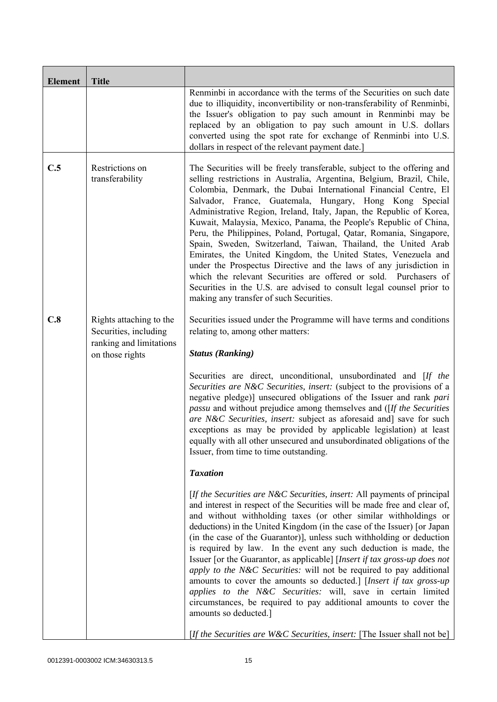| <b>Element</b> | <b>Title</b>                                                                                   |                                                                                                                                                                                                                                                                                                                                                                                                                                                                                                                                                                                                                                                                                                                                                                                                                                                                                                    |
|----------------|------------------------------------------------------------------------------------------------|----------------------------------------------------------------------------------------------------------------------------------------------------------------------------------------------------------------------------------------------------------------------------------------------------------------------------------------------------------------------------------------------------------------------------------------------------------------------------------------------------------------------------------------------------------------------------------------------------------------------------------------------------------------------------------------------------------------------------------------------------------------------------------------------------------------------------------------------------------------------------------------------------|
|                |                                                                                                | Renminbi in accordance with the terms of the Securities on such date<br>due to illiquidity, inconvertibility or non-transferability of Renminbi,<br>the Issuer's obligation to pay such amount in Renminbi may be<br>replaced by an obligation to pay such amount in U.S. dollars<br>converted using the spot rate for exchange of Renminbi into U.S.<br>dollars in respect of the relevant payment date.]                                                                                                                                                                                                                                                                                                                                                                                                                                                                                         |
| C.5            | Restrictions on<br>transferability                                                             | The Securities will be freely transferable, subject to the offering and<br>selling restrictions in Australia, Argentina, Belgium, Brazil, Chile,<br>Colombia, Denmark, the Dubai International Financial Centre, El<br>Salvador, France, Guatemala, Hungary, Hong Kong Special<br>Administrative Region, Ireland, Italy, Japan, the Republic of Korea,<br>Kuwait, Malaysia, Mexico, Panama, the People's Republic of China,<br>Peru, the Philippines, Poland, Portugal, Qatar, Romania, Singapore,<br>Spain, Sweden, Switzerland, Taiwan, Thailand, the United Arab<br>Emirates, the United Kingdom, the United States, Venezuela and<br>under the Prospectus Directive and the laws of any jurisdiction in<br>which the relevant Securities are offered or sold. Purchasers of<br>Securities in the U.S. are advised to consult legal counsel prior to<br>making any transfer of such Securities. |
| C.8            | Rights attaching to the<br>Securities, including<br>ranking and limitations<br>on those rights | Securities issued under the Programme will have terms and conditions<br>relating to, among other matters:<br><b>Status (Ranking)</b>                                                                                                                                                                                                                                                                                                                                                                                                                                                                                                                                                                                                                                                                                                                                                               |
|                |                                                                                                | Securities are direct, unconditional, unsubordinated and [If the<br>Securities are N&C Securities, insert: (subject to the provisions of a<br>negative pledge)] unsecured obligations of the Issuer and rank pari<br><i>passu</i> and without prejudice among themselves and ([If the Securities]<br>are N&C Securities, insert: subject as aforesaid and] save for such<br>exceptions as may be provided by applicable legislation) at least<br>equally with all other unsecured and unsubordinated obligations of the<br>Issuer, from time to time outstanding.                                                                                                                                                                                                                                                                                                                                  |
|                |                                                                                                | <b>Taxation</b>                                                                                                                                                                                                                                                                                                                                                                                                                                                                                                                                                                                                                                                                                                                                                                                                                                                                                    |
|                |                                                                                                | [If the Securities are N&C Securities, insert: All payments of principal<br>and interest in respect of the Securities will be made free and clear of,<br>and without withholding taxes (or other similar withholdings or<br>deductions) in the United Kingdom (in the case of the Issuer) [or Japan<br>(in the case of the Guarantor)], unless such withholding or deduction<br>is required by law. In the event any such deduction is made, the<br>Issuer [or the Guarantor, as applicable] [Insert if tax gross-up does not<br>apply to the N&C Securities: will not be required to pay additional<br>amounts to cover the amounts so deducted.] [Insert if tax gross-up<br>applies to the N&C Securities: will, save in certain limited<br>circumstances, be required to pay additional amounts to cover the<br>amounts so deducted.]                                                           |
|                |                                                                                                | [If the Securities are W&C Securities, insert: [The Issuer shall not be]                                                                                                                                                                                                                                                                                                                                                                                                                                                                                                                                                                                                                                                                                                                                                                                                                           |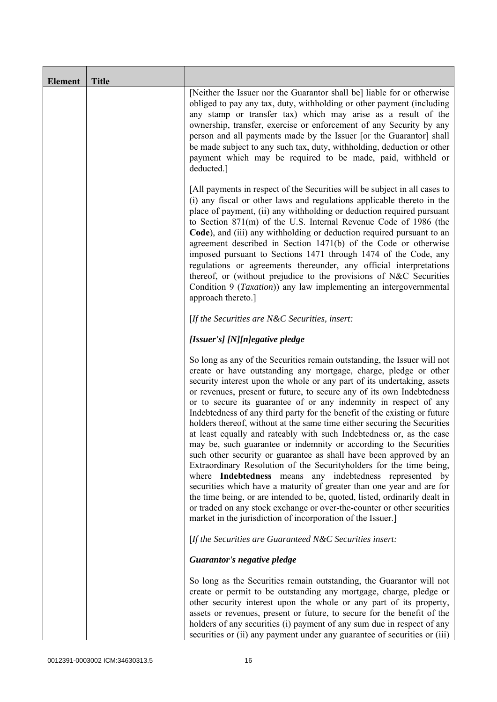| <b>Element</b> | <b>Title</b> |                                                                                                                                                                                                                                                                                                                                                                                                                                                                                                                                                                                                                                                                                                                                                                                                                                                                                                                                                                                                                                                                                                                                                                                       |
|----------------|--------------|---------------------------------------------------------------------------------------------------------------------------------------------------------------------------------------------------------------------------------------------------------------------------------------------------------------------------------------------------------------------------------------------------------------------------------------------------------------------------------------------------------------------------------------------------------------------------------------------------------------------------------------------------------------------------------------------------------------------------------------------------------------------------------------------------------------------------------------------------------------------------------------------------------------------------------------------------------------------------------------------------------------------------------------------------------------------------------------------------------------------------------------------------------------------------------------|
|                |              | [Neither the Issuer nor the Guarantor shall be] liable for or otherwise<br>obliged to pay any tax, duty, withholding or other payment (including<br>any stamp or transfer tax) which may arise as a result of the<br>ownership, transfer, exercise or enforcement of any Security by any<br>person and all payments made by the Issuer [or the Guarantor] shall<br>be made subject to any such tax, duty, withholding, deduction or other<br>payment which may be required to be made, paid, withheld or<br>deducted.]                                                                                                                                                                                                                                                                                                                                                                                                                                                                                                                                                                                                                                                                |
|                |              | [All payments in respect of the Securities will be subject in all cases to<br>(i) any fiscal or other laws and regulations applicable thereto in the<br>place of payment, (ii) any withholding or deduction required pursuant<br>to Section 871(m) of the U.S. Internal Revenue Code of 1986 (the<br>Code), and (iii) any withholding or deduction required pursuant to an<br>agreement described in Section 1471(b) of the Code or otherwise<br>imposed pursuant to Sections 1471 through 1474 of the Code, any<br>regulations or agreements thereunder, any official interpretations<br>thereof, or (without prejudice to the provisions of N&C Securities<br>Condition 9 (Taxation)) any law implementing an intergovernmental<br>approach thereto.]                                                                                                                                                                                                                                                                                                                                                                                                                               |
|                |              | [If the Securities are N&C Securities, insert:                                                                                                                                                                                                                                                                                                                                                                                                                                                                                                                                                                                                                                                                                                                                                                                                                                                                                                                                                                                                                                                                                                                                        |
|                |              | [Issuer's] [N][n]egative pledge                                                                                                                                                                                                                                                                                                                                                                                                                                                                                                                                                                                                                                                                                                                                                                                                                                                                                                                                                                                                                                                                                                                                                       |
|                |              | So long as any of the Securities remain outstanding, the Issuer will not<br>create or have outstanding any mortgage, charge, pledge or other<br>security interest upon the whole or any part of its undertaking, assets<br>or revenues, present or future, to secure any of its own Indebtedness<br>or to secure its guarantee of or any indemnity in respect of any<br>Indebtedness of any third party for the benefit of the existing or future<br>holders thereof, without at the same time either securing the Securities<br>at least equally and rateably with such Indebtedness or, as the case<br>may be, such guarantee or indemnity or according to the Securities<br>such other security or guarantee as shall have been approved by an<br>Extraordinary Resolution of the Securityholders for the time being,<br>where Indebtedness means any indebtedness represented by<br>securities which have a maturity of greater than one year and are for<br>the time being, or are intended to be, quoted, listed, ordinarily dealt in<br>or traded on any stock exchange or over-the-counter or other securities<br>market in the jurisdiction of incorporation of the Issuer.] |
|                |              | [If the Securities are Guaranteed N&C Securities insert:                                                                                                                                                                                                                                                                                                                                                                                                                                                                                                                                                                                                                                                                                                                                                                                                                                                                                                                                                                                                                                                                                                                              |
|                |              | Guarantor's negative pledge                                                                                                                                                                                                                                                                                                                                                                                                                                                                                                                                                                                                                                                                                                                                                                                                                                                                                                                                                                                                                                                                                                                                                           |
|                |              | So long as the Securities remain outstanding, the Guarantor will not<br>create or permit to be outstanding any mortgage, charge, pledge or<br>other security interest upon the whole or any part of its property,<br>assets or revenues, present or future, to secure for the benefit of the<br>holders of any securities (i) payment of any sum due in respect of any<br>securities or (ii) any payment under any guarantee of securities or (iii)                                                                                                                                                                                                                                                                                                                                                                                                                                                                                                                                                                                                                                                                                                                                   |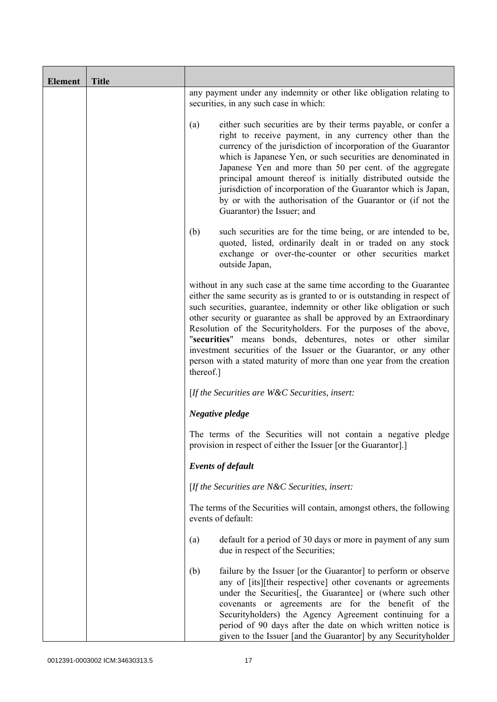| <b>Element</b> | <b>Title</b> |                                                                                                                                                                                                                                                                                                                                                                                                                                                                                                                                                                                                      |
|----------------|--------------|------------------------------------------------------------------------------------------------------------------------------------------------------------------------------------------------------------------------------------------------------------------------------------------------------------------------------------------------------------------------------------------------------------------------------------------------------------------------------------------------------------------------------------------------------------------------------------------------------|
|                |              | any payment under any indemnity or other like obligation relating to<br>securities, in any such case in which:                                                                                                                                                                                                                                                                                                                                                                                                                                                                                       |
|                |              | either such securities are by their terms payable, or confer a<br>(a)<br>right to receive payment, in any currency other than the<br>currency of the jurisdiction of incorporation of the Guarantor<br>which is Japanese Yen, or such securities are denominated in<br>Japanese Yen and more than 50 per cent. of the aggregate<br>principal amount thereof is initially distributed outside the<br>jurisdiction of incorporation of the Guarantor which is Japan,<br>by or with the authorisation of the Guarantor or (if not the<br>Guarantor) the Issuer; and                                     |
|                |              | (b)<br>such securities are for the time being, or are intended to be,<br>quoted, listed, ordinarily dealt in or traded on any stock<br>exchange or over-the-counter or other securities market<br>outside Japan,                                                                                                                                                                                                                                                                                                                                                                                     |
|                |              | without in any such case at the same time according to the Guarantee<br>either the same security as is granted to or is outstanding in respect of<br>such securities, guarantee, indemnity or other like obligation or such<br>other security or guarantee as shall be approved by an Extraordinary<br>Resolution of the Securityholders. For the purposes of the above,<br>"securities" means bonds, debentures, notes or other similar<br>investment securities of the Issuer or the Guarantor, or any other<br>person with a stated maturity of more than one year from the creation<br>thereof.] |
|                |              | [If the Securities are $W\&C$ Securities, insert:                                                                                                                                                                                                                                                                                                                                                                                                                                                                                                                                                    |
|                |              | Negative pledge                                                                                                                                                                                                                                                                                                                                                                                                                                                                                                                                                                                      |
|                |              | The terms of the Securities will not contain a negative pledge<br>provision in respect of either the Issuer [or the Guarantor].]                                                                                                                                                                                                                                                                                                                                                                                                                                                                     |
|                |              | <b>Events of default</b>                                                                                                                                                                                                                                                                                                                                                                                                                                                                                                                                                                             |
|                |              | [If the Securities are $N\&C$ Securities, insert:                                                                                                                                                                                                                                                                                                                                                                                                                                                                                                                                                    |
|                |              | The terms of the Securities will contain, amongst others, the following<br>events of default:                                                                                                                                                                                                                                                                                                                                                                                                                                                                                                        |
|                |              | default for a period of 30 days or more in payment of any sum<br>(a)<br>due in respect of the Securities;                                                                                                                                                                                                                                                                                                                                                                                                                                                                                            |
|                |              | failure by the Issuer [or the Guarantor] to perform or observe<br>(b)<br>any of [its][their respective] other covenants or agreements<br>under the Securities[, the Guarantee] or (where such other<br>covenants or agreements are for the benefit of the<br>Securityholders) the Agency Agreement continuing for a<br>period of 90 days after the date on which written notice is<br>given to the Issuer [and the Guarantor] by any Securityholder                                                                                                                                                  |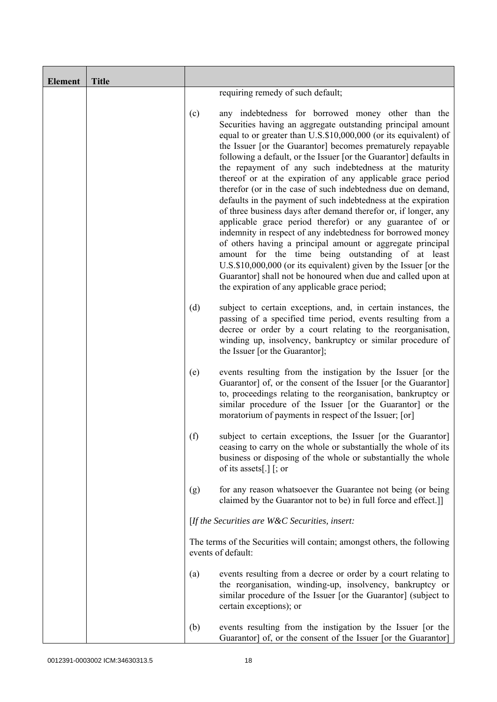| <b>Element</b> | <b>Title</b> |     |                                                                                                                                                                                                                                                                                                                                                                                                                                                                                                                                                                                                                                                                                                                                                                                                                                                                                                                                                                                                                                                                                             |
|----------------|--------------|-----|---------------------------------------------------------------------------------------------------------------------------------------------------------------------------------------------------------------------------------------------------------------------------------------------------------------------------------------------------------------------------------------------------------------------------------------------------------------------------------------------------------------------------------------------------------------------------------------------------------------------------------------------------------------------------------------------------------------------------------------------------------------------------------------------------------------------------------------------------------------------------------------------------------------------------------------------------------------------------------------------------------------------------------------------------------------------------------------------|
|                |              |     | requiring remedy of such default;                                                                                                                                                                                                                                                                                                                                                                                                                                                                                                                                                                                                                                                                                                                                                                                                                                                                                                                                                                                                                                                           |
|                |              | (c) | any indebtedness for borrowed money other than the<br>Securities having an aggregate outstanding principal amount<br>equal to or greater than U.S.\$10,000,000 (or its equivalent) of<br>the Issuer [or the Guarantor] becomes prematurely repayable<br>following a default, or the Issuer [or the Guarantor] defaults in<br>the repayment of any such indebtedness at the maturity<br>thereof or at the expiration of any applicable grace period<br>therefor (or in the case of such indebtedness due on demand,<br>defaults in the payment of such indebtedness at the expiration<br>of three business days after demand therefor or, if longer, any<br>applicable grace period therefor) or any guarantee of or<br>indemnity in respect of any indebtedness for borrowed money<br>of others having a principal amount or aggregate principal<br>amount for the time being outstanding of at least<br>U.S.\$10,000,000 (or its equivalent) given by the Issuer [or the<br>Guarantor] shall not be honoured when due and called upon at<br>the expiration of any applicable grace period; |
|                |              | (d) | subject to certain exceptions, and, in certain instances, the<br>passing of a specified time period, events resulting from a<br>decree or order by a court relating to the reorganisation,<br>winding up, insolvency, bankruptcy or similar procedure of<br>the Issuer [or the Guarantor];                                                                                                                                                                                                                                                                                                                                                                                                                                                                                                                                                                                                                                                                                                                                                                                                  |
|                |              | (e) | events resulting from the instigation by the Issuer [or the<br>Guarantor] of, or the consent of the Issuer [or the Guarantor]<br>to, proceedings relating to the reorganisation, bankruptcy or<br>similar procedure of the Issuer [or the Guarantor] or the<br>moratorium of payments in respect of the Issuer; [or]                                                                                                                                                                                                                                                                                                                                                                                                                                                                                                                                                                                                                                                                                                                                                                        |
|                |              | (f) | subject to certain exceptions, the Issuer [or the Guarantor]<br>ceasing to carry on the whole or substantially the whole of its<br>business or disposing of the whole or substantially the whole<br>of its assets[.] $\lceil$ ; or                                                                                                                                                                                                                                                                                                                                                                                                                                                                                                                                                                                                                                                                                                                                                                                                                                                          |
|                |              | (g) | for any reason whatsoever the Guarantee not being (or being<br>claimed by the Guarantor not to be) in full force and effect.]]                                                                                                                                                                                                                                                                                                                                                                                                                                                                                                                                                                                                                                                                                                                                                                                                                                                                                                                                                              |
|                |              |     | [If the Securities are $W\&C$ Securities, insert:                                                                                                                                                                                                                                                                                                                                                                                                                                                                                                                                                                                                                                                                                                                                                                                                                                                                                                                                                                                                                                           |
|                |              |     | The terms of the Securities will contain; amongst others, the following<br>events of default:                                                                                                                                                                                                                                                                                                                                                                                                                                                                                                                                                                                                                                                                                                                                                                                                                                                                                                                                                                                               |
|                |              | (a) | events resulting from a decree or order by a court relating to<br>the reorganisation, winding-up, insolvency, bankruptcy or<br>similar procedure of the Issuer [or the Guarantor] (subject to<br>certain exceptions); or                                                                                                                                                                                                                                                                                                                                                                                                                                                                                                                                                                                                                                                                                                                                                                                                                                                                    |
|                |              | (b) | events resulting from the instigation by the Issuer [or the<br>Guarantor] of, or the consent of the Issuer [or the Guarantor]                                                                                                                                                                                                                                                                                                                                                                                                                                                                                                                                                                                                                                                                                                                                                                                                                                                                                                                                                               |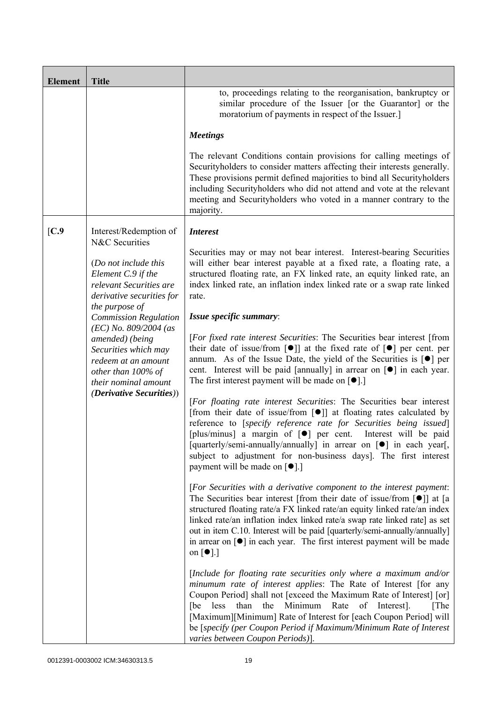| <b>Element</b>  | <b>Title</b>                                                                                                                            |                                                                                                                                                                                                                                                                                                                                                                                                                                                                                                                                            |
|-----------------|-----------------------------------------------------------------------------------------------------------------------------------------|--------------------------------------------------------------------------------------------------------------------------------------------------------------------------------------------------------------------------------------------------------------------------------------------------------------------------------------------------------------------------------------------------------------------------------------------------------------------------------------------------------------------------------------------|
|                 |                                                                                                                                         | to, proceedings relating to the reorganisation, bankruptcy or<br>similar procedure of the Issuer [or the Guarantor] or the<br>moratorium of payments in respect of the Issuer.]                                                                                                                                                                                                                                                                                                                                                            |
|                 |                                                                                                                                         | <b>Meetings</b>                                                                                                                                                                                                                                                                                                                                                                                                                                                                                                                            |
|                 |                                                                                                                                         | The relevant Conditions contain provisions for calling meetings of<br>Securityholders to consider matters affecting their interests generally.<br>These provisions permit defined majorities to bind all Securityholders<br>including Securityholders who did not attend and vote at the relevant<br>meeting and Securityholders who voted in a manner contrary to the<br>majority.                                                                                                                                                        |
| $\mathcal{C}.9$ | Interest/Redemption of<br>N&C Securities                                                                                                | <b>Interest</b>                                                                                                                                                                                                                                                                                                                                                                                                                                                                                                                            |
|                 | (Do not include this<br>Element C.9 if the<br>relevant Securities are<br>derivative securities for                                      | Securities may or may not bear interest. Interest-bearing Securities<br>will either bear interest payable at a fixed rate, a floating rate, a<br>structured floating rate, an FX linked rate, an equity linked rate, an<br>index linked rate, an inflation index linked rate or a swap rate linked<br>rate.                                                                                                                                                                                                                                |
|                 | the purpose of<br><b>Commission Regulation</b>                                                                                          | Issue specific summary:                                                                                                                                                                                                                                                                                                                                                                                                                                                                                                                    |
|                 | $(EC)$ No. 809/2004 (as<br>amended) (being<br>Securities which may<br>redeem at an amount<br>other than 100% of<br>their nominal amount | [For fixed rate interest Securities: The Securities bear interest [from<br>their date of issue/from $\lceil \bullet \rceil$ at the fixed rate of $\lceil \bullet \rceil$ per cent. per<br>annum. As of the Issue Date, the yield of the Securities is $\lceil \bullet \rceil$ per<br>cent. Interest will be paid [annually] in arrear on $\lceil \bullet \rceil$ in each year.<br>The first interest payment will be made on $[\bullet]$ .]                                                                                                |
|                 | <i>(Derivative Securities))</i>                                                                                                         | [For floating rate interest Securities: The Securities bear interest<br>[from their date of issue/from $\lceil \bullet \rceil$ ] at floating rates calculated by<br>reference to [specify reference rate for Securities being issued]<br>[plus/minus] a margin of [ $\bullet$ ] per cent. Interest will be paid<br>[quarterly/semi-annually/annually] in arrear on [ $\bullet$ ] in each year[,<br>subject to adjustment for non-business days]. The first interest<br>payment will be made on $\lceil \bullet \rceil$ .]                  |
|                 |                                                                                                                                         | [For Securities with a derivative component to the interest payment:<br>The Securities bear interest [from their date of issue/from $\lceil \bullet \rceil$ ] at [a<br>structured floating rate/a FX linked rate/an equity linked rate/an index<br>linked rate/an inflation index linked rate/a swap rate linked rate] as set<br>out in item C.10. Interest will be paid [quarterly/semi-annually/annually]<br>in arrear on $\lceil \bullet \rceil$ in each year. The first interest payment will be made<br>on $\lceil \bullet \rceil$ .] |
|                 |                                                                                                                                         | [Include for floating rate securities only where a maximum and/or<br>minumum rate of interest applies: The Rate of Interest [for any<br>Coupon Period] shall not [exceed the Maximum Rate of Interest] [or]<br>[be less than the Minimum Rate of Interest].<br>[The<br>[Maximum][Minimum] Rate of Interest for [each Coupon Period] will<br>be [specify (per Coupon Period if Maximum/Minimum Rate of Interest<br>varies between Coupon Periods)].                                                                                         |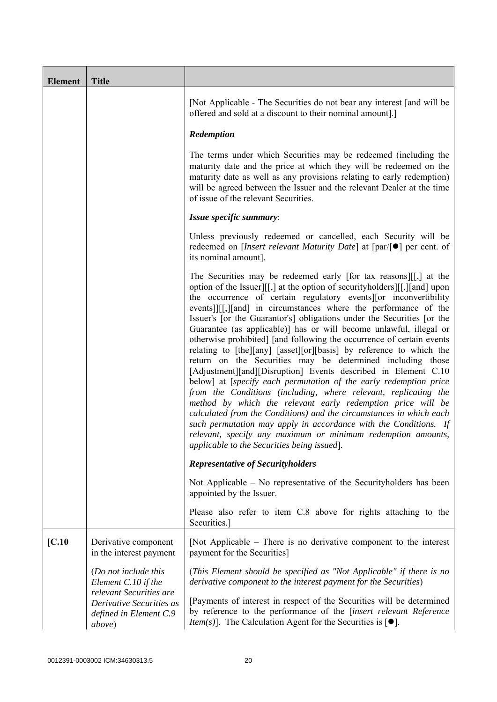|        |                                                                                                                                                | [Not Applicable - The Securities do not bear any interest [and will be<br>offered and sold at a discount to their nominal amount].]                                                                                                                                                                                                                                                                                                                                                                                                                                                                                                                                                                                                                                                                                                                                                                                                                                                                                                                                                                                                                                                   |
|--------|------------------------------------------------------------------------------------------------------------------------------------------------|---------------------------------------------------------------------------------------------------------------------------------------------------------------------------------------------------------------------------------------------------------------------------------------------------------------------------------------------------------------------------------------------------------------------------------------------------------------------------------------------------------------------------------------------------------------------------------------------------------------------------------------------------------------------------------------------------------------------------------------------------------------------------------------------------------------------------------------------------------------------------------------------------------------------------------------------------------------------------------------------------------------------------------------------------------------------------------------------------------------------------------------------------------------------------------------|
|        |                                                                                                                                                | Redemption                                                                                                                                                                                                                                                                                                                                                                                                                                                                                                                                                                                                                                                                                                                                                                                                                                                                                                                                                                                                                                                                                                                                                                            |
|        |                                                                                                                                                | The terms under which Securities may be redeemed (including the<br>maturity date and the price at which they will be redeemed on the<br>maturity date as well as any provisions relating to early redemption)<br>will be agreed between the Issuer and the relevant Dealer at the time<br>of issue of the relevant Securities.                                                                                                                                                                                                                                                                                                                                                                                                                                                                                                                                                                                                                                                                                                                                                                                                                                                        |
|        |                                                                                                                                                | Issue specific summary:                                                                                                                                                                                                                                                                                                                                                                                                                                                                                                                                                                                                                                                                                                                                                                                                                                                                                                                                                                                                                                                                                                                                                               |
|        |                                                                                                                                                | Unless previously redeemed or cancelled, each Security will be<br>redeemed on [ <i>Insert relevant Maturity Date</i> ] at $\lceil par/\lceil \bullet \rceil$ per cent. of<br>its nominal amount].                                                                                                                                                                                                                                                                                                                                                                                                                                                                                                                                                                                                                                                                                                                                                                                                                                                                                                                                                                                     |
|        |                                                                                                                                                | The Securities may be redeemed early [for tax reasons][[,] at the<br>option of the Issuer][[,] at the option of security holders][[,][and] upon<br>the occurrence of certain regulatory events or inconvertibility<br>events]][[,][and] in circumstances where the performance of the<br>Issuer's [or the Guarantor's] obligations under the Securities [or the<br>Guarantee (as applicable)] has or will become unlawful, illegal or<br>otherwise prohibited] [and following the occurrence of certain events<br>relating to [the][any] [asset][or][basis] by reference to which the<br>return on the Securities may be determined including those<br>[Adjustment][and][Disruption] Events described in Element C.10<br>below] at [specify each permutation of the early redemption price<br>from the Conditions (including, where relevant, replicating the<br>method by which the relevant early redemption price will be<br>calculated from the Conditions) and the circumstances in which each<br>such permutation may apply in accordance with the Conditions. If<br>relevant, specify any maximum or minimum redemption amounts,<br>applicable to the Securities being issued. |
|        |                                                                                                                                                | <b>Representative of Securityholders</b>                                                                                                                                                                                                                                                                                                                                                                                                                                                                                                                                                                                                                                                                                                                                                                                                                                                                                                                                                                                                                                                                                                                                              |
|        |                                                                                                                                                | Not Applicable – No representative of the Security holders has been<br>appointed by the Issuer.                                                                                                                                                                                                                                                                                                                                                                                                                                                                                                                                                                                                                                                                                                                                                                                                                                                                                                                                                                                                                                                                                       |
|        |                                                                                                                                                | Please also refer to item C.8 above for rights attaching to the<br>Securities.                                                                                                                                                                                                                                                                                                                                                                                                                                                                                                                                                                                                                                                                                                                                                                                                                                                                                                                                                                                                                                                                                                        |
| [C.10] | Derivative component<br>in the interest payment                                                                                                | [Not Applicable – There is no derivative component to the interest<br>payment for the Securities]                                                                                                                                                                                                                                                                                                                                                                                                                                                                                                                                                                                                                                                                                                                                                                                                                                                                                                                                                                                                                                                                                     |
|        | (Do not include this<br>Element C.10 if the<br>relevant Securities are<br>Derivative Securities as<br>defined in Element C.9<br><i>above</i> ) | (This Element should be specified as "Not Applicable" if there is no<br>derivative component to the interest payment for the Securities)<br>[Payments of interest in respect of the Securities will be determined<br>by reference to the performance of the [insert relevant Reference<br><i>Item(s)</i> ]. The Calculation Agent for the Securities is $[•]$ .                                                                                                                                                                                                                                                                                                                                                                                                                                                                                                                                                                                                                                                                                                                                                                                                                       |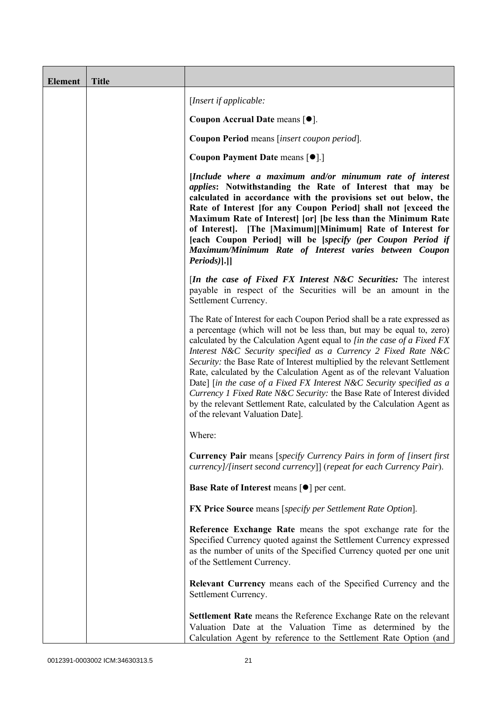| <b>Element</b> | <b>Title</b> |                                                                                                                                                                                                                                                                                                                                                                                                                                                                                                                                                                                                                                                                                                                        |
|----------------|--------------|------------------------------------------------------------------------------------------------------------------------------------------------------------------------------------------------------------------------------------------------------------------------------------------------------------------------------------------------------------------------------------------------------------------------------------------------------------------------------------------------------------------------------------------------------------------------------------------------------------------------------------------------------------------------------------------------------------------------|
|                |              | [Insert if applicable:                                                                                                                                                                                                                                                                                                                                                                                                                                                                                                                                                                                                                                                                                                 |
|                |              | Coupon Accrual Date means [ $\bullet$ ].                                                                                                                                                                                                                                                                                                                                                                                                                                                                                                                                                                                                                                                                               |
|                |              | Coupon Period means [insert coupon period].                                                                                                                                                                                                                                                                                                                                                                                                                                                                                                                                                                                                                                                                            |
|                |              | Coupon Payment Date means [ $\bullet$ ].]                                                                                                                                                                                                                                                                                                                                                                                                                                                                                                                                                                                                                                                                              |
|                |              | [Include where a maximum and/or minumum rate of interest<br><i>applies:</i> Notwithstanding the Rate of Interest that may be<br>calculated in accordance with the provisions set out below, the<br>Rate of Interest [for any Coupon Period] shall not [exceed the<br>Maximum Rate of Interest [or] [be less than the Minimum Rate<br>of Interest]. [The [Maximum][Minimum] Rate of Interest for<br>[each Coupon Period] will be [specify (per Coupon Period if<br>Maximum/Minimum Rate of Interest varies between Coupon<br>$Periods$ ].]                                                                                                                                                                              |
|                |              | [In the case of Fixed FX Interest N&C Securities: The interest<br>payable in respect of the Securities will be an amount in the<br>Settlement Currency.                                                                                                                                                                                                                                                                                                                                                                                                                                                                                                                                                                |
|                |              | The Rate of Interest for each Coupon Period shall be a rate expressed as<br>a percentage (which will not be less than, but may be equal to, zero)<br>calculated by the Calculation Agent equal to [in the case of a Fixed FX<br>Interest N&C Security specified as a Currency 2 Fixed Rate N&C<br>Security: the Base Rate of Interest multiplied by the relevant Settlement<br>Rate, calculated by the Calculation Agent as of the relevant Valuation<br>Date] [in the case of a Fixed FX Interest N&C Security specified as a<br>Currency 1 Fixed Rate N&C Security: the Base Rate of Interest divided<br>by the relevant Settlement Rate, calculated by the Calculation Agent as<br>of the relevant Valuation Date]. |
|                |              | Where:                                                                                                                                                                                                                                                                                                                                                                                                                                                                                                                                                                                                                                                                                                                 |
|                |              | <b>Currency Pair</b> means [specify Currency Pairs in form of [insert first]<br>currency]/[insert second currency]] (repeat for each Currency Pair).                                                                                                                                                                                                                                                                                                                                                                                                                                                                                                                                                                   |
|                |              | <b>Base Rate of Interest means <math>\lceil \bullet \rceil</math> per cent.</b>                                                                                                                                                                                                                                                                                                                                                                                                                                                                                                                                                                                                                                        |
|                |              | <b>FX Price Source</b> means [specify per Settlement Rate Option].                                                                                                                                                                                                                                                                                                                                                                                                                                                                                                                                                                                                                                                     |
|                |              | Reference Exchange Rate means the spot exchange rate for the<br>Specified Currency quoted against the Settlement Currency expressed<br>as the number of units of the Specified Currency quoted per one unit<br>of the Settlement Currency.                                                                                                                                                                                                                                                                                                                                                                                                                                                                             |
|                |              | Relevant Currency means each of the Specified Currency and the<br>Settlement Currency.                                                                                                                                                                                                                                                                                                                                                                                                                                                                                                                                                                                                                                 |
|                |              | <b>Settlement Rate</b> means the Reference Exchange Rate on the relevant<br>Valuation Date at the Valuation Time as determined by the<br>Calculation Agent by reference to the Settlement Rate Option (and                                                                                                                                                                                                                                                                                                                                                                                                                                                                                                             |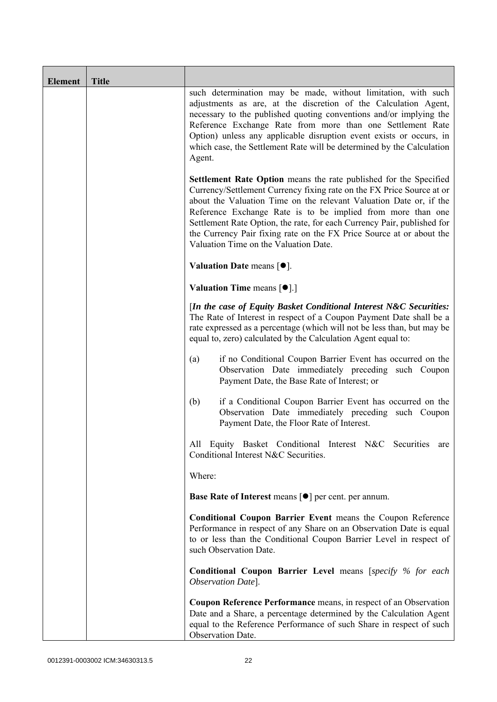| <b>Element</b> | <b>Title</b> |                                                                                                                                                                                                                                                                                                                                                                                                                                                                                    |
|----------------|--------------|------------------------------------------------------------------------------------------------------------------------------------------------------------------------------------------------------------------------------------------------------------------------------------------------------------------------------------------------------------------------------------------------------------------------------------------------------------------------------------|
|                |              | such determination may be made, without limitation, with such<br>adjustments as are, at the discretion of the Calculation Agent,<br>necessary to the published quoting conventions and/or implying the<br>Reference Exchange Rate from more than one Settlement Rate<br>Option) unless any applicable disruption event exists or occurs, in<br>which case, the Settlement Rate will be determined by the Calculation<br>Agent.                                                     |
|                |              | <b>Settlement Rate Option</b> means the rate published for the Specified<br>Currency/Settlement Currency fixing rate on the FX Price Source at or<br>about the Valuation Time on the relevant Valuation Date or, if the<br>Reference Exchange Rate is to be implied from more than one<br>Settlement Rate Option, the rate, for each Currency Pair, published for<br>the Currency Pair fixing rate on the FX Price Source at or about the<br>Valuation Time on the Valuation Date. |
|                |              | Valuation Date means $[•]$ .                                                                                                                                                                                                                                                                                                                                                                                                                                                       |
|                |              | <b>Valuation Time means <math>\lceil \bullet \rceil</math>.</b>                                                                                                                                                                                                                                                                                                                                                                                                                    |
|                |              | [In the case of Equity Basket Conditional Interest N&C Securities:<br>The Rate of Interest in respect of a Coupon Payment Date shall be a<br>rate expressed as a percentage (which will not be less than, but may be<br>equal to, zero) calculated by the Calculation Agent equal to:                                                                                                                                                                                              |
|                |              | if no Conditional Coupon Barrier Event has occurred on the<br>(a)<br>Observation Date immediately preceding such Coupon<br>Payment Date, the Base Rate of Interest; or                                                                                                                                                                                                                                                                                                             |
|                |              | if a Conditional Coupon Barrier Event has occurred on the<br>(b)<br>Observation Date immediately preceding such Coupon<br>Payment Date, the Floor Rate of Interest.                                                                                                                                                                                                                                                                                                                |
|                |              | All Equity Basket Conditional Interest N&C Securities<br>are<br>Conditional Interest N&C Securities.                                                                                                                                                                                                                                                                                                                                                                               |
|                |              | Where:                                                                                                                                                                                                                                                                                                                                                                                                                                                                             |
|                |              | <b>Base Rate of Interest means [<math>\bullet</math>] per cent. per annum.</b>                                                                                                                                                                                                                                                                                                                                                                                                     |
|                |              | <b>Conditional Coupon Barrier Event means the Coupon Reference</b><br>Performance in respect of any Share on an Observation Date is equal<br>to or less than the Conditional Coupon Barrier Level in respect of<br>such Observation Date.                                                                                                                                                                                                                                          |
|                |              | <b>Conditional Coupon Barrier Level means [specify % for each</b><br>Observation Date].                                                                                                                                                                                                                                                                                                                                                                                            |
|                |              | Coupon Reference Performance means, in respect of an Observation<br>Date and a Share, a percentage determined by the Calculation Agent<br>equal to the Reference Performance of such Share in respect of such<br>Observation Date.                                                                                                                                                                                                                                                 |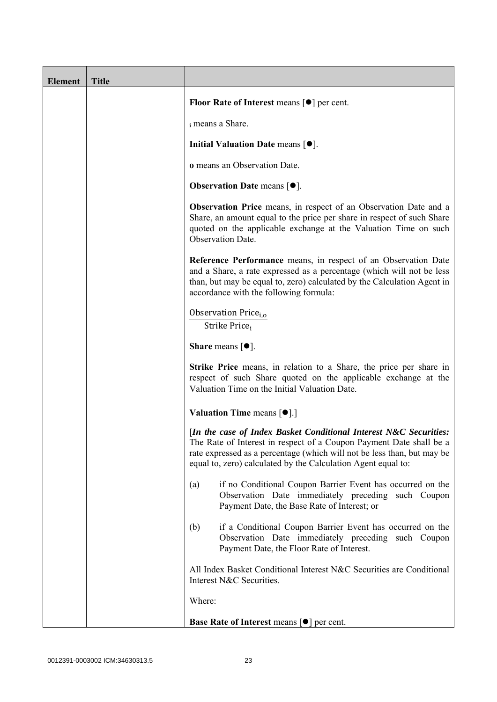| <b>Element</b> | <b>Title</b> |                                                                                                                                                                                                                                                                                      |
|----------------|--------------|--------------------------------------------------------------------------------------------------------------------------------------------------------------------------------------------------------------------------------------------------------------------------------------|
|                |              | <b>Floor Rate of Interest means <math>\lceil \bullet \rceil</math> per cent.</b>                                                                                                                                                                                                     |
|                |              | i means a Share.                                                                                                                                                                                                                                                                     |
|                |              | Initial Valuation Date means $[•]$ .                                                                                                                                                                                                                                                 |
|                |              | o means an Observation Date.                                                                                                                                                                                                                                                         |
|                |              | <b>Observation Date means <math>\lceil \bullet \rceil</math>.</b>                                                                                                                                                                                                                    |
|                |              | <b>Observation Price</b> means, in respect of an Observation Date and a<br>Share, an amount equal to the price per share in respect of such Share<br>quoted on the applicable exchange at the Valuation Time on such<br>Observation Date.                                            |
|                |              | Reference Performance means, in respect of an Observation Date<br>and a Share, a rate expressed as a percentage (which will not be less<br>than, but may be equal to, zero) calculated by the Calculation Agent in<br>accordance with the following formula:                         |
|                |              | Observation Price <sub>i.o</sub><br>Strike Price <sub>i</sub>                                                                                                                                                                                                                        |
|                |              | <b>Share</b> means $[①]$ .                                                                                                                                                                                                                                                           |
|                |              | <b>Strike Price</b> means, in relation to a Share, the price per share in<br>respect of such Share quoted on the applicable exchange at the<br>Valuation Time on the Initial Valuation Date.                                                                                         |
|                |              | <b>Valuation Time means <math>\lceil \bullet \rceil</math>.</b>                                                                                                                                                                                                                      |
|                |              | [In the case of Index Basket Conditional Interest N&C Securities:<br>The Rate of Interest in respect of a Coupon Payment Date shall be a<br>rate expressed as a percentage (which will not be less than, but may be<br>equal to, zero) calculated by the Calculation Agent equal to: |
|                |              | if no Conditional Coupon Barrier Event has occurred on the<br>(a)<br>Observation Date immediately preceding such Coupon<br>Payment Date, the Base Rate of Interest; or                                                                                                               |
|                |              | if a Conditional Coupon Barrier Event has occurred on the<br>(b)<br>Observation Date immediately preceding such Coupon<br>Payment Date, the Floor Rate of Interest.                                                                                                                  |
|                |              | All Index Basket Conditional Interest N&C Securities are Conditional<br>Interest N&C Securities.                                                                                                                                                                                     |
|                |              | Where:                                                                                                                                                                                                                                                                               |
|                |              | <b>Base Rate of Interest means [O] per cent.</b>                                                                                                                                                                                                                                     |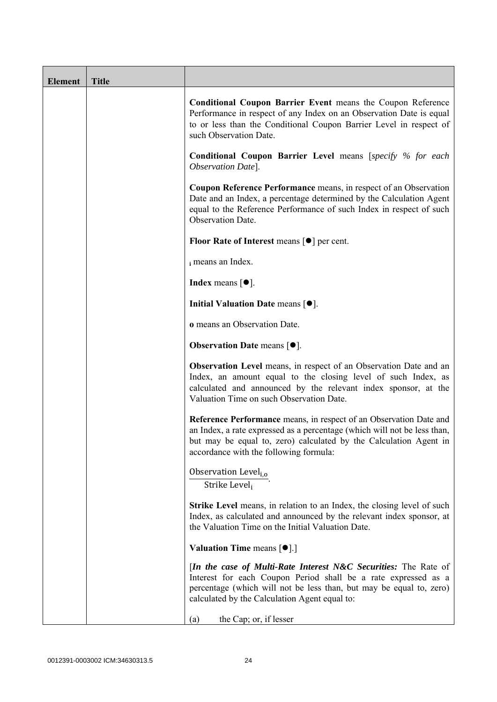| <b>Element</b> | <b>Title</b> |                                                                                                                                                                                                                                                               |
|----------------|--------------|---------------------------------------------------------------------------------------------------------------------------------------------------------------------------------------------------------------------------------------------------------------|
|                |              | Conditional Coupon Barrier Event means the Coupon Reference<br>Performance in respect of any Index on an Observation Date is equal<br>to or less than the Conditional Coupon Barrier Level in respect of<br>such Observation Date.                            |
|                |              | <b>Conditional Coupon Barrier Level means [specify % for each</b><br>Observation Date].                                                                                                                                                                       |
|                |              | Coupon Reference Performance means, in respect of an Observation<br>Date and an Index, a percentage determined by the Calculation Agent<br>equal to the Reference Performance of such Index in respect of such<br>Observation Date.                           |
|                |              | Floor Rate of Interest means [●] per cent.                                                                                                                                                                                                                    |
|                |              | i means an Index.                                                                                                                                                                                                                                             |
|                |              | <b>Index</b> means $\lceil \bullet \rceil$ .                                                                                                                                                                                                                  |
|                |              | Initial Valuation Date means $[•]$ .                                                                                                                                                                                                                          |
|                |              | o means an Observation Date.                                                                                                                                                                                                                                  |
|                |              | <b>Observation Date means <math>\lceil \bullet \rceil</math>.</b>                                                                                                                                                                                             |
|                |              | <b>Observation Level</b> means, in respect of an Observation Date and an<br>Index, an amount equal to the closing level of such Index, as<br>calculated and announced by the relevant index sponsor, at the<br>Valuation Time on such Observation Date.       |
|                |              | Reference Performance means, in respect of an Observation Date and<br>an Index, a rate expressed as a percentage (which will not be less than,<br>but may be equal to, zero) calculated by the Calculation Agent in<br>accordance with the following formula: |
|                |              | Observation Level <sub>i,o</sub><br>Strike Level <sub>i</sub>                                                                                                                                                                                                 |
|                |              | <b>Strike Level</b> means, in relation to an Index, the closing level of such<br>Index, as calculated and announced by the relevant index sponsor, at<br>the Valuation Time on the Initial Valuation Date.                                                    |
|                |              | <b>Valuation Time means [O].]</b>                                                                                                                                                                                                                             |
|                |              | [In the case of Multi-Rate Interest N&C Securities: The Rate of<br>Interest for each Coupon Period shall be a rate expressed as a<br>percentage (which will not be less than, but may be equal to, zero)<br>calculated by the Calculation Agent equal to:     |
|                |              | the Cap; or, if lesser<br>(a)                                                                                                                                                                                                                                 |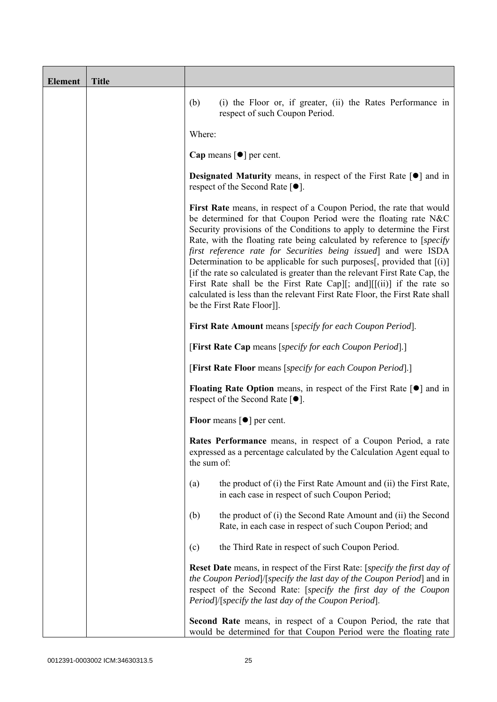| <b>Element</b> | <b>Title</b> |                                                                                                                                                                                                                                                                                                                                                                                                                                                                                                                                                                                                                                                                                                                  |
|----------------|--------------|------------------------------------------------------------------------------------------------------------------------------------------------------------------------------------------------------------------------------------------------------------------------------------------------------------------------------------------------------------------------------------------------------------------------------------------------------------------------------------------------------------------------------------------------------------------------------------------------------------------------------------------------------------------------------------------------------------------|
|                |              | (b)<br>(i) the Floor or, if greater, (ii) the Rates Performance in<br>respect of such Coupon Period.                                                                                                                                                                                                                                                                                                                                                                                                                                                                                                                                                                                                             |
|                |              | Where:                                                                                                                                                                                                                                                                                                                                                                                                                                                                                                                                                                                                                                                                                                           |
|                |              | Cap means $\lceil \bullet \rceil$ per cent.                                                                                                                                                                                                                                                                                                                                                                                                                                                                                                                                                                                                                                                                      |
|                |              | <b>Designated Maturity</b> means, in respect of the First Rate $\lceil \bullet \rceil$ and in<br>respect of the Second Rate $[•]$ .                                                                                                                                                                                                                                                                                                                                                                                                                                                                                                                                                                              |
|                |              | First Rate means, in respect of a Coupon Period, the rate that would<br>be determined for that Coupon Period were the floating rate N&C<br>Security provisions of the Conditions to apply to determine the First<br>Rate, with the floating rate being calculated by reference to [specify]<br>first reference rate for Securities being issued] and were ISDA<br>Determination to be applicable for such purposes[, provided that $[(i)]$<br>[if the rate so calculated is greater than the relevant First Rate Cap, the<br>First Rate shall be the First Rate Cap][; and][ $[(ii)]$ if the rate so<br>calculated is less than the relevant First Rate Floor, the First Rate shall<br>be the First Rate Floor]. |
|                |              | <b>First Rate Amount</b> means [specify for each Coupon Period].                                                                                                                                                                                                                                                                                                                                                                                                                                                                                                                                                                                                                                                 |
|                |              | [First Rate Cap means [specify for each Coupon Period].]                                                                                                                                                                                                                                                                                                                                                                                                                                                                                                                                                                                                                                                         |
|                |              | [First Rate Floor means [specify for each Coupon Period].]                                                                                                                                                                                                                                                                                                                                                                                                                                                                                                                                                                                                                                                       |
|                |              | <b>Floating Rate Option</b> means, in respect of the First Rate $\lceil \bullet \rceil$ and in<br>respect of the Second Rate $[•]$ .                                                                                                                                                                                                                                                                                                                                                                                                                                                                                                                                                                             |
|                |              | <b>Floor</b> means $\lceil \bullet \rceil$ per cent.                                                                                                                                                                                                                                                                                                                                                                                                                                                                                                                                                                                                                                                             |
|                |              | Rates Performance means, in respect of a Coupon Period, a rate<br>expressed as a percentage calculated by the Calculation Agent equal to<br>the sum of:                                                                                                                                                                                                                                                                                                                                                                                                                                                                                                                                                          |
|                |              | the product of (i) the First Rate Amount and (ii) the First Rate,<br>(a)<br>in each case in respect of such Coupon Period;                                                                                                                                                                                                                                                                                                                                                                                                                                                                                                                                                                                       |
|                |              | the product of (i) the Second Rate Amount and (ii) the Second<br>(b)<br>Rate, in each case in respect of such Coupon Period; and                                                                                                                                                                                                                                                                                                                                                                                                                                                                                                                                                                                 |
|                |              | the Third Rate in respect of such Coupon Period.<br>(c)                                                                                                                                                                                                                                                                                                                                                                                                                                                                                                                                                                                                                                                          |
|                |              | <b>Reset Date</b> means, in respect of the First Rate: [specify the first day of<br>the Coupon Period) [specify the last day of the Coupon Period] and in<br>respect of the Second Rate: [specify the first day of the Coupon<br>Period /[specify the last day of the Coupon Period].                                                                                                                                                                                                                                                                                                                                                                                                                            |
|                |              | Second Rate means, in respect of a Coupon Period, the rate that<br>would be determined for that Coupon Period were the floating rate                                                                                                                                                                                                                                                                                                                                                                                                                                                                                                                                                                             |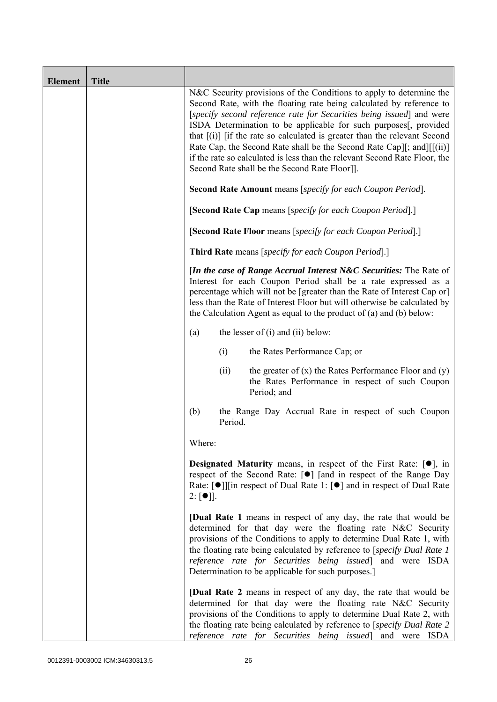| <b>Element</b> | <b>Title</b> |                                                                                                                                                                                                                                                                                                                                                                                                                                                                                                                                                                               |
|----------------|--------------|-------------------------------------------------------------------------------------------------------------------------------------------------------------------------------------------------------------------------------------------------------------------------------------------------------------------------------------------------------------------------------------------------------------------------------------------------------------------------------------------------------------------------------------------------------------------------------|
|                |              | N&C Security provisions of the Conditions to apply to determine the<br>Second Rate, with the floating rate being calculated by reference to<br>[specify second reference rate for Securities being issued] and were<br>ISDA Determination to be applicable for such purposes[, provided<br>that $[(i)]$ if the rate so calculated is greater than the relevant Second<br>Rate Cap, the Second Rate shall be the Second Rate Cap][; and][[(ii)]<br>if the rate so calculated is less than the relevant Second Rate Floor, the<br>Second Rate shall be the Second Rate Floor]]. |
|                |              | Second Rate Amount means [specify for each Coupon Period].                                                                                                                                                                                                                                                                                                                                                                                                                                                                                                                    |
|                |              | [Second Rate Cap means [specify for each Coupon Period].]                                                                                                                                                                                                                                                                                                                                                                                                                                                                                                                     |
|                |              | [Second Rate Floor means [specify for each Coupon Period].]                                                                                                                                                                                                                                                                                                                                                                                                                                                                                                                   |
|                |              | Third Rate means [specify for each Coupon Period].]                                                                                                                                                                                                                                                                                                                                                                                                                                                                                                                           |
|                |              | <i>In the case of Range Accrual Interest N&amp;C Securities:</i> The Rate of<br>Interest for each Coupon Period shall be a rate expressed as a<br>percentage which will not be [greater than the Rate of Interest Cap or]<br>less than the Rate of Interest Floor but will otherwise be calculated by<br>the Calculation Agent as equal to the product of $(a)$ and $(b)$ below:                                                                                                                                                                                              |
|                |              | the lesser of $(i)$ and $(ii)$ below:<br>(a)                                                                                                                                                                                                                                                                                                                                                                                                                                                                                                                                  |
|                |              | (i)<br>the Rates Performance Cap; or                                                                                                                                                                                                                                                                                                                                                                                                                                                                                                                                          |
|                |              | the greater of $(x)$ the Rates Performance Floor and $(y)$<br>(ii)<br>the Rates Performance in respect of such Coupon<br>Period; and                                                                                                                                                                                                                                                                                                                                                                                                                                          |
|                |              | (b)<br>the Range Day Accrual Rate in respect of such Coupon<br>Period.                                                                                                                                                                                                                                                                                                                                                                                                                                                                                                        |
|                |              | Where:                                                                                                                                                                                                                                                                                                                                                                                                                                                                                                                                                                        |
|                |              | <b>Designated Maturity</b> means, in respect of the First Rate: $[•]$ , in<br>respect of the Second Rate: [●] [and in respect of the Range Day<br>Rate: [●]][in respect of Dual Rate 1: [●] and in respect of Dual Rate<br>$2: [\bullet]$ .                                                                                                                                                                                                                                                                                                                                   |
|                |              | <b>[Dual Rate 1</b> means in respect of any day, the rate that would be<br>determined for that day were the floating rate N&C Security<br>provisions of the Conditions to apply to determine Dual Rate 1, with<br>the floating rate being calculated by reference to [specify Dual Rate 1]<br>reference rate for Securities being issued] and were ISDA<br>Determination to be applicable for such purposes.]                                                                                                                                                                 |
|                |              | <b>[Dual Rate 2</b> means in respect of any day, the rate that would be<br>determined for that day were the floating rate N&C Security<br>provisions of the Conditions to apply to determine Dual Rate 2, with<br>the floating rate being calculated by reference to [specify Dual Rate 2<br>reference rate for Securities being issued and were ISDA                                                                                                                                                                                                                         |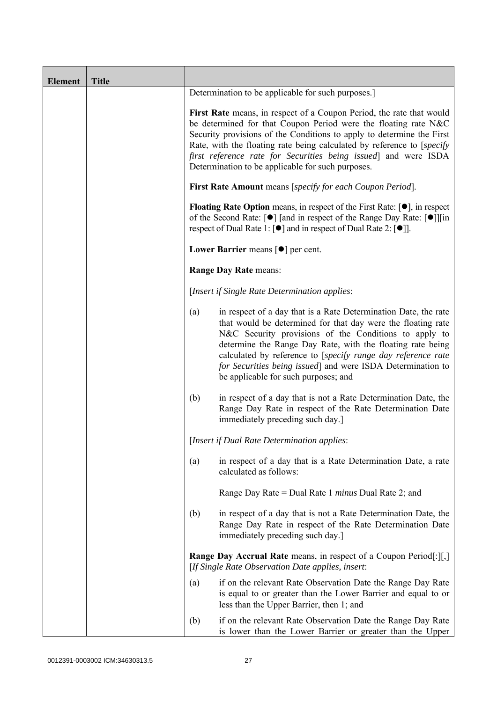| <b>Element</b> | <b>Title</b> |     |                                                                                                                                                                                                                                                                                                                                                                                                                               |
|----------------|--------------|-----|-------------------------------------------------------------------------------------------------------------------------------------------------------------------------------------------------------------------------------------------------------------------------------------------------------------------------------------------------------------------------------------------------------------------------------|
|                |              |     | Determination to be applicable for such purposes.]                                                                                                                                                                                                                                                                                                                                                                            |
|                |              |     | First Rate means, in respect of a Coupon Period, the rate that would<br>be determined for that Coupon Period were the floating rate N&C<br>Security provisions of the Conditions to apply to determine the First<br>Rate, with the floating rate being calculated by reference to [specify]<br>first reference rate for Securities being issued and were ISDA<br>Determination to be applicable for such purposes.            |
|                |              |     | First Rate Amount means [specify for each Coupon Period].                                                                                                                                                                                                                                                                                                                                                                     |
|                |              |     | <b>Floating Rate Option</b> means, in respect of the First Rate: $[•]$ , in respect<br>of the Second Rate: [ $\bullet$ ] [and in respect of the Range Day Rate: [ $\bullet$ ]][in<br>respect of Dual Rate 1: $\lceil \bullet \rceil$ and in respect of Dual Rate 2: $\lceil \bullet \rceil$ .                                                                                                                                 |
|                |              |     | Lower Barrier means $\lceil \bullet \rceil$ per cent.                                                                                                                                                                                                                                                                                                                                                                         |
|                |              |     | Range Day Rate means:                                                                                                                                                                                                                                                                                                                                                                                                         |
|                |              |     | [Insert if Single Rate Determination applies:                                                                                                                                                                                                                                                                                                                                                                                 |
|                |              | (a) | in respect of a day that is a Rate Determination Date, the rate<br>that would be determined for that day were the floating rate<br>N&C Security provisions of the Conditions to apply to<br>determine the Range Day Rate, with the floating rate being<br>calculated by reference to [specify range day reference rate<br>for Securities being issued] and were ISDA Determination to<br>be applicable for such purposes; and |
|                |              | (b) | in respect of a day that is not a Rate Determination Date, the<br>Range Day Rate in respect of the Rate Determination Date<br>immediately preceding such day.]                                                                                                                                                                                                                                                                |
|                |              |     | [Insert if Dual Rate Determination applies:                                                                                                                                                                                                                                                                                                                                                                                   |
|                |              | (a) | in respect of a day that is a Rate Determination Date, a rate<br>calculated as follows:                                                                                                                                                                                                                                                                                                                                       |
|                |              |     | Range Day Rate = Dual Rate 1 <i>minus</i> Dual Rate 2; and                                                                                                                                                                                                                                                                                                                                                                    |
|                |              | (b) | in respect of a day that is not a Rate Determination Date, the<br>Range Day Rate in respect of the Rate Determination Date<br>immediately preceding such day.]                                                                                                                                                                                                                                                                |
|                |              |     | <b>Range Day Accrual Rate</b> means, in respect of a Coupon Period[:][,]<br>[If Single Rate Observation Date applies, insert:                                                                                                                                                                                                                                                                                                 |
|                |              | (a) | if on the relevant Rate Observation Date the Range Day Rate<br>is equal to or greater than the Lower Barrier and equal to or<br>less than the Upper Barrier, then 1; and                                                                                                                                                                                                                                                      |
|                |              | (b) | if on the relevant Rate Observation Date the Range Day Rate<br>is lower than the Lower Barrier or greater than the Upper                                                                                                                                                                                                                                                                                                      |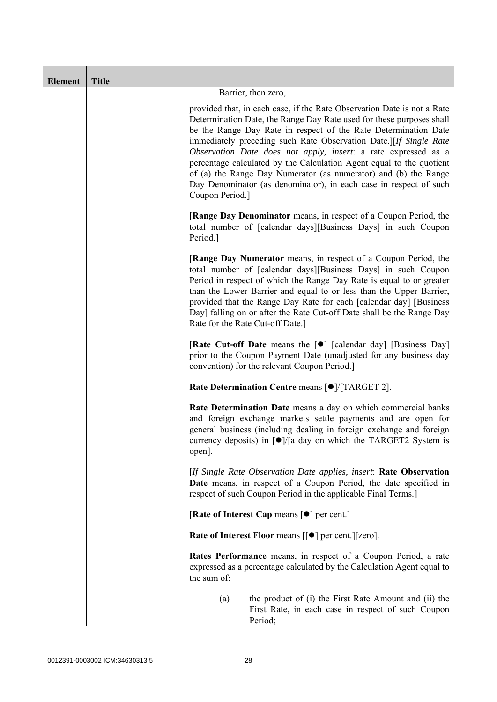| <b>Element</b> | <b>Title</b> |                                                                                                                                                                                                                                                                                                                                                                                                                                                                                                                                                                                              |
|----------------|--------------|----------------------------------------------------------------------------------------------------------------------------------------------------------------------------------------------------------------------------------------------------------------------------------------------------------------------------------------------------------------------------------------------------------------------------------------------------------------------------------------------------------------------------------------------------------------------------------------------|
|                |              | Barrier, then zero,                                                                                                                                                                                                                                                                                                                                                                                                                                                                                                                                                                          |
|                |              | provided that, in each case, if the Rate Observation Date is not a Rate<br>Determination Date, the Range Day Rate used for these purposes shall<br>be the Range Day Rate in respect of the Rate Determination Date<br>immediately preceding such Rate Observation Date.][If Single Rate<br>Observation Date does not apply, insert: a rate expressed as a<br>percentage calculated by the Calculation Agent equal to the quotient<br>of (a) the Range Day Numerator (as numerator) and (b) the Range<br>Day Denominator (as denominator), in each case in respect of such<br>Coupon Period.] |
|                |              | <b>[Range Day Denominator</b> means, in respect of a Coupon Period, the<br>total number of [calendar days][Business Days] in such Coupon<br>Period.]                                                                                                                                                                                                                                                                                                                                                                                                                                         |
|                |              | <b>[Range Day Numerator</b> means, in respect of a Coupon Period, the<br>total number of [calendar days][Business Days] in such Coupon<br>Period in respect of which the Range Day Rate is equal to or greater<br>than the Lower Barrier and equal to or less than the Upper Barrier,<br>provided that the Range Day Rate for each [calendar day] [Business<br>Day] falling on or after the Rate Cut-off Date shall be the Range Day<br>Rate for the Rate Cut-off Date.]                                                                                                                     |
|                |              | <b>[Rate Cut-off Date</b> means the [ $\bullet$ ] [calendar day] [Business Day]<br>prior to the Coupon Payment Date (unadjusted for any business day<br>convention) for the relevant Coupon Period.                                                                                                                                                                                                                                                                                                                                                                                          |
|                |              | Rate Determination Centre means [ $\bullet$ ]/[TARGET 2].                                                                                                                                                                                                                                                                                                                                                                                                                                                                                                                                    |
|                |              | Rate Determination Date means a day on which commercial banks<br>and foreign exchange markets settle payments and are open for<br>general business (including dealing in foreign exchange and foreign<br>currency deposits) in $\lceil \bullet \rceil / \lceil a \rceil$ day on which the TARGET2 System is<br>open].                                                                                                                                                                                                                                                                        |
|                |              | [If Single Rate Observation Date applies, insert: Rate Observation<br>Date means, in respect of a Coupon Period, the date specified in<br>respect of such Coupon Period in the applicable Final Terms.]                                                                                                                                                                                                                                                                                                                                                                                      |
|                |              | [Rate of Interest Cap means $\lceil \bullet \rceil$ per cent.]                                                                                                                                                                                                                                                                                                                                                                                                                                                                                                                               |
|                |              | Rate of Interest Floor means [[ $\bullet$ ] per cent.][zero].                                                                                                                                                                                                                                                                                                                                                                                                                                                                                                                                |
|                |              | <b>Rates Performance</b> means, in respect of a Coupon Period, a rate<br>expressed as a percentage calculated by the Calculation Agent equal to<br>the sum of:                                                                                                                                                                                                                                                                                                                                                                                                                               |
|                |              | the product of (i) the First Rate Amount and (ii) the<br>(a)<br>First Rate, in each case in respect of such Coupon<br>Period;                                                                                                                                                                                                                                                                                                                                                                                                                                                                |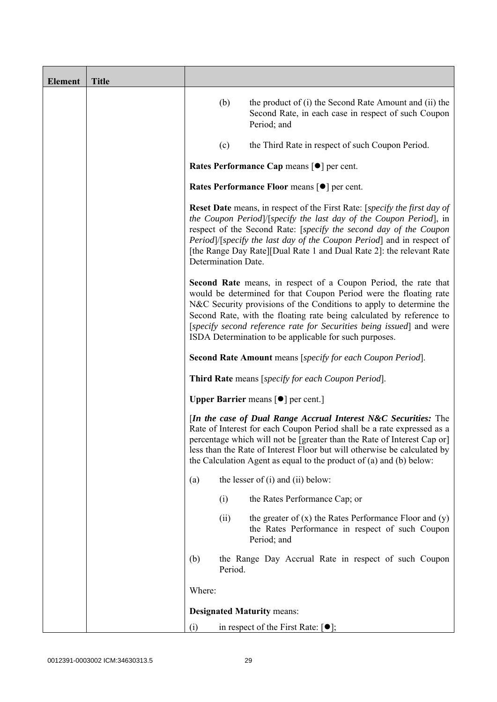| <b>Element</b> | <b>Title</b> |                     |         |                                                                                                                                                                                                                                                                                                                                                                                                                       |
|----------------|--------------|---------------------|---------|-----------------------------------------------------------------------------------------------------------------------------------------------------------------------------------------------------------------------------------------------------------------------------------------------------------------------------------------------------------------------------------------------------------------------|
|                |              |                     | (b)     | the product of (i) the Second Rate Amount and (ii) the<br>Second Rate, in each case in respect of such Coupon<br>Period; and                                                                                                                                                                                                                                                                                          |
|                |              |                     | (c)     | the Third Rate in respect of such Coupon Period.                                                                                                                                                                                                                                                                                                                                                                      |
|                |              |                     |         | Rates Performance Cap means [ $\bullet$ ] per cent.                                                                                                                                                                                                                                                                                                                                                                   |
|                |              |                     |         | Rates Performance Floor means [ $\bullet$ ] per cent.                                                                                                                                                                                                                                                                                                                                                                 |
|                |              | Determination Date. |         | <b>Reset Date</b> means, in respect of the First Rate: [specify the first day of<br>the Coupon Period /[specify the last day of the Coupon Period], in<br>respect of the Second Rate: [specify the second day of the Coupon<br>Period]/[specify the last day of the Coupon Period] and in respect of<br>[the Range Day Rate][Dual Rate 1 and Dual Rate 2]: the relevant Rate                                          |
|                |              |                     |         | Second Rate means, in respect of a Coupon Period, the rate that<br>would be determined for that Coupon Period were the floating rate<br>N&C Security provisions of the Conditions to apply to determine the<br>Second Rate, with the floating rate being calculated by reference to<br>[specify second reference rate for Securities being issued] and were<br>ISDA Determination to be applicable for such purposes. |
|                |              |                     |         | <b>Second Rate Amount</b> means [specify for each Coupon Period].                                                                                                                                                                                                                                                                                                                                                     |
|                |              |                     |         | Third Rate means [specify for each Coupon Period].                                                                                                                                                                                                                                                                                                                                                                    |
|                |              |                     |         | <b>Upper Barrier</b> means $\lceil \bullet \rceil$ per cent.]                                                                                                                                                                                                                                                                                                                                                         |
|                |              |                     |         | [In the case of Dual Range Accrual Interest N&C Securities: The<br>Rate of Interest for each Coupon Period shall be a rate expressed as a<br>percentage which will not be [greater than the Rate of Interest Cap or]<br>less than the Rate of Interest Floor but will otherwise be calculated by<br>the Calculation Agent as equal to the product of $(a)$ and $(b)$ below:                                           |
|                |              | (a)                 |         | the lesser of $(i)$ and $(ii)$ below:                                                                                                                                                                                                                                                                                                                                                                                 |
|                |              |                     | (i)     | the Rates Performance Cap; or                                                                                                                                                                                                                                                                                                                                                                                         |
|                |              |                     | (ii)    | the greater of $(x)$ the Rates Performance Floor and $(y)$<br>the Rates Performance in respect of such Coupon<br>Period; and                                                                                                                                                                                                                                                                                          |
|                |              | (b)                 | Period. | the Range Day Accrual Rate in respect of such Coupon                                                                                                                                                                                                                                                                                                                                                                  |
|                |              | Where:              |         |                                                                                                                                                                                                                                                                                                                                                                                                                       |
|                |              |                     |         | <b>Designated Maturity means:</b>                                                                                                                                                                                                                                                                                                                                                                                     |
|                |              | (i)                 |         | in respect of the First Rate: $[•]$ ;                                                                                                                                                                                                                                                                                                                                                                                 |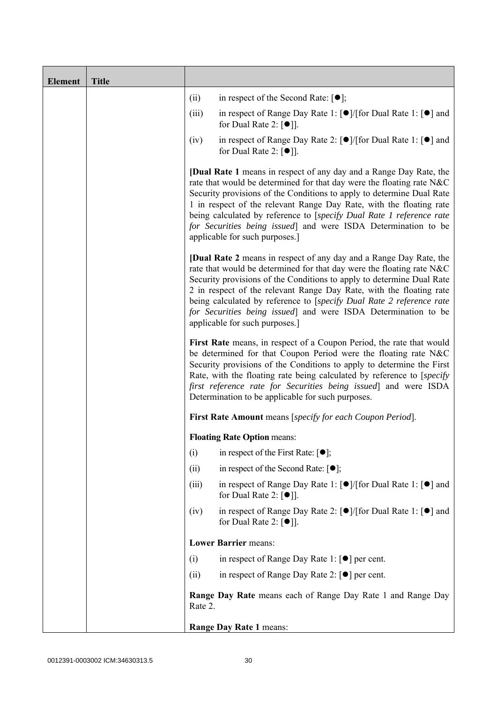| <b>Element</b> | <b>Title</b> |         |                                                                                                                                                                                                                                                                                                                                                                                                                                                                                |
|----------------|--------------|---------|--------------------------------------------------------------------------------------------------------------------------------------------------------------------------------------------------------------------------------------------------------------------------------------------------------------------------------------------------------------------------------------------------------------------------------------------------------------------------------|
|                |              | (ii)    | in respect of the Second Rate: $[•]$ ;                                                                                                                                                                                                                                                                                                                                                                                                                                         |
|                |              | (iii)   | in respect of Range Day Rate 1: $\lceil \bullet \rceil / \lceil \text{for Dual Rate 1} \rceil \rceil$ and<br>for Dual Rate 2: $\lceil \bullet \rceil$ .                                                                                                                                                                                                                                                                                                                        |
|                |              | (iv)    | in respect of Range Day Rate 2: $\lceil \bullet \rceil / [\text{for Dual Rate 1} : \lceil \bullet \rceil]$ and<br>for Dual Rate 2: $[•]$ ].                                                                                                                                                                                                                                                                                                                                    |
|                |              |         | <b>[Dual Rate 1</b> means in respect of any day and a Range Day Rate, the<br>rate that would be determined for that day were the floating rate N&C<br>Security provisions of the Conditions to apply to determine Dual Rate<br>1 in respect of the relevant Range Day Rate, with the floating rate<br>being calculated by reference to [specify Dual Rate 1 reference rate<br>for Securities being issued] and were ISDA Determination to be<br>applicable for such purposes.] |
|                |              |         | <b>[Dual Rate 2</b> means in respect of any day and a Range Day Rate, the<br>rate that would be determined for that day were the floating rate N&C<br>Security provisions of the Conditions to apply to determine Dual Rate<br>2 in respect of the relevant Range Day Rate, with the floating rate<br>being calculated by reference to [specify Dual Rate 2 reference rate<br>for Securities being issued] and were ISDA Determination to be<br>applicable for such purposes.] |
|                |              |         | First Rate means, in respect of a Coupon Period, the rate that would<br>be determined for that Coupon Period were the floating rate N&C<br>Security provisions of the Conditions to apply to determine the First<br>Rate, with the floating rate being calculated by reference to [specify]<br>first reference rate for Securities being issued] and were ISDA<br>Determination to be applicable for such purposes.                                                            |
|                |              |         | First Rate Amount means [specify for each Coupon Period].                                                                                                                                                                                                                                                                                                                                                                                                                      |
|                |              |         | <b>Floating Rate Option means:</b>                                                                                                                                                                                                                                                                                                                                                                                                                                             |
|                |              | (i)     | in respect of the First Rate: $[•]$ ;                                                                                                                                                                                                                                                                                                                                                                                                                                          |
|                |              | (ii)    | in respect of the Second Rate: $[•]$ ;                                                                                                                                                                                                                                                                                                                                                                                                                                         |
|                |              | (iii)   | in respect of Range Day Rate 1: $\lceil \bullet \rceil / \lceil \text{for Dual Rate 1} \rceil \rceil$ and<br>for Dual Rate 2: $[•]$ ].                                                                                                                                                                                                                                                                                                                                         |
|                |              | (iv)    | in respect of Range Day Rate 2: $\lceil \bullet \rceil / \lceil \text{for Dual Rate 1} \rceil \rceil$ and<br>for Dual Rate 2: $\lceil \bullet \rceil$ .                                                                                                                                                                                                                                                                                                                        |
|                |              |         | <b>Lower Barrier means:</b>                                                                                                                                                                                                                                                                                                                                                                                                                                                    |
|                |              | (i)     | in respect of Range Day Rate 1: $\lceil \bullet \rceil$ per cent.                                                                                                                                                                                                                                                                                                                                                                                                              |
|                |              | (ii)    | in respect of Range Day Rate 2: $[\bullet]$ per cent.                                                                                                                                                                                                                                                                                                                                                                                                                          |
|                |              | Rate 2. | Range Day Rate means each of Range Day Rate 1 and Range Day                                                                                                                                                                                                                                                                                                                                                                                                                    |
|                |              |         | Range Day Rate 1 means:                                                                                                                                                                                                                                                                                                                                                                                                                                                        |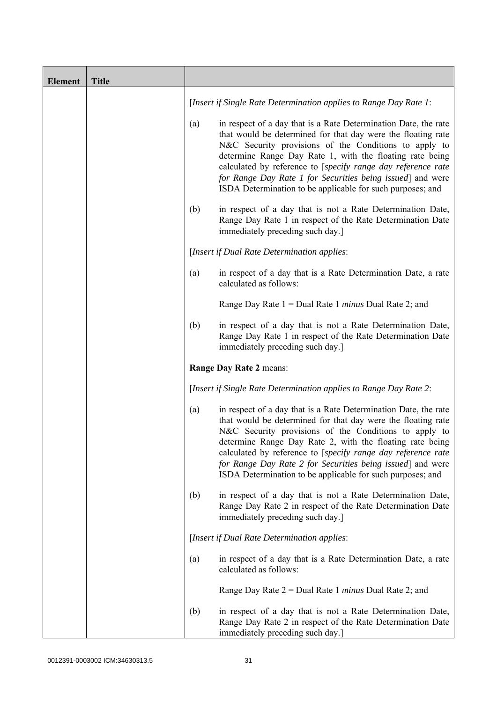| <b>Element</b> | <b>Title</b> |     |                                                                                                                                                                                                                                                                                                                                                                                                                                                  |
|----------------|--------------|-----|--------------------------------------------------------------------------------------------------------------------------------------------------------------------------------------------------------------------------------------------------------------------------------------------------------------------------------------------------------------------------------------------------------------------------------------------------|
|                |              |     | [Insert if Single Rate Determination applies to Range Day Rate 1:                                                                                                                                                                                                                                                                                                                                                                                |
|                |              | (a) | in respect of a day that is a Rate Determination Date, the rate<br>that would be determined for that day were the floating rate<br>N&C Security provisions of the Conditions to apply to<br>determine Range Day Rate 1, with the floating rate being<br>calculated by reference to [specify range day reference rate<br>for Range Day Rate 1 for Securities being issued] and were<br>ISDA Determination to be applicable for such purposes; and |
|                |              | (b) | in respect of a day that is not a Rate Determination Date,<br>Range Day Rate 1 in respect of the Rate Determination Date<br>immediately preceding such day.]                                                                                                                                                                                                                                                                                     |
|                |              |     | [Insert if Dual Rate Determination applies:                                                                                                                                                                                                                                                                                                                                                                                                      |
|                |              | (a) | in respect of a day that is a Rate Determination Date, a rate<br>calculated as follows:                                                                                                                                                                                                                                                                                                                                                          |
|                |              |     | Range Day Rate $1 =$ Dual Rate 1 <i>minus</i> Dual Rate 2; and                                                                                                                                                                                                                                                                                                                                                                                   |
|                |              | (b) | in respect of a day that is not a Rate Determination Date,<br>Range Day Rate 1 in respect of the Rate Determination Date<br>immediately preceding such day.]                                                                                                                                                                                                                                                                                     |
|                |              |     | Range Day Rate 2 means:                                                                                                                                                                                                                                                                                                                                                                                                                          |
|                |              |     | [Insert if Single Rate Determination applies to Range Day Rate 2:                                                                                                                                                                                                                                                                                                                                                                                |
|                |              | (a) | in respect of a day that is a Rate Determination Date, the rate<br>that would be determined for that day were the floating rate<br>N&C Security provisions of the Conditions to apply to<br>determine Range Day Rate 2, with the floating rate being<br>calculated by reference to [specify range day reference rate<br>for Range Day Rate 2 for Securities being issued] and were<br>ISDA Determination to be applicable for such purposes; and |
|                |              | (b) | in respect of a day that is not a Rate Determination Date,<br>Range Day Rate 2 in respect of the Rate Determination Date<br>immediately preceding such day.]                                                                                                                                                                                                                                                                                     |
|                |              |     | [Insert if Dual Rate Determination applies:                                                                                                                                                                                                                                                                                                                                                                                                      |
|                |              | (a) | in respect of a day that is a Rate Determination Date, a rate<br>calculated as follows:                                                                                                                                                                                                                                                                                                                                                          |
|                |              |     | Range Day Rate $2 =$ Dual Rate 1 <i>minus</i> Dual Rate 2; and                                                                                                                                                                                                                                                                                                                                                                                   |
|                |              | (b) | in respect of a day that is not a Rate Determination Date,<br>Range Day Rate 2 in respect of the Rate Determination Date<br>immediately preceding such day.]                                                                                                                                                                                                                                                                                     |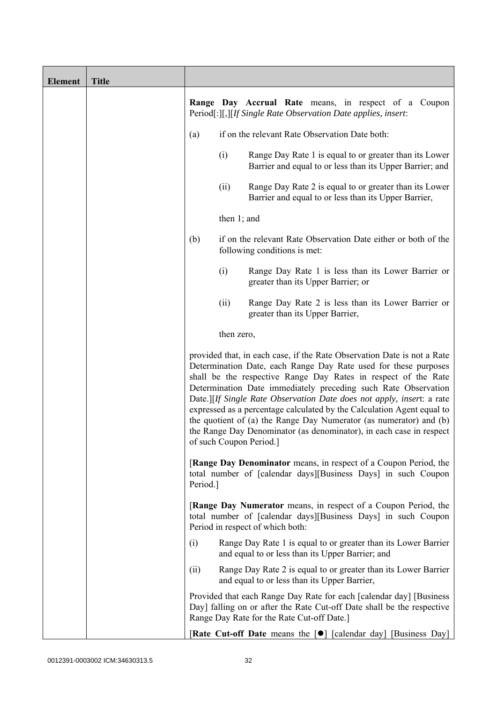| <b>Element</b> | <b>Title</b> |          |                |                                                                                                                                                                                                                                                                                                                                                                                                                                                                                                                                                                                                          |
|----------------|--------------|----------|----------------|----------------------------------------------------------------------------------------------------------------------------------------------------------------------------------------------------------------------------------------------------------------------------------------------------------------------------------------------------------------------------------------------------------------------------------------------------------------------------------------------------------------------------------------------------------------------------------------------------------|
|                |              |          |                | <b>Range Day Accrual Rate</b> means, in respect of a Coupon<br>Period[:][,][If Single Rate Observation Date applies, insert:                                                                                                                                                                                                                                                                                                                                                                                                                                                                             |
|                |              | (a)      |                | if on the relevant Rate Observation Date both:                                                                                                                                                                                                                                                                                                                                                                                                                                                                                                                                                           |
|                |              |          | (i)            | Range Day Rate 1 is equal to or greater than its Lower<br>Barrier and equal to or less than its Upper Barrier; and                                                                                                                                                                                                                                                                                                                                                                                                                                                                                       |
|                |              |          | (ii)           | Range Day Rate 2 is equal to or greater than its Lower<br>Barrier and equal to or less than its Upper Barrier,                                                                                                                                                                                                                                                                                                                                                                                                                                                                                           |
|                |              |          | then $1$ ; and |                                                                                                                                                                                                                                                                                                                                                                                                                                                                                                                                                                                                          |
|                |              | (b)      |                | if on the relevant Rate Observation Date either or both of the<br>following conditions is met:                                                                                                                                                                                                                                                                                                                                                                                                                                                                                                           |
|                |              |          | (i)            | Range Day Rate 1 is less than its Lower Barrier or<br>greater than its Upper Barrier; or                                                                                                                                                                                                                                                                                                                                                                                                                                                                                                                 |
|                |              |          | (ii)           | Range Day Rate 2 is less than its Lower Barrier or<br>greater than its Upper Barrier,                                                                                                                                                                                                                                                                                                                                                                                                                                                                                                                    |
|                |              |          | then zero,     |                                                                                                                                                                                                                                                                                                                                                                                                                                                                                                                                                                                                          |
|                |              |          |                | provided that, in each case, if the Rate Observation Date is not a Rate<br>Determination Date, each Range Day Rate used for these purposes<br>shall be the respective Range Day Rates in respect of the Rate<br>Determination Date immediately preceding such Rate Observation<br>Date.][If Single Rate Observation Date does not apply, insert: a rate<br>expressed as a percentage calculated by the Calculation Agent equal to<br>the quotient of (a) the Range Day Numerator (as numerator) and (b)<br>the Range Day Denominator (as denominator), in each case in respect<br>of such Coupon Period. |
|                |              | Period.] |                | <b>[Range Day Denominator</b> means, in respect of a Coupon Period, the<br>total number of [calendar days][Business Days] in such Coupon                                                                                                                                                                                                                                                                                                                                                                                                                                                                 |
|                |              |          |                | <b>[Range Day Numerator</b> means, in respect of a Coupon Period, the<br>total number of [calendar days][Business Days] in such Coupon<br>Period in respect of which both:                                                                                                                                                                                                                                                                                                                                                                                                                               |
|                |              | (i)      |                | Range Day Rate 1 is equal to or greater than its Lower Barrier<br>and equal to or less than its Upper Barrier; and                                                                                                                                                                                                                                                                                                                                                                                                                                                                                       |
|                |              | (ii)     |                | Range Day Rate 2 is equal to or greater than its Lower Barrier<br>and equal to or less than its Upper Barrier,                                                                                                                                                                                                                                                                                                                                                                                                                                                                                           |
|                |              |          |                | Provided that each Range Day Rate for each [calendar day] [Business<br>Day] falling on or after the Rate Cut-off Date shall be the respective<br>Range Day Rate for the Rate Cut-off Date.]                                                                                                                                                                                                                                                                                                                                                                                                              |
|                |              |          |                | <b>Rate Cut-off Date</b> means the $\lceil \bullet \rceil$ [calendar day] [Business Day]                                                                                                                                                                                                                                                                                                                                                                                                                                                                                                                 |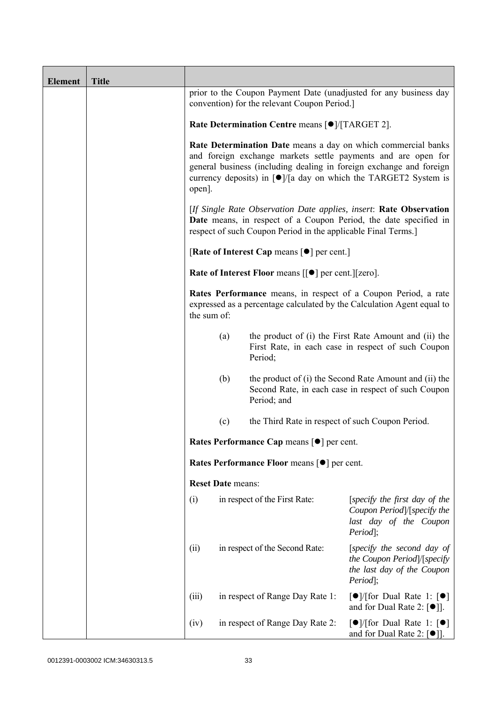| <b>Element</b> | <b>Title</b> |                                                           |                          |                                                                |                                                                                                                                                                                                                                                                                                             |
|----------------|--------------|-----------------------------------------------------------|--------------------------|----------------------------------------------------------------|-------------------------------------------------------------------------------------------------------------------------------------------------------------------------------------------------------------------------------------------------------------------------------------------------------------|
|                |              |                                                           |                          | convention) for the relevant Coupon Period.                    | prior to the Coupon Payment Date (unadjusted for any business day                                                                                                                                                                                                                                           |
|                |              | Rate Determination Centre means [ $\bullet$ ]/[TARGET 2]. |                          |                                                                |                                                                                                                                                                                                                                                                                                             |
|                |              | open].                                                    |                          |                                                                | Rate Determination Date means a day on which commercial banks<br>and foreign exchange markets settle payments and are open for<br>general business (including dealing in foreign exchange and foreign<br>currency deposits) in $\lceil \bullet \rceil / \lceil a \rceil$ day on which the TARGET2 System is |
|                |              |                                                           |                          | respect of such Coupon Period in the applicable Final Terms.]  | [If Single Rate Observation Date applies, insert: Rate Observation<br>Date means, in respect of a Coupon Period, the date specified in                                                                                                                                                                      |
|                |              |                                                           |                          | [Rate of Interest Cap means $\lceil \bullet \rceil$ per cent.] |                                                                                                                                                                                                                                                                                                             |
|                |              |                                                           |                          | Rate of Interest Floor means [[ $\bullet$ ] per cent.][zero].  |                                                                                                                                                                                                                                                                                                             |
|                |              | the sum of:                                               |                          |                                                                | Rates Performance means, in respect of a Coupon Period, a rate<br>expressed as a percentage calculated by the Calculation Agent equal to                                                                                                                                                                    |
|                |              |                                                           | (a)                      | Period;                                                        | the product of (i) the First Rate Amount and (ii) the<br>First Rate, in each case in respect of such Coupon                                                                                                                                                                                                 |
|                |              |                                                           | (b)                      | Period; and                                                    | the product of (i) the Second Rate Amount and (ii) the<br>Second Rate, in each case in respect of such Coupon                                                                                                                                                                                               |
|                |              |                                                           | (c)                      | the Third Rate in respect of such Coupon Period.               |                                                                                                                                                                                                                                                                                                             |
|                |              |                                                           |                          | Rates Performance Cap means [ $\bullet$ ] per cent.            |                                                                                                                                                                                                                                                                                                             |
|                |              |                                                           |                          | Rates Performance Floor means [ $\bullet$ ] per cent.          |                                                                                                                                                                                                                                                                                                             |
|                |              |                                                           | <b>Reset Date means:</b> |                                                                |                                                                                                                                                                                                                                                                                                             |
|                |              | (i)                                                       |                          | in respect of the First Rate:                                  | [specify the first day of the<br>Coupon Period]/[specify the<br>last day of the Coupon<br>Period];                                                                                                                                                                                                          |
|                |              | (ii)                                                      |                          | in respect of the Second Rate:                                 | [specify the second day of<br>the Coupon Period /[specify<br>the last day of the Coupon<br>Period];                                                                                                                                                                                                         |
|                |              | (iii)                                                     |                          | in respect of Range Day Rate 1:                                | $\lceil \bullet \rceil$ [for Dual Rate 1: $\lceil \bullet \rceil$<br>and for Dual Rate 2: $[•]$ ].                                                                                                                                                                                                          |
|                |              | (iv)                                                      |                          | in respect of Range Day Rate 2:                                | $\lceil \bullet \rceil$ / [for Dual Rate 1: $\lceil \bullet \rceil$<br>and for Dual Rate 2: $[\bullet]$ ].                                                                                                                                                                                                  |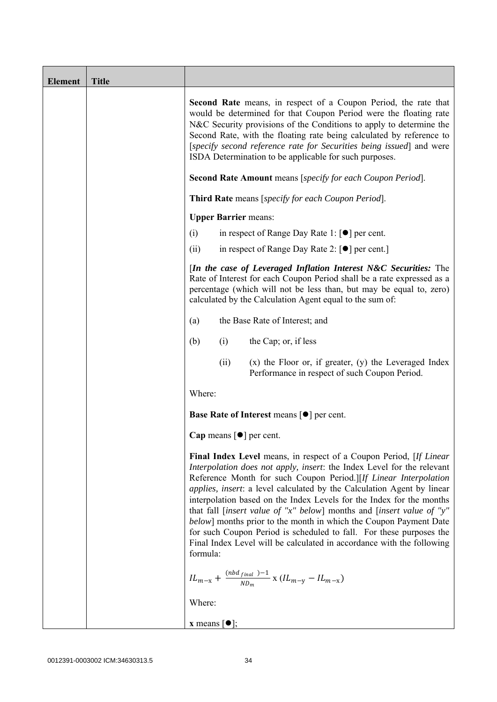| <b>Element</b> | <b>Title</b> |                                                                                                                                                                                                                                                                                                                                                                                                                                                                                                                                                                                                                                                                                     |
|----------------|--------------|-------------------------------------------------------------------------------------------------------------------------------------------------------------------------------------------------------------------------------------------------------------------------------------------------------------------------------------------------------------------------------------------------------------------------------------------------------------------------------------------------------------------------------------------------------------------------------------------------------------------------------------------------------------------------------------|
|                |              | <b>Second Rate</b> means, in respect of a Coupon Period, the rate that<br>would be determined for that Coupon Period were the floating rate<br>N&C Security provisions of the Conditions to apply to determine the<br>Second Rate, with the floating rate being calculated by reference to<br>[specify second reference rate for Securities being issued] and were<br>ISDA Determination to be applicable for such purposes.                                                                                                                                                                                                                                                        |
|                |              | Second Rate Amount means [specify for each Coupon Period].                                                                                                                                                                                                                                                                                                                                                                                                                                                                                                                                                                                                                          |
|                |              | <b>Third Rate</b> means [specify for each Coupon Period].                                                                                                                                                                                                                                                                                                                                                                                                                                                                                                                                                                                                                           |
|                |              | <b>Upper Barrier means:</b>                                                                                                                                                                                                                                                                                                                                                                                                                                                                                                                                                                                                                                                         |
|                |              | in respect of Range Day Rate 1: $\lceil \bullet \rceil$ per cent.<br>(i)                                                                                                                                                                                                                                                                                                                                                                                                                                                                                                                                                                                                            |
|                |              | (ii)<br>in respect of Range Day Rate 2: $\lceil \bullet \rceil$ per cent.                                                                                                                                                                                                                                                                                                                                                                                                                                                                                                                                                                                                           |
|                |              | [In the case of Leveraged Inflation Interest N&C Securities: The<br>Rate of Interest for each Coupon Period shall be a rate expressed as a<br>percentage (which will not be less than, but may be equal to, zero)<br>calculated by the Calculation Agent equal to the sum of:                                                                                                                                                                                                                                                                                                                                                                                                       |
|                |              | the Base Rate of Interest; and<br>(a)                                                                                                                                                                                                                                                                                                                                                                                                                                                                                                                                                                                                                                               |
|                |              | the Cap; or, if less<br>(i)<br>(b)                                                                                                                                                                                                                                                                                                                                                                                                                                                                                                                                                                                                                                                  |
|                |              | $(x)$ the Floor or, if greater, $(y)$ the Leveraged Index<br>(ii)<br>Performance in respect of such Coupon Period.                                                                                                                                                                                                                                                                                                                                                                                                                                                                                                                                                                  |
|                |              | Where:                                                                                                                                                                                                                                                                                                                                                                                                                                                                                                                                                                                                                                                                              |
|                |              | <b>Base Rate of Interest means <math>\lceil \bullet \rceil</math> per cent.</b>                                                                                                                                                                                                                                                                                                                                                                                                                                                                                                                                                                                                     |
|                |              | Cap means $[\bullet]$ per cent.                                                                                                                                                                                                                                                                                                                                                                                                                                                                                                                                                                                                                                                     |
|                |              | Final Index Level means, in respect of a Coupon Period, [If Linear<br>Interpolation does not apply, insert: the Index Level for the relevant<br>Reference Month for such Coupon Period.][If Linear Interpolation<br><i>applies, insert:</i> a level calculated by the Calculation Agent by linear<br>interpolation based on the Index Levels for the Index for the months<br>that fall [insert value of "x" below] months and [insert value of "y"<br>below] months prior to the month in which the Coupon Payment Date<br>for such Coupon Period is scheduled to fall. For these purposes the<br>Final Index Level will be calculated in accordance with the following<br>formula: |
|                |              | $IL_{m-x} + \frac{(nbd_{final})-1}{ND_m}$ x $(IL_{m-y} - IL_{m-x})$                                                                                                                                                                                                                                                                                                                                                                                                                                                                                                                                                                                                                 |
|                |              | Where:                                                                                                                                                                                                                                                                                                                                                                                                                                                                                                                                                                                                                                                                              |
|                |              | <b>x</b> means $\lceil \bullet \rceil$ ;                                                                                                                                                                                                                                                                                                                                                                                                                                                                                                                                                                                                                                            |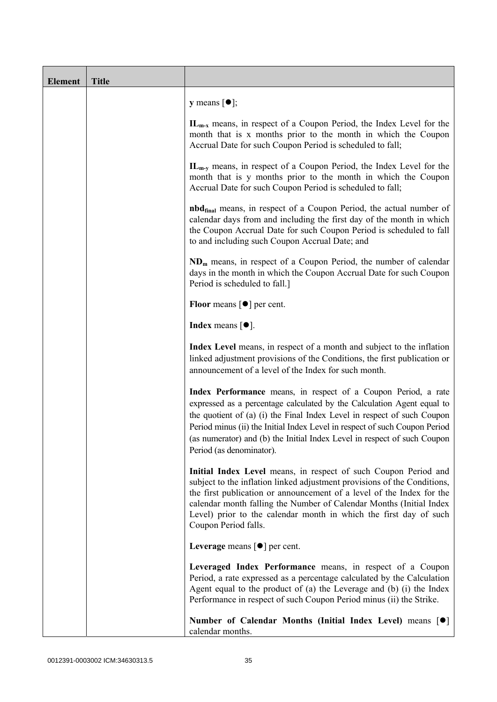| <b>Element</b> | <b>Title</b> |                                                                                                                                                                                                                                                                                                                                                                                                           |
|----------------|--------------|-----------------------------------------------------------------------------------------------------------------------------------------------------------------------------------------------------------------------------------------------------------------------------------------------------------------------------------------------------------------------------------------------------------|
|                |              | <b>y</b> means $[\bullet]$ ;                                                                                                                                                                                                                                                                                                                                                                              |
|                |              | $IL_{m-x}$ means, in respect of a Coupon Period, the Index Level for the<br>month that is x months prior to the month in which the Coupon<br>Accrual Date for such Coupon Period is scheduled to fall;                                                                                                                                                                                                    |
|                |              | $IL_{m-v}$ means, in respect of a Coupon Period, the Index Level for the<br>month that is y months prior to the month in which the Coupon<br>Accrual Date for such Coupon Period is scheduled to fall;                                                                                                                                                                                                    |
|                |              | <b>nbd</b> <sub>final</sub> means, in respect of a Coupon Period, the actual number of<br>calendar days from and including the first day of the month in which<br>the Coupon Accrual Date for such Coupon Period is scheduled to fall<br>to and including such Coupon Accrual Date; and                                                                                                                   |
|                |              | $NDm$ means, in respect of a Coupon Period, the number of calendar<br>days in the month in which the Coupon Accrual Date for such Coupon<br>Period is scheduled to fall.]                                                                                                                                                                                                                                 |
|                |              | <b>Floor</b> means $\lceil \bullet \rceil$ per cent.                                                                                                                                                                                                                                                                                                                                                      |
|                |              | <b>Index</b> means $\lceil \bullet \rceil$ .                                                                                                                                                                                                                                                                                                                                                              |
|                |              | Index Level means, in respect of a month and subject to the inflation<br>linked adjustment provisions of the Conditions, the first publication or<br>announcement of a level of the Index for such month.                                                                                                                                                                                                 |
|                |              | Index Performance means, in respect of a Coupon Period, a rate<br>expressed as a percentage calculated by the Calculation Agent equal to<br>the quotient of (a) (i) the Final Index Level in respect of such Coupon<br>Period minus (ii) the Initial Index Level in respect of such Coupon Period<br>(as numerator) and (b) the Initial Index Level in respect of such Coupon<br>Period (as denominator). |
|                |              | Initial Index Level means, in respect of such Coupon Period and<br>subject to the inflation linked adjustment provisions of the Conditions,<br>the first publication or announcement of a level of the Index for the<br>calendar month falling the Number of Calendar Months (Initial Index<br>Level) prior to the calendar month in which the first day of such<br>Coupon Period falls.                  |
|                |              | Leverage means $\lceil \bullet \rceil$ per cent.                                                                                                                                                                                                                                                                                                                                                          |
|                |              | Leveraged Index Performance means, in respect of a Coupon<br>Period, a rate expressed as a percentage calculated by the Calculation<br>Agent equal to the product of (a) the Leverage and (b) (i) the Index<br>Performance in respect of such Coupon Period minus (ii) the Strike.                                                                                                                        |
|                |              | Number of Calendar Months (Initial Index Level) means [ $\bullet$ ]<br>calendar months.                                                                                                                                                                                                                                                                                                                   |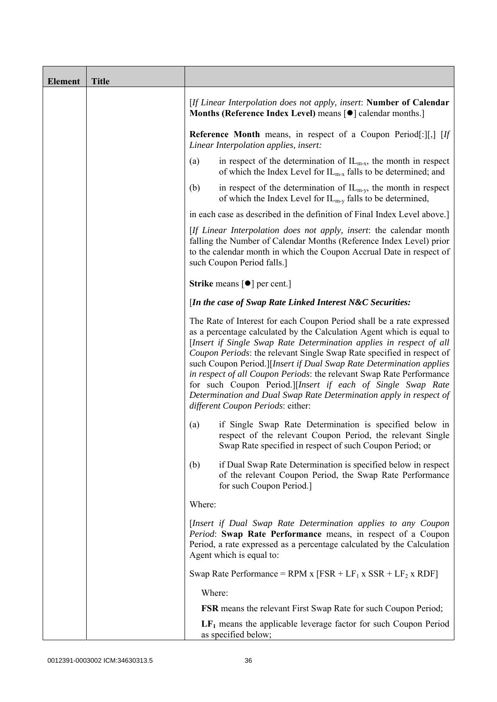| <b>Element</b> | <b>Title</b> |                                                                                                                                                                                                                                                                                                                                                                                                                                                                                                                                                                                                                                |
|----------------|--------------|--------------------------------------------------------------------------------------------------------------------------------------------------------------------------------------------------------------------------------------------------------------------------------------------------------------------------------------------------------------------------------------------------------------------------------------------------------------------------------------------------------------------------------------------------------------------------------------------------------------------------------|
|                |              | [If Linear Interpolation does not apply, insert: Number of Calendar<br>Months (Reference Index Level) means [ $\bullet$ ] calendar months.]                                                                                                                                                                                                                                                                                                                                                                                                                                                                                    |
|                |              | <b>Reference Month</b> means, in respect of a Coupon Period[:][,] [If<br>Linear Interpolation applies, insert:                                                                                                                                                                                                                                                                                                                                                                                                                                                                                                                 |
|                |              | in respect of the determination of $IL_{m-x}$ , the month in respect<br>(a)<br>of which the Index Level for $IL_{m-x}$ falls to be determined; and                                                                                                                                                                                                                                                                                                                                                                                                                                                                             |
|                |              | (b)<br>in respect of the determination of $IL_{m-y}$ , the month in respect<br>of which the Index Level for $IL_{m-y}$ falls to be determined,                                                                                                                                                                                                                                                                                                                                                                                                                                                                                 |
|                |              | in each case as described in the definition of Final Index Level above.]                                                                                                                                                                                                                                                                                                                                                                                                                                                                                                                                                       |
|                |              | [If Linear Interpolation does not apply, insert: the calendar month<br>falling the Number of Calendar Months (Reference Index Level) prior<br>to the calendar month in which the Coupon Accrual Date in respect of<br>such Coupon Period falls.]                                                                                                                                                                                                                                                                                                                                                                               |
|                |              | <b>Strike</b> means $\lceil \bullet \rceil$ per cent.]                                                                                                                                                                                                                                                                                                                                                                                                                                                                                                                                                                         |
|                |              | [In the case of Swap Rate Linked Interest N&C Securities:                                                                                                                                                                                                                                                                                                                                                                                                                                                                                                                                                                      |
|                |              | The Rate of Interest for each Coupon Period shall be a rate expressed<br>as a percentage calculated by the Calculation Agent which is equal to<br>[Insert if Single Swap Rate Determination applies in respect of all<br>Coupon Periods: the relevant Single Swap Rate specified in respect of<br>such Coupon Period.][Insert if Dual Swap Rate Determination applies<br>in respect of all Coupon Periods: the relevant Swap Rate Performance<br>for such Coupon Period.][Insert if each of Single Swap Rate<br>Determination and Dual Swap Rate Determination apply in respect of<br><i>different Coupon Periods: either:</i> |
|                |              | if Single Swap Rate Determination is specified below in<br>(a)<br>respect of the relevant Coupon Period, the relevant Single<br>Swap Rate specified in respect of such Coupon Period; or                                                                                                                                                                                                                                                                                                                                                                                                                                       |
|                |              | if Dual Swap Rate Determination is specified below in respect<br>(b)<br>of the relevant Coupon Period, the Swap Rate Performance<br>for such Coupon Period.]                                                                                                                                                                                                                                                                                                                                                                                                                                                                   |
|                |              | Where:                                                                                                                                                                                                                                                                                                                                                                                                                                                                                                                                                                                                                         |
|                |              | [Insert if Dual Swap Rate Determination applies to any Coupon<br>Period: Swap Rate Performance means, in respect of a Coupon<br>Period, a rate expressed as a percentage calculated by the Calculation<br>Agent which is equal to:                                                                                                                                                                                                                                                                                                                                                                                             |
|                |              | Swap Rate Performance = RPM x $[FSR + LF_1 x SSR + LF_2 x RDF]$                                                                                                                                                                                                                                                                                                                                                                                                                                                                                                                                                                |
|                |              | Where:                                                                                                                                                                                                                                                                                                                                                                                                                                                                                                                                                                                                                         |
|                |              | <b>FSR</b> means the relevant First Swap Rate for such Coupon Period;                                                                                                                                                                                                                                                                                                                                                                                                                                                                                                                                                          |
|                |              | $LF1$ means the applicable leverage factor for such Coupon Period<br>as specified below;                                                                                                                                                                                                                                                                                                                                                                                                                                                                                                                                       |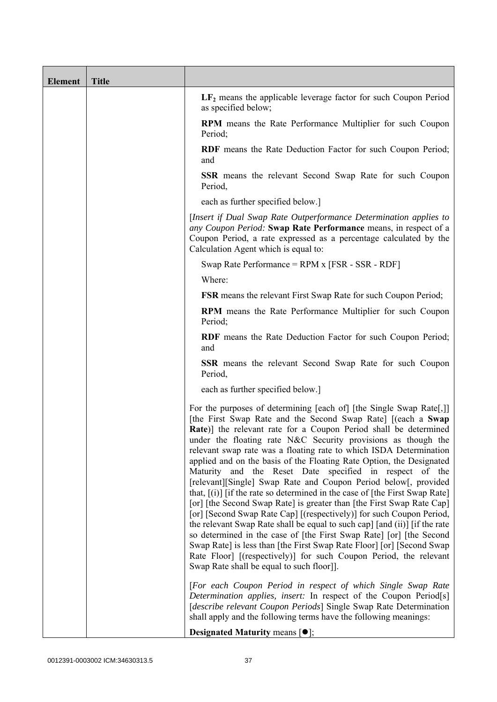| <b>Element</b> | <b>Title</b> |                                                                                                                                                                                                                                                                                                                                                                                                                                                                                                                                                                                                                                                                                                                                                                                                                                                                                                                                                                                                                                                                                                                                                |
|----------------|--------------|------------------------------------------------------------------------------------------------------------------------------------------------------------------------------------------------------------------------------------------------------------------------------------------------------------------------------------------------------------------------------------------------------------------------------------------------------------------------------------------------------------------------------------------------------------------------------------------------------------------------------------------------------------------------------------------------------------------------------------------------------------------------------------------------------------------------------------------------------------------------------------------------------------------------------------------------------------------------------------------------------------------------------------------------------------------------------------------------------------------------------------------------|
|                |              | $LF2$ means the applicable leverage factor for such Coupon Period<br>as specified below;                                                                                                                                                                                                                                                                                                                                                                                                                                                                                                                                                                                                                                                                                                                                                                                                                                                                                                                                                                                                                                                       |
|                |              | RPM means the Rate Performance Multiplier for such Coupon<br>Period;                                                                                                                                                                                                                                                                                                                                                                                                                                                                                                                                                                                                                                                                                                                                                                                                                                                                                                                                                                                                                                                                           |
|                |              | RDF means the Rate Deduction Factor for such Coupon Period;<br>and                                                                                                                                                                                                                                                                                                                                                                                                                                                                                                                                                                                                                                                                                                                                                                                                                                                                                                                                                                                                                                                                             |
|                |              | <b>SSR</b> means the relevant Second Swap Rate for such Coupon<br>Period,                                                                                                                                                                                                                                                                                                                                                                                                                                                                                                                                                                                                                                                                                                                                                                                                                                                                                                                                                                                                                                                                      |
|                |              | each as further specified below.]                                                                                                                                                                                                                                                                                                                                                                                                                                                                                                                                                                                                                                                                                                                                                                                                                                                                                                                                                                                                                                                                                                              |
|                |              | [Insert if Dual Swap Rate Outperformance Determination applies to<br>any Coupon Period: Swap Rate Performance means, in respect of a<br>Coupon Period, a rate expressed as a percentage calculated by the<br>Calculation Agent which is equal to:                                                                                                                                                                                                                                                                                                                                                                                                                                                                                                                                                                                                                                                                                                                                                                                                                                                                                              |
|                |              | Swap Rate Performance = RPM x [FSR - SSR - RDF]                                                                                                                                                                                                                                                                                                                                                                                                                                                                                                                                                                                                                                                                                                                                                                                                                                                                                                                                                                                                                                                                                                |
|                |              | Where:                                                                                                                                                                                                                                                                                                                                                                                                                                                                                                                                                                                                                                                                                                                                                                                                                                                                                                                                                                                                                                                                                                                                         |
|                |              | <b>FSR</b> means the relevant First Swap Rate for such Coupon Period;                                                                                                                                                                                                                                                                                                                                                                                                                                                                                                                                                                                                                                                                                                                                                                                                                                                                                                                                                                                                                                                                          |
|                |              | RPM means the Rate Performance Multiplier for such Coupon<br>Period;                                                                                                                                                                                                                                                                                                                                                                                                                                                                                                                                                                                                                                                                                                                                                                                                                                                                                                                                                                                                                                                                           |
|                |              | RDF means the Rate Deduction Factor for such Coupon Period;<br>and                                                                                                                                                                                                                                                                                                                                                                                                                                                                                                                                                                                                                                                                                                                                                                                                                                                                                                                                                                                                                                                                             |
|                |              | <b>SSR</b> means the relevant Second Swap Rate for such Coupon<br>Period,                                                                                                                                                                                                                                                                                                                                                                                                                                                                                                                                                                                                                                                                                                                                                                                                                                                                                                                                                                                                                                                                      |
|                |              | each as further specified below.]                                                                                                                                                                                                                                                                                                                                                                                                                                                                                                                                                                                                                                                                                                                                                                                                                                                                                                                                                                                                                                                                                                              |
|                |              | For the purposes of determining [each of] [the Single Swap Rate[,]]<br>[the First Swap Rate and the Second Swap Rate] [(each a Swap<br><b>Rate</b> )] the relevant rate for a Coupon Period shall be determined<br>under the floating rate N&C Security provisions as though the<br>relevant swap rate was a floating rate to which ISDA Determination<br>applied and on the basis of the Floating Rate Option, the Designated<br>Maturity and the Reset Date specified in respect of the<br>[relevant][Single] Swap Rate and Coupon Period below[, provided<br>that, $[(i)]$ [if the rate so determined in the case of [the First Swap Rate]<br>[or] [the Second Swap Rate] is greater than [the First Swap Rate Cap]<br>[or] [Second Swap Rate Cap] [(respectively)] for such Coupon Period,<br>the relevant Swap Rate shall be equal to such cap] [and (ii)] [if the rate<br>so determined in the case of [the First Swap Rate] [or] [the Second<br>Swap Rate] is less than [the First Swap Rate Floor] [or] [Second Swap<br>Rate Floor] [(respectively)] for such Coupon Period, the relevant<br>Swap Rate shall be equal to such floor]]. |
|                |              | [For each Coupon Period in respect of which Single Swap Rate<br>Determination applies, insert: In respect of the Coupon Period[s]<br>[describe relevant Coupon Periods] Single Swap Rate Determination<br>shall apply and the following terms have the following meanings:                                                                                                                                                                                                                                                                                                                                                                                                                                                                                                                                                                                                                                                                                                                                                                                                                                                                     |
|                |              | <b>Designated Maturity means <math>\lceil \bullet \rceil</math>;</b>                                                                                                                                                                                                                                                                                                                                                                                                                                                                                                                                                                                                                                                                                                                                                                                                                                                                                                                                                                                                                                                                           |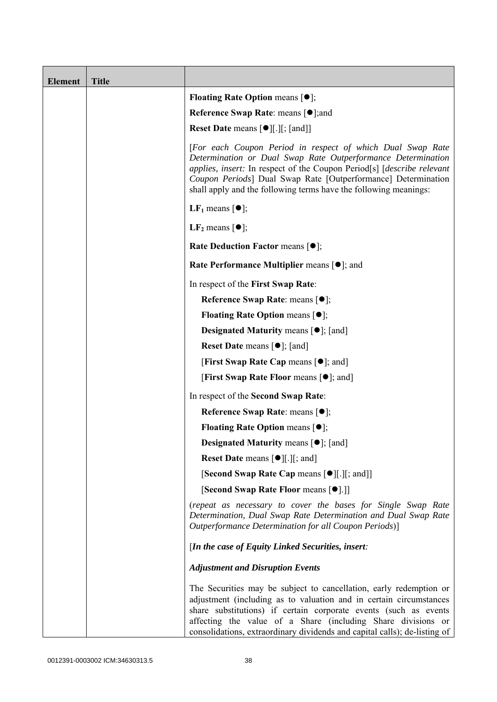| <b>Element</b> | <b>Title</b> |                                                                                                                                                                                                                                                                                                                                                           |
|----------------|--------------|-----------------------------------------------------------------------------------------------------------------------------------------------------------------------------------------------------------------------------------------------------------------------------------------------------------------------------------------------------------|
|                |              | <b>Floating Rate Option means <math>[•]</math>;</b>                                                                                                                                                                                                                                                                                                       |
|                |              | <b>Reference Swap Rate: means [●];and</b>                                                                                                                                                                                                                                                                                                                 |
|                |              | <b>Reset Date means [●][.][; [and]]</b>                                                                                                                                                                                                                                                                                                                   |
|                |              | [For each Coupon Period in respect of which Dual Swap Rate<br>Determination or Dual Swap Rate Outperformance Determination<br>applies, insert: In respect of the Coupon Period <sup>[s]</sup> [describe relevant]<br>Coupon Periods] Dual Swap Rate [Outperformance] Determination<br>shall apply and the following terms have the following meanings:    |
|                |              | <b>LF</b> <sub>1</sub> means $\lceil \bullet \rceil$ ;                                                                                                                                                                                                                                                                                                    |
|                |              | $LF2$ means $[①]$ ;                                                                                                                                                                                                                                                                                                                                       |
|                |              | <b>Rate Deduction Factor means <math>[•]</math>;</b>                                                                                                                                                                                                                                                                                                      |
|                |              | Rate Performance Multiplier means [ $\bullet$ ]; and                                                                                                                                                                                                                                                                                                      |
|                |              | In respect of the First Swap Rate:                                                                                                                                                                                                                                                                                                                        |
|                |              | Reference Swap Rate: means [●];                                                                                                                                                                                                                                                                                                                           |
|                |              | <b>Floating Rate Option means <math>[•]</math>;</b>                                                                                                                                                                                                                                                                                                       |
|                |              | <b>Designated Maturity means <math>\lceil \bullet \rceil</math>; [and]</b>                                                                                                                                                                                                                                                                                |
|                |              | <b>Reset Date</b> means $[\bullet]$ ; [and]                                                                                                                                                                                                                                                                                                               |
|                |              | <b>[First Swap Rate Cap means [<math>\bullet</math>]; and ]</b>                                                                                                                                                                                                                                                                                           |
|                |              | <b>[First Swap Rate Floor means [<math>\bullet</math>]; and]</b>                                                                                                                                                                                                                                                                                          |
|                |              | In respect of the Second Swap Rate:                                                                                                                                                                                                                                                                                                                       |
|                |              | Reference Swap Rate: means [●];                                                                                                                                                                                                                                                                                                                           |
|                |              | <b>Floating Rate Option means <math>[①]</math>;</b>                                                                                                                                                                                                                                                                                                       |
|                |              | <b>Designated Maturity means <math>\lceil \bullet \rceil</math>; [and]</b>                                                                                                                                                                                                                                                                                |
|                |              | <b>Reset Date means <math>\lceil \bullet \rceil</math>.</b> $\lceil \cdot \rceil$ ; and $\lceil \cdot \rceil$                                                                                                                                                                                                                                             |
|                |              | [Second Swap Rate Cap means [ $\bullet$ ][.][; and]]                                                                                                                                                                                                                                                                                                      |
|                |              | [Second Swap Rate Floor means [ $\bullet$ ].]]                                                                                                                                                                                                                                                                                                            |
|                |              | (repeat as necessary to cover the bases for Single Swap Rate<br>Determination, Dual Swap Rate Determination and Dual Swap Rate<br>Outperformance Determination for all Coupon Periods)]                                                                                                                                                                   |
|                |              | [In the case of Equity Linked Securities, insert:                                                                                                                                                                                                                                                                                                         |
|                |              | <b>Adjustment and Disruption Events</b>                                                                                                                                                                                                                                                                                                                   |
|                |              | The Securities may be subject to cancellation, early redemption or<br>adjustment (including as to valuation and in certain circumstances<br>share substitutions) if certain corporate events (such as events<br>affecting the value of a Share (including Share divisions or<br>consolidations, extraordinary dividends and capital calls); de-listing of |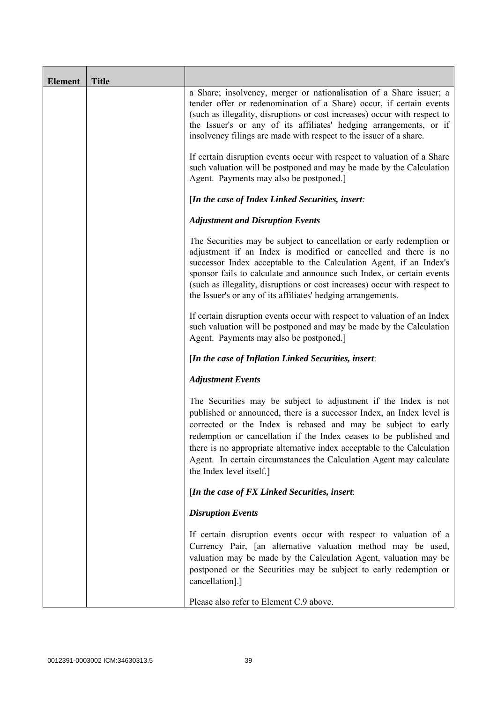| <b>Element</b> | <b>Title</b> |                                                                                                                                                                                                                                                                                                                                                                                                                                                               |
|----------------|--------------|---------------------------------------------------------------------------------------------------------------------------------------------------------------------------------------------------------------------------------------------------------------------------------------------------------------------------------------------------------------------------------------------------------------------------------------------------------------|
|                |              | a Share; insolvency, merger or nationalisation of a Share issuer; a<br>tender offer or redenomination of a Share) occur, if certain events<br>(such as illegality, disruptions or cost increases) occur with respect to<br>the Issuer's or any of its affiliates' hedging arrangements, or if<br>insolvency filings are made with respect to the issuer of a share.                                                                                           |
|                |              | If certain disruption events occur with respect to valuation of a Share<br>such valuation will be postponed and may be made by the Calculation<br>Agent. Payments may also be postponed.]                                                                                                                                                                                                                                                                     |
|                |              | [In the case of Index Linked Securities, insert:                                                                                                                                                                                                                                                                                                                                                                                                              |
|                |              | <b>Adjustment and Disruption Events</b>                                                                                                                                                                                                                                                                                                                                                                                                                       |
|                |              | The Securities may be subject to cancellation or early redemption or<br>adjustment if an Index is modified or cancelled and there is no<br>successor Index acceptable to the Calculation Agent, if an Index's<br>sponsor fails to calculate and announce such Index, or certain events<br>(such as illegality, disruptions or cost increases) occur with respect to<br>the Issuer's or any of its affiliates' hedging arrangements.                           |
|                |              | If certain disruption events occur with respect to valuation of an Index<br>such valuation will be postponed and may be made by the Calculation<br>Agent. Payments may also be postponed.]                                                                                                                                                                                                                                                                    |
|                |              | [In the case of Inflation Linked Securities, insert:                                                                                                                                                                                                                                                                                                                                                                                                          |
|                |              | <b>Adjustment Events</b>                                                                                                                                                                                                                                                                                                                                                                                                                                      |
|                |              | The Securities may be subject to adjustment if the Index is not<br>published or announced, there is a successor Index, an Index level is<br>corrected or the Index is rebased and may be subject to early<br>redemption or cancellation if the Index ceases to be published and<br>there is no appropriate alternative index acceptable to the Calculation<br>Agent. In certain circumstances the Calculation Agent may calculate<br>the Index level itself.] |
|                |              | [In the case of FX Linked Securities, insert:                                                                                                                                                                                                                                                                                                                                                                                                                 |
|                |              | <b>Disruption Events</b>                                                                                                                                                                                                                                                                                                                                                                                                                                      |
|                |              | If certain disruption events occur with respect to valuation of a<br>Currency Pair, [an alternative valuation method may be used,<br>valuation may be made by the Calculation Agent, valuation may be<br>postponed or the Securities may be subject to early redemption or<br>cancellation].]                                                                                                                                                                 |
|                |              | Please also refer to Element C.9 above.                                                                                                                                                                                                                                                                                                                                                                                                                       |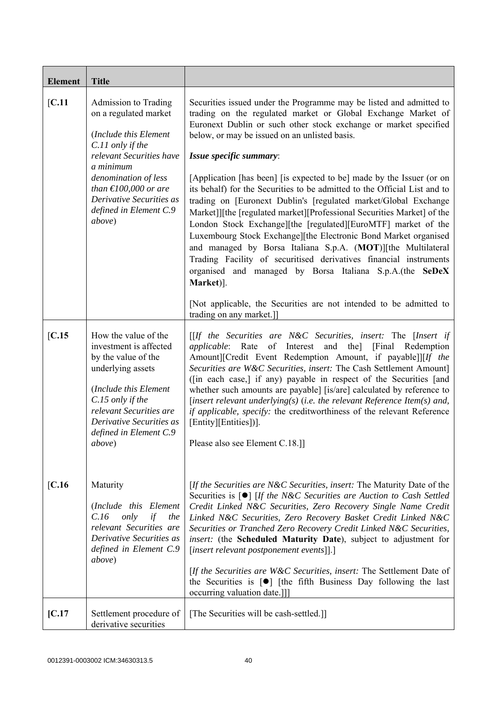| <b>Element</b>  | <b>Title</b>                                                                                                                                                                                                                                                                                                                                                                                                    |                                                                                                                                                                                                                                                                                                                                                                                                                                                                                                                                                                                                                                                                                                                                                                                                                                                                                                                                                                                                                                                                                                                                                                                                            |
|-----------------|-----------------------------------------------------------------------------------------------------------------------------------------------------------------------------------------------------------------------------------------------------------------------------------------------------------------------------------------------------------------------------------------------------------------|------------------------------------------------------------------------------------------------------------------------------------------------------------------------------------------------------------------------------------------------------------------------------------------------------------------------------------------------------------------------------------------------------------------------------------------------------------------------------------------------------------------------------------------------------------------------------------------------------------------------------------------------------------------------------------------------------------------------------------------------------------------------------------------------------------------------------------------------------------------------------------------------------------------------------------------------------------------------------------------------------------------------------------------------------------------------------------------------------------------------------------------------------------------------------------------------------------|
| [C.11]          | Admission to Trading<br>on a regulated market<br>(Include this Element<br>C.11 only if the<br>relevant Securities have<br>a minimum<br>denomination of less<br>than $\text{\textsterling}100,000$ or are<br>Derivative Securities as<br>defined in Element C.9<br>above)                                                                                                                                        | Securities issued under the Programme may be listed and admitted to<br>trading on the regulated market or Global Exchange Market of<br>Euronext Dublin or such other stock exchange or market specified<br>below, or may be issued on an unlisted basis.<br>Issue specific summary:<br>[Application [has been] [is expected to be] made by the Issuer (or on<br>its behalf) for the Securities to be admitted to the Official List and to<br>trading on [Euronext Dublin's [regulated market/Global Exchange<br>Market]][the [regulated market][Professional Securities Market] of the<br>London Stock Exchange][the [regulated][EuroMTF] market of the<br>Luxembourg Stock Exchange][the Electronic Bond Market organised<br>and managed by Borsa Italiana S.p.A. (MOT)][the Multilateral<br>Trading Facility of securitised derivatives financial instruments<br>organised and managed by Borsa Italiana S.p.A.(the SeDeX<br>Market)].<br>[Not applicable, the Securities are not intended to be admitted to<br>trading on any market.]]                                                                                                                                                                 |
| IC.15<br>[C.16] | How the value of the<br>investment is affected<br>by the value of the<br>underlying assets<br>(Include this Element<br>C.15 only if the<br>relevant Securities are<br>Derivative Securities as<br>defined in Element C.9<br><i>above</i> )<br>Maturity<br>(Include this Element<br>C.16<br>only<br>if<br>the<br>relevant Securities are<br>Derivative Securities as<br>defined in Element C.9<br><i>above</i> ) | $[If the Securities are N&C Securities, insert: The [Insert if]$<br>applicable: Rate of Interest and the] [Final Redemption<br>Amount][Credit Event Redemption Amount, if payable]][If the<br>Securities are W&C Securities, insert: The Cash Settlement Amount]<br>([in each case,] if any) payable in respect of the Securities [and<br>whether such amounts are payable] [is/are] calculated by reference to<br>[insert relevant underlying(s) (i.e. the relevant Reference Item(s) and,<br>if applicable, specify: the creditworthiness of the relevant Reference<br>[Entity][Entities])].<br>Please also see Element C.18.]]<br>[If the Securities are N&C Securities, insert: The Maturity Date of the<br>Securities is $\lceil \bullet \rceil$ [If the N&C Securities are Auction to Cash Settled<br>Credit Linked N&C Securities, Zero Recovery Single Name Credit<br>Linked N&C Securities, Zero Recovery Basket Credit Linked N&C<br>Securities or Tranched Zero Recovery Credit Linked N&C Securities,<br>insert: (the Scheduled Maturity Date), subject to adjustment for<br>[insert relevant postponement events]].]<br>[If the Securities are W&C Securities, insert: The Settlement Date of |
|                 |                                                                                                                                                                                                                                                                                                                                                                                                                 | the Securities is $[\bullet]$ [the fifth Business Day following the last<br>occurring valuation date.]]                                                                                                                                                                                                                                                                                                                                                                                                                                                                                                                                                                                                                                                                                                                                                                                                                                                                                                                                                                                                                                                                                                    |
| [C.17]          | Settlement procedure of<br>derivative securities                                                                                                                                                                                                                                                                                                                                                                | [The Securities will be cash-settled.]]                                                                                                                                                                                                                                                                                                                                                                                                                                                                                                                                                                                                                                                                                                                                                                                                                                                                                                                                                                                                                                                                                                                                                                    |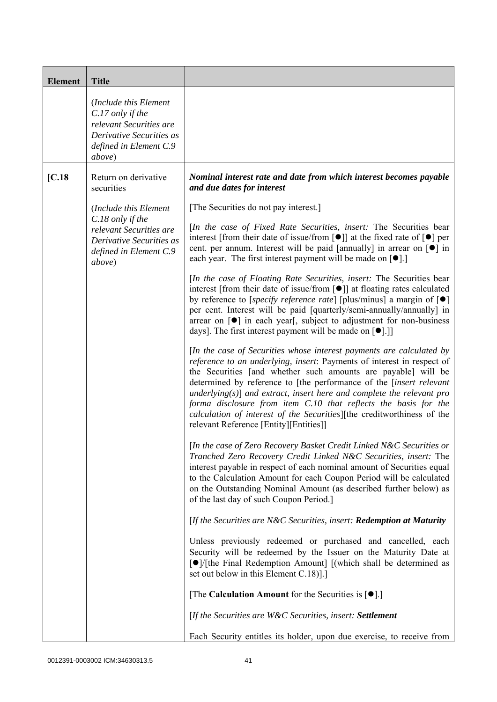| <b>Element</b>    | <b>Title</b>                                                                                                                         |                                                                                                                                                                                                                                                                                                                                                                                                                                                                                                                                                          |
|-------------------|--------------------------------------------------------------------------------------------------------------------------------------|----------------------------------------------------------------------------------------------------------------------------------------------------------------------------------------------------------------------------------------------------------------------------------------------------------------------------------------------------------------------------------------------------------------------------------------------------------------------------------------------------------------------------------------------------------|
|                   | (Include this Element<br>C.17 only if the<br>relevant Securities are<br>Derivative Securities as<br>defined in Element C.9<br>above) |                                                                                                                                                                                                                                                                                                                                                                                                                                                                                                                                                          |
| $\overline{C.18}$ | Return on derivative<br>securities                                                                                                   | Nominal interest rate and date from which interest becomes payable<br>and due dates for interest                                                                                                                                                                                                                                                                                                                                                                                                                                                         |
|                   | (Include this Element                                                                                                                | [The Securities do not pay interest.]                                                                                                                                                                                                                                                                                                                                                                                                                                                                                                                    |
|                   | C.18 only if the<br>relevant Securities are<br>Derivative Securities as<br>defined in Element C.9<br>above)                          | <i>In the case of Fixed Rate Securities, insert:</i> The Securities bear<br>interest [from their date of issue/from $[\bullet]$ ] at the fixed rate of $[\bullet]$ per<br>cent. per annum. Interest will be paid [annually] in arrear on $\lceil \bullet \rceil$ in<br>each year. The first interest payment will be made on $[\bullet]$ .]                                                                                                                                                                                                              |
|                   |                                                                                                                                      | [In the case of Floating Rate Securities, insert: The Securities bear<br>interest [from their date of issue/from $\lceil \bullet \rceil$ ] at floating rates calculated<br>by reference to [specify reference rate] [plus/minus] a margin of $[\bullet]$<br>per cent. Interest will be paid [quarterly/semi-annually/annually] in<br>arrear on $\lceil \bullet \rceil$ in each year, subject to adjustment for non-business<br>days]. The first interest payment will be made on $[\bullet]$ .]                                                          |
|                   |                                                                                                                                      | [In the case of Securities whose interest payments are calculated by<br>reference to an underlying, insert: Payments of interest in respect of<br>the Securities [and whether such amounts are payable] will be<br>determined by reference to [the performance of the [insert relevant<br>$underlying(s)]$ and extract, insert here and complete the relevant pro<br>forma disclosure from item C.10 that reflects the basis for the<br>calculation of interest of the Securities][the creditworthiness of the<br>relevant Reference [Entity][Entities]] |
|                   |                                                                                                                                      | [In the case of Zero Recovery Basket Credit Linked N&C Securities or<br>Tranched Zero Recovery Credit Linked N&C Securities, insert: The<br>interest payable in respect of each nominal amount of Securities equal<br>to the Calculation Amount for each Coupon Period will be calculated<br>on the Outstanding Nominal Amount (as described further below) as<br>of the last day of such Coupon Period.]                                                                                                                                                |
|                   |                                                                                                                                      | [If the Securities are N&C Securities, insert: Redemption at Maturity                                                                                                                                                                                                                                                                                                                                                                                                                                                                                    |
|                   |                                                                                                                                      | Unless previously redeemed or purchased and cancelled, each<br>Security will be redeemed by the Issuer on the Maturity Date at<br>$\lceil \bullet \rceil$ [the Final Redemption Amount] [(which shall be determined as<br>set out below in this Element C.18).]                                                                                                                                                                                                                                                                                          |
|                   |                                                                                                                                      | [The Calculation Amount for the Securities is $[•]$ .]                                                                                                                                                                                                                                                                                                                                                                                                                                                                                                   |
|                   |                                                                                                                                      | [If the Securities are W&C Securities, insert: Settlement                                                                                                                                                                                                                                                                                                                                                                                                                                                                                                |
|                   |                                                                                                                                      | Each Security entitles its holder, upon due exercise, to receive from                                                                                                                                                                                                                                                                                                                                                                                                                                                                                    |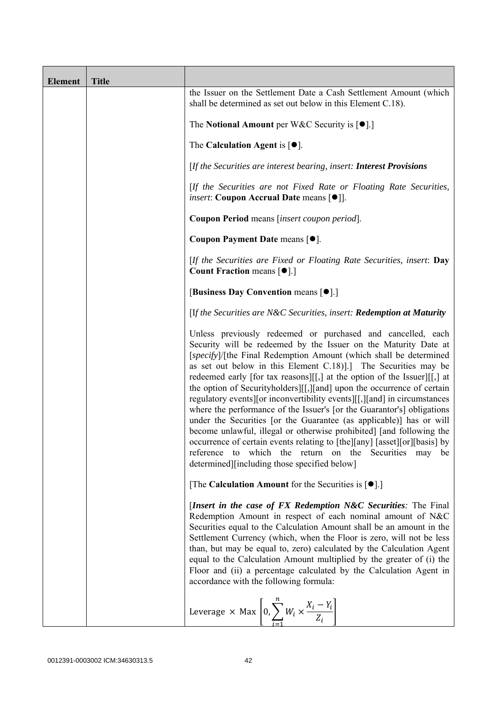| <b>Element</b> | <b>Title</b> |                                                                                                                                                                                                                                                                                                                                                                                                                                                                                                                                                                                                                                                                                                                                                                                                                                                                                                                                  |
|----------------|--------------|----------------------------------------------------------------------------------------------------------------------------------------------------------------------------------------------------------------------------------------------------------------------------------------------------------------------------------------------------------------------------------------------------------------------------------------------------------------------------------------------------------------------------------------------------------------------------------------------------------------------------------------------------------------------------------------------------------------------------------------------------------------------------------------------------------------------------------------------------------------------------------------------------------------------------------|
|                |              | the Issuer on the Settlement Date a Cash Settlement Amount (which<br>shall be determined as set out below in this Element C.18).                                                                                                                                                                                                                                                                                                                                                                                                                                                                                                                                                                                                                                                                                                                                                                                                 |
|                |              | The Notional Amount per W&C Security is $[•]$ .]                                                                                                                                                                                                                                                                                                                                                                                                                                                                                                                                                                                                                                                                                                                                                                                                                                                                                 |
|                |              | The Calculation Agent is $[•]$ .                                                                                                                                                                                                                                                                                                                                                                                                                                                                                                                                                                                                                                                                                                                                                                                                                                                                                                 |
|                |              | [If the Securities are interest bearing, insert: Interest Provisions                                                                                                                                                                                                                                                                                                                                                                                                                                                                                                                                                                                                                                                                                                                                                                                                                                                             |
|                |              | [If the Securities are not Fixed Rate or Floating Rate Securities,<br><i>insert</i> : Coupon Accrual Date means [ $\bullet$ ].                                                                                                                                                                                                                                                                                                                                                                                                                                                                                                                                                                                                                                                                                                                                                                                                   |
|                |              | Coupon Period means [insert coupon period].                                                                                                                                                                                                                                                                                                                                                                                                                                                                                                                                                                                                                                                                                                                                                                                                                                                                                      |
|                |              | Coupon Payment Date means [ $\bullet$ ].                                                                                                                                                                                                                                                                                                                                                                                                                                                                                                                                                                                                                                                                                                                                                                                                                                                                                         |
|                |              | [If the Securities are Fixed or Floating Rate Securities, insert: Day<br><b>Count Fraction means <math>\lceil \bullet \rceil</math>.</b>                                                                                                                                                                                                                                                                                                                                                                                                                                                                                                                                                                                                                                                                                                                                                                                         |
|                |              | [Business Day Convention means [ $\bullet$ ].]                                                                                                                                                                                                                                                                                                                                                                                                                                                                                                                                                                                                                                                                                                                                                                                                                                                                                   |
|                |              | [If the Securities are N&C Securities, insert: Redemption at Maturity                                                                                                                                                                                                                                                                                                                                                                                                                                                                                                                                                                                                                                                                                                                                                                                                                                                            |
|                |              | Unless previously redeemed or purchased and cancelled, each<br>Security will be redeemed by the Issuer on the Maturity Date at<br>[specify]/[the Final Redemption Amount (which shall be determined<br>as set out below in this Element C.18). The Securities may be<br>redeemed early [for tax reasons][[,] at the option of the Issuer][[,] at<br>the option of Securityholders][[,][and] upon the occurrence of certain<br>regulatory events of inconvertibility events [[, ] [and] in circumstances<br>where the performance of the Issuer's [or the Guarantor's] obligations<br>under the Securities [or the Guarantee (as applicable)] has or will<br>become unlawful, illegal or otherwise prohibited] [and following the<br>occurrence of certain events relating to [the][any] [asset][or][basis] by<br>which the return on the Securities may<br>reference<br>to<br>be<br>determined][including those specified below] |
|                |              | [The Calculation Amount for the Securities is $[•]$ .]                                                                                                                                                                                                                                                                                                                                                                                                                                                                                                                                                                                                                                                                                                                                                                                                                                                                           |
|                |              | [Insert in the case of FX Redemption N&C Securities: The Final<br>Redemption Amount in respect of each nominal amount of N&C<br>Securities equal to the Calculation Amount shall be an amount in the<br>Settlement Currency (which, when the Floor is zero, will not be less<br>than, but may be equal to, zero) calculated by the Calculation Agent<br>equal to the Calculation Amount multiplied by the greater of (i) the<br>Floor and (ii) a percentage calculated by the Calculation Agent in<br>accordance with the following formula:                                                                                                                                                                                                                                                                                                                                                                                     |
|                |              | Leverage $\times$ Max $\left[0, \sum_{i=1}^{n} W_i \times \frac{X_i - Y_i}{Z_i}\right]$                                                                                                                                                                                                                                                                                                                                                                                                                                                                                                                                                                                                                                                                                                                                                                                                                                          |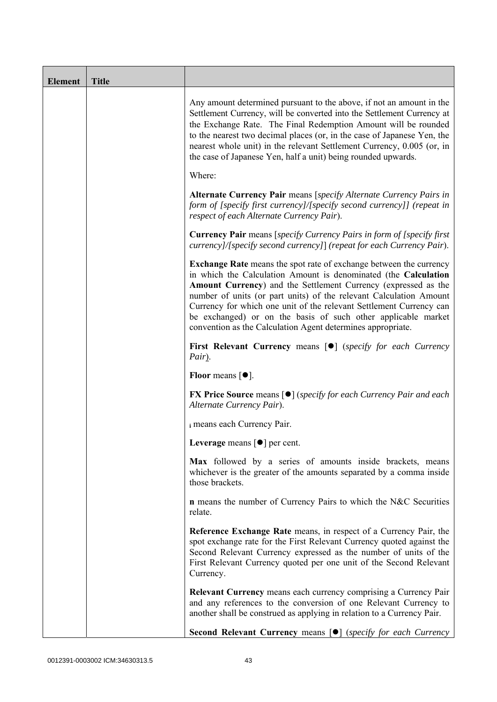| <b>Element</b> | <b>Title</b> |                                                                                                                                                                                                                                                                                                                                                                                                                                                                                             |
|----------------|--------------|---------------------------------------------------------------------------------------------------------------------------------------------------------------------------------------------------------------------------------------------------------------------------------------------------------------------------------------------------------------------------------------------------------------------------------------------------------------------------------------------|
|                |              | Any amount determined pursuant to the above, if not an amount in the<br>Settlement Currency, will be converted into the Settlement Currency at<br>the Exchange Rate. The Final Redemption Amount will be rounded<br>to the nearest two decimal places (or, in the case of Japanese Yen, the<br>nearest whole unit) in the relevant Settlement Currency, 0.005 (or, in<br>the case of Japanese Yen, half a unit) being rounded upwards.                                                      |
|                |              | Where:                                                                                                                                                                                                                                                                                                                                                                                                                                                                                      |
|                |              | Alternate Currency Pair means [specify Alternate Currency Pairs in<br>form of [specify first currency]/[specify second currency]] (repeat in<br>respect of each Alternate Currency Pair).                                                                                                                                                                                                                                                                                                   |
|                |              | <b>Currency Pair</b> means [specify Currency Pairs in form of [specify first]<br>currency]/[specify second currency]] (repeat for each Currency Pair).                                                                                                                                                                                                                                                                                                                                      |
|                |              | <b>Exchange Rate</b> means the spot rate of exchange between the currency<br>in which the Calculation Amount is denominated (the Calculation<br>Amount Currency) and the Settlement Currency (expressed as the<br>number of units (or part units) of the relevant Calculation Amount<br>Currency for which one unit of the relevant Settlement Currency can<br>be exchanged) or on the basis of such other applicable market<br>convention as the Calculation Agent determines appropriate. |
|                |              | First Relevant Currency means [ $\bullet$ ] (specify for each Currency<br>Pair).                                                                                                                                                                                                                                                                                                                                                                                                            |
|                |              | <b>Floor</b> means $\lceil \bullet \rceil$ .                                                                                                                                                                                                                                                                                                                                                                                                                                                |
|                |              | <b>FX Price Source means [<math>\bullet</math>]</b> (specify for each Currency Pair and each<br>Alternate Currency Pair).                                                                                                                                                                                                                                                                                                                                                                   |
|                |              | i means each Currency Pair.                                                                                                                                                                                                                                                                                                                                                                                                                                                                 |
|                |              | Leverage means $\lceil \bullet \rceil$ per cent.                                                                                                                                                                                                                                                                                                                                                                                                                                            |
|                |              | Max followed by a series of amounts inside brackets, means<br>whichever is the greater of the amounts separated by a comma inside<br>those brackets.                                                                                                                                                                                                                                                                                                                                        |
|                |              | <b>n</b> means the number of Currency Pairs to which the N&C Securities<br>relate.                                                                                                                                                                                                                                                                                                                                                                                                          |
|                |              | Reference Exchange Rate means, in respect of a Currency Pair, the<br>spot exchange rate for the First Relevant Currency quoted against the<br>Second Relevant Currency expressed as the number of units of the<br>First Relevant Currency quoted per one unit of the Second Relevant<br>Currency.                                                                                                                                                                                           |
|                |              | <b>Relevant Currency</b> means each currency comprising a Currency Pair<br>and any references to the conversion of one Relevant Currency to<br>another shall be construed as applying in relation to a Currency Pair.                                                                                                                                                                                                                                                                       |
|                |              | Second Relevant Currency means [ $\bullet$ ] (specify for each Currency                                                                                                                                                                                                                                                                                                                                                                                                                     |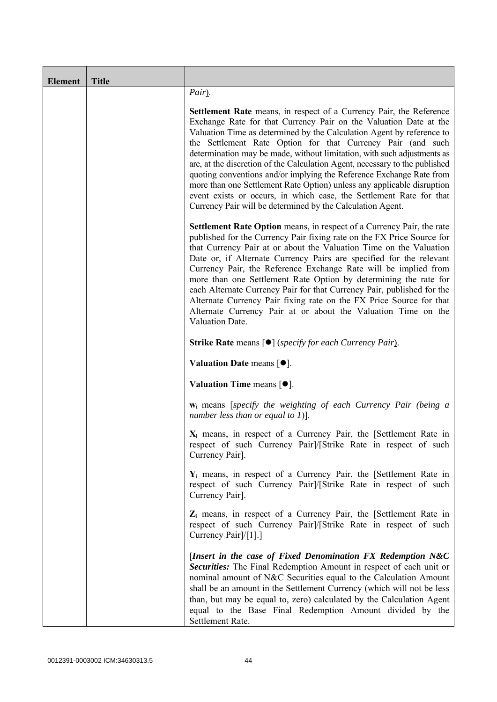| <b>Element</b> | <b>Title</b> |                                                                                                                                                                                                                                                                                                                                                                                                                                                                                                                                                                                                                                                                                                                                          |
|----------------|--------------|------------------------------------------------------------------------------------------------------------------------------------------------------------------------------------------------------------------------------------------------------------------------------------------------------------------------------------------------------------------------------------------------------------------------------------------------------------------------------------------------------------------------------------------------------------------------------------------------------------------------------------------------------------------------------------------------------------------------------------------|
|                |              | Pair).                                                                                                                                                                                                                                                                                                                                                                                                                                                                                                                                                                                                                                                                                                                                   |
|                |              | <b>Settlement Rate</b> means, in respect of a Currency Pair, the Reference<br>Exchange Rate for that Currency Pair on the Valuation Date at the<br>Valuation Time as determined by the Calculation Agent by reference to<br>the Settlement Rate Option for that Currency Pair (and such<br>determination may be made, without limitation, with such adjustments as<br>are, at the discretion of the Calculation Agent, necessary to the published<br>quoting conventions and/or implying the Reference Exchange Rate from<br>more than one Settlement Rate Option) unless any applicable disruption<br>event exists or occurs, in which case, the Settlement Rate for that<br>Currency Pair will be determined by the Calculation Agent. |
|                |              | Settlement Rate Option means, in respect of a Currency Pair, the rate<br>published for the Currency Pair fixing rate on the FX Price Source for<br>that Currency Pair at or about the Valuation Time on the Valuation<br>Date or, if Alternate Currency Pairs are specified for the relevant<br>Currency Pair, the Reference Exchange Rate will be implied from<br>more than one Settlement Rate Option by determining the rate for<br>each Alternate Currency Pair for that Currency Pair, published for the<br>Alternate Currency Pair fixing rate on the FX Price Source for that<br>Alternate Currency Pair at or about the Valuation Time on the<br>Valuation Date.                                                                 |
|                |              | <b>Strike Rate</b> means $\lceil \bullet \rceil$ ( <i>specify for each Currency Pair</i> ).                                                                                                                                                                                                                                                                                                                                                                                                                                                                                                                                                                                                                                              |
|                |              | Valuation Date means $[•]$ .                                                                                                                                                                                                                                                                                                                                                                                                                                                                                                                                                                                                                                                                                                             |
|                |              | Valuation Time means $[•]$ .                                                                                                                                                                                                                                                                                                                                                                                                                                                                                                                                                                                                                                                                                                             |
|                |              | <b>w</b> <sub>i</sub> means [specify the weighting of each Currency Pair (being a<br>number less than or equal to 1)].                                                                                                                                                                                                                                                                                                                                                                                                                                                                                                                                                                                                                   |
|                |              | $X_i$ means, in respect of a Currency Pair, the [Settlement Rate in<br>respect of such Currency Pair]/[Strike Rate in respect of such<br>Currency Pair].                                                                                                                                                                                                                                                                                                                                                                                                                                                                                                                                                                                 |
|                |              | $Y_i$ means, in respect of a Currency Pair, the [Settlement Rate in<br>respect of such Currency Pair]/[Strike Rate in respect of such<br>Currency Pair].                                                                                                                                                                                                                                                                                                                                                                                                                                                                                                                                                                                 |
|                |              | Z <sub>i</sub> means, in respect of a Currency Pair, the [Settlement Rate in<br>respect of such Currency Pair]/[Strike Rate in respect of such<br>Currency Pair]/[1].]                                                                                                                                                                                                                                                                                                                                                                                                                                                                                                                                                                   |
|                |              | [Insert in the case of Fixed Denomination FX Redemption $N&C$<br>Securities: The Final Redemption Amount in respect of each unit or<br>nominal amount of N&C Securities equal to the Calculation Amount<br>shall be an amount in the Settlement Currency (which will not be less<br>than, but may be equal to, zero) calculated by the Calculation Agent<br>equal to the Base Final Redemption Amount divided by the<br>Settlement Rate.                                                                                                                                                                                                                                                                                                 |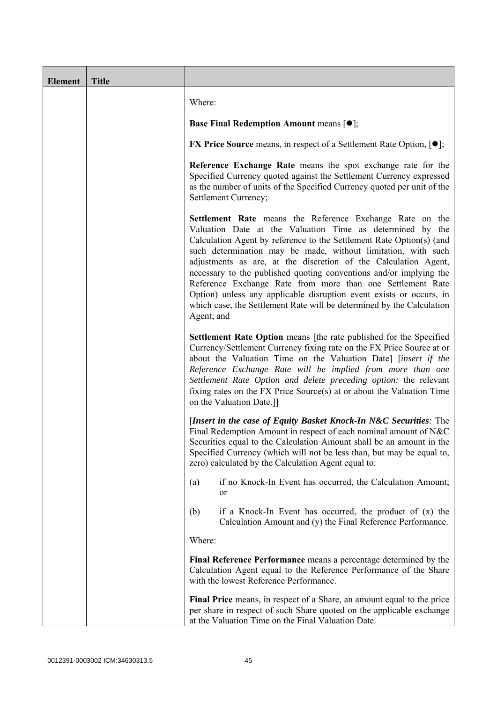| <b>Element</b> | <b>Title</b> |                                                                                                                                                                                                                                                                                                                                                                                                                                                                                                                                                                                                                                     |
|----------------|--------------|-------------------------------------------------------------------------------------------------------------------------------------------------------------------------------------------------------------------------------------------------------------------------------------------------------------------------------------------------------------------------------------------------------------------------------------------------------------------------------------------------------------------------------------------------------------------------------------------------------------------------------------|
|                |              | Where:                                                                                                                                                                                                                                                                                                                                                                                                                                                                                                                                                                                                                              |
|                |              | <b>Base Final Redemption Amount means <math>[①]</math>;</b>                                                                                                                                                                                                                                                                                                                                                                                                                                                                                                                                                                         |
|                |              | <b>FX Price Source</b> means, in respect of a Settlement Rate Option, $[•]$ ;                                                                                                                                                                                                                                                                                                                                                                                                                                                                                                                                                       |
|                |              | Reference Exchange Rate means the spot exchange rate for the<br>Specified Currency quoted against the Settlement Currency expressed<br>as the number of units of the Specified Currency quoted per unit of the<br>Settlement Currency;                                                                                                                                                                                                                                                                                                                                                                                              |
|                |              | Settlement Rate means the Reference Exchange Rate on the<br>Valuation Date at the Valuation Time as determined by the<br>Calculation Agent by reference to the Settlement Rate Option(s) (and<br>such determination may be made, without limitation, with such<br>adjustments as are, at the discretion of the Calculation Agent,<br>necessary to the published quoting conventions and/or implying the<br>Reference Exchange Rate from more than one Settlement Rate<br>Option) unless any applicable disruption event exists or occurs, in<br>which case, the Settlement Rate will be determined by the Calculation<br>Agent; and |
|                |              | Settlement Rate Option means [the rate published for the Specified<br>Currency/Settlement Currency fixing rate on the FX Price Source at or<br>about the Valuation Time on the Valuation Date] [insert if the<br>Reference Exchange Rate will be implied from more than one<br>Settlement Rate Option and delete preceding option: the relevant<br>fixing rates on the FX Price Source(s) at or about the Valuation Time<br>on the Valuation Date.]]                                                                                                                                                                                |
|                |              | [Insert in the case of Equity Basket Knock-In N&C Securities: The<br>Final Redemption Amount in respect of each nominal amount of N&C<br>Securities equal to the Calculation Amount shall be an amount in the<br>Specified Currency (which will not be less than, but may be equal to,<br>zero) calculated by the Calculation Agent equal to:                                                                                                                                                                                                                                                                                       |
|                |              | if no Knock-In Event has occurred, the Calculation Amount;<br>(a)<br>or                                                                                                                                                                                                                                                                                                                                                                                                                                                                                                                                                             |
|                |              | (b)<br>if a Knock-In Event has occurred, the product of $(x)$ the<br>Calculation Amount and (y) the Final Reference Performance.                                                                                                                                                                                                                                                                                                                                                                                                                                                                                                    |
|                |              | Where:                                                                                                                                                                                                                                                                                                                                                                                                                                                                                                                                                                                                                              |
|                |              | Final Reference Performance means a percentage determined by the<br>Calculation Agent equal to the Reference Performance of the Share<br>with the lowest Reference Performance.                                                                                                                                                                                                                                                                                                                                                                                                                                                     |
|                |              | Final Price means, in respect of a Share, an amount equal to the price<br>per share in respect of such Share quoted on the applicable exchange<br>at the Valuation Time on the Final Valuation Date.                                                                                                                                                                                                                                                                                                                                                                                                                                |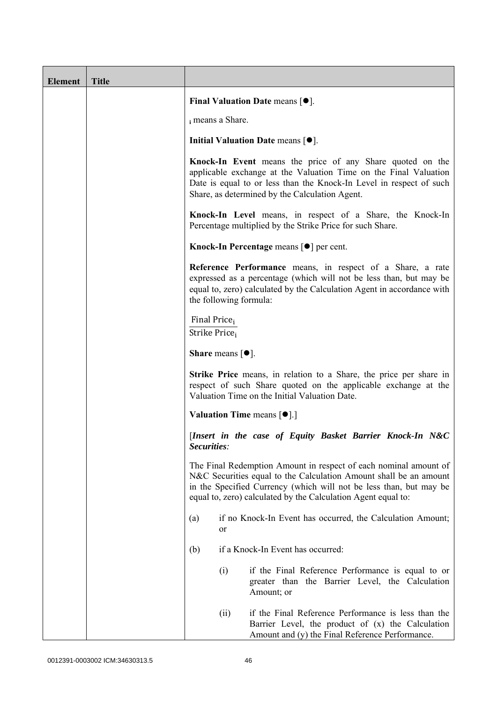| <b>Element</b> | <b>Title</b> |                                                                                                                                                                                                                                                                              |
|----------------|--------------|------------------------------------------------------------------------------------------------------------------------------------------------------------------------------------------------------------------------------------------------------------------------------|
|                |              | Final Valuation Date means $[•]$ .                                                                                                                                                                                                                                           |
|                |              | i means a Share.                                                                                                                                                                                                                                                             |
|                |              | Initial Valuation Date means $[•]$ .                                                                                                                                                                                                                                         |
|                |              | Knock-In Event means the price of any Share quoted on the<br>applicable exchange at the Valuation Time on the Final Valuation<br>Date is equal to or less than the Knock-In Level in respect of such<br>Share, as determined by the Calculation Agent.                       |
|                |              | Knock-In Level means, in respect of a Share, the Knock-In<br>Percentage multiplied by the Strike Price for such Share.                                                                                                                                                       |
|                |              | Knock-In Percentage means [●] per cent.                                                                                                                                                                                                                                      |
|                |              | Reference Performance means, in respect of a Share, a rate<br>expressed as a percentage (which will not be less than, but may be<br>equal to, zero) calculated by the Calculation Agent in accordance with<br>the following formula:                                         |
|                |              | Final Price <sub>i</sub><br>Strike Price <sub>i</sub>                                                                                                                                                                                                                        |
|                |              | <b>Share</b> means $[①]$ .                                                                                                                                                                                                                                                   |
|                |              | <b>Strike Price</b> means, in relation to a Share, the price per share in<br>respect of such Share quoted on the applicable exchange at the<br>Valuation Time on the Initial Valuation Date.                                                                                 |
|                |              | <b>Valuation Time means <math>\lceil \bullet \rceil</math>.</b>                                                                                                                                                                                                              |
|                |              | [Insert in the case of Equity Basket Barrier Knock-In N&C<br>Securities:                                                                                                                                                                                                     |
|                |              | The Final Redemption Amount in respect of each nominal amount of<br>N&C Securities equal to the Calculation Amount shall be an amount<br>in the Specified Currency (which will not be less than, but may be<br>equal to, zero) calculated by the Calculation Agent equal to: |
|                |              | if no Knock-In Event has occurred, the Calculation Amount;<br>(a)<br><sub>or</sub>                                                                                                                                                                                           |
|                |              | if a Knock-In Event has occurred:<br>(b)                                                                                                                                                                                                                                     |
|                |              | (i)<br>if the Final Reference Performance is equal to or<br>greater than the Barrier Level, the Calculation<br>Amount; or                                                                                                                                                    |
|                |              | if the Final Reference Performance is less than the<br>(ii)<br>Barrier Level, the product of (x) the Calculation<br>Amount and (y) the Final Reference Performance.                                                                                                          |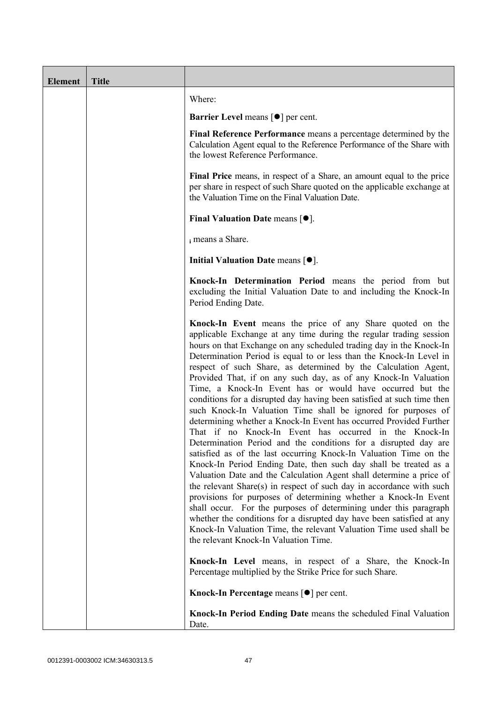| <b>Element</b> | <b>Title</b> |                                                                                                                                                                                                                                                                                                                                                                                                                                                                                                                                                                                                                                                                                                                                                                                                                                                                                                                                                                                                                                                                                                                                                                                                                                                                                                                                                                                                                                                       |
|----------------|--------------|-------------------------------------------------------------------------------------------------------------------------------------------------------------------------------------------------------------------------------------------------------------------------------------------------------------------------------------------------------------------------------------------------------------------------------------------------------------------------------------------------------------------------------------------------------------------------------------------------------------------------------------------------------------------------------------------------------------------------------------------------------------------------------------------------------------------------------------------------------------------------------------------------------------------------------------------------------------------------------------------------------------------------------------------------------------------------------------------------------------------------------------------------------------------------------------------------------------------------------------------------------------------------------------------------------------------------------------------------------------------------------------------------------------------------------------------------------|
|                |              | Where:                                                                                                                                                                                                                                                                                                                                                                                                                                                                                                                                                                                                                                                                                                                                                                                                                                                                                                                                                                                                                                                                                                                                                                                                                                                                                                                                                                                                                                                |
|                |              | <b>Barrier Level means [<math>\bullet</math>] per cent.</b>                                                                                                                                                                                                                                                                                                                                                                                                                                                                                                                                                                                                                                                                                                                                                                                                                                                                                                                                                                                                                                                                                                                                                                                                                                                                                                                                                                                           |
|                |              | Final Reference Performance means a percentage determined by the<br>Calculation Agent equal to the Reference Performance of the Share with<br>the lowest Reference Performance.                                                                                                                                                                                                                                                                                                                                                                                                                                                                                                                                                                                                                                                                                                                                                                                                                                                                                                                                                                                                                                                                                                                                                                                                                                                                       |
|                |              | Final Price means, in respect of a Share, an amount equal to the price<br>per share in respect of such Share quoted on the applicable exchange at<br>the Valuation Time on the Final Valuation Date.                                                                                                                                                                                                                                                                                                                                                                                                                                                                                                                                                                                                                                                                                                                                                                                                                                                                                                                                                                                                                                                                                                                                                                                                                                                  |
|                |              | Final Valuation Date means $[•]$ .                                                                                                                                                                                                                                                                                                                                                                                                                                                                                                                                                                                                                                                                                                                                                                                                                                                                                                                                                                                                                                                                                                                                                                                                                                                                                                                                                                                                                    |
|                |              | i means a Share.                                                                                                                                                                                                                                                                                                                                                                                                                                                                                                                                                                                                                                                                                                                                                                                                                                                                                                                                                                                                                                                                                                                                                                                                                                                                                                                                                                                                                                      |
|                |              | Initial Valuation Date means $[•]$ .                                                                                                                                                                                                                                                                                                                                                                                                                                                                                                                                                                                                                                                                                                                                                                                                                                                                                                                                                                                                                                                                                                                                                                                                                                                                                                                                                                                                                  |
|                |              | Knock-In Determination Period means the period from but<br>excluding the Initial Valuation Date to and including the Knock-In<br>Period Ending Date.                                                                                                                                                                                                                                                                                                                                                                                                                                                                                                                                                                                                                                                                                                                                                                                                                                                                                                                                                                                                                                                                                                                                                                                                                                                                                                  |
|                |              | Knock-In Event means the price of any Share quoted on the<br>applicable Exchange at any time during the regular trading session<br>hours on that Exchange on any scheduled trading day in the Knock-In<br>Determination Period is equal to or less than the Knock-In Level in<br>respect of such Share, as determined by the Calculation Agent,<br>Provided That, if on any such day, as of any Knock-In Valuation<br>Time, a Knock-In Event has or would have occurred but the<br>conditions for a disrupted day having been satisfied at such time then<br>such Knock-In Valuation Time shall be ignored for purposes of<br>determining whether a Knock-In Event has occurred Provided Further<br>That if no Knock-In Event has occurred in the Knock-In<br>Determination Period and the conditions for a disrupted day are<br>satisfied as of the last occurring Knock-In Valuation Time on the<br>Knock-In Period Ending Date, then such day shall be treated as a<br>Valuation Date and the Calculation Agent shall determine a price of<br>the relevant Share(s) in respect of such day in accordance with such<br>provisions for purposes of determining whether a Knock-In Event<br>shall occur. For the purposes of determining under this paragraph<br>whether the conditions for a disrupted day have been satisfied at any<br>Knock-In Valuation Time, the relevant Valuation Time used shall be<br>the relevant Knock-In Valuation Time. |
|                |              | Knock-In Level means, in respect of a Share, the Knock-In<br>Percentage multiplied by the Strike Price for such Share.                                                                                                                                                                                                                                                                                                                                                                                                                                                                                                                                                                                                                                                                                                                                                                                                                                                                                                                                                                                                                                                                                                                                                                                                                                                                                                                                |
|                |              | Knock-In Percentage means [●] per cent.                                                                                                                                                                                                                                                                                                                                                                                                                                                                                                                                                                                                                                                                                                                                                                                                                                                                                                                                                                                                                                                                                                                                                                                                                                                                                                                                                                                                               |
|                |              | Knock-In Period Ending Date means the scheduled Final Valuation<br>Date.                                                                                                                                                                                                                                                                                                                                                                                                                                                                                                                                                                                                                                                                                                                                                                                                                                                                                                                                                                                                                                                                                                                                                                                                                                                                                                                                                                              |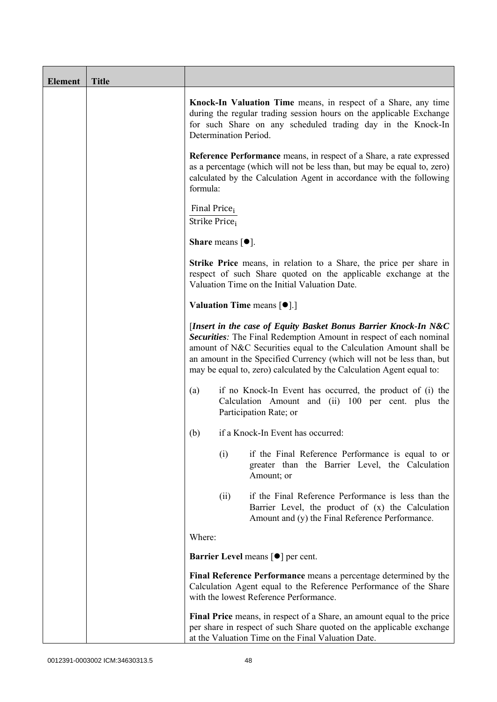| <b>Element</b> | <b>Title</b> |                                                                                                                                                                                                                                                                                                                                                             |
|----------------|--------------|-------------------------------------------------------------------------------------------------------------------------------------------------------------------------------------------------------------------------------------------------------------------------------------------------------------------------------------------------------------|
|                |              | Knock-In Valuation Time means, in respect of a Share, any time<br>during the regular trading session hours on the applicable Exchange<br>for such Share on any scheduled trading day in the Knock-In<br>Determination Period.                                                                                                                               |
|                |              | <b>Reference Performance</b> means, in respect of a Share, a rate expressed<br>as a percentage (which will not be less than, but may be equal to, zero)<br>calculated by the Calculation Agent in accordance with the following<br>formula:                                                                                                                 |
|                |              | Final Price <sub>i</sub><br>Strike Price <sub>i</sub>                                                                                                                                                                                                                                                                                                       |
|                |              | <b>Share</b> means $\lceil \bullet \rceil$ .                                                                                                                                                                                                                                                                                                                |
|                |              | <b>Strike Price</b> means, in relation to a Share, the price per share in<br>respect of such Share quoted on the applicable exchange at the<br>Valuation Time on the Initial Valuation Date.                                                                                                                                                                |
|                |              | <b>Valuation Time means <math>\lceil \bullet \rceil</math>.</b>                                                                                                                                                                                                                                                                                             |
|                |              | [Insert in the case of Equity Basket Bonus Barrier Knock-In N&C<br>Securities: The Final Redemption Amount in respect of each nominal<br>amount of N&C Securities equal to the Calculation Amount shall be<br>an amount in the Specified Currency (which will not be less than, but<br>may be equal to, zero) calculated by the Calculation Agent equal to: |
|                |              | if no Knock-In Event has occurred, the product of (i) the<br>(a)<br>Calculation Amount and (ii) 100 per cent. plus the<br>Participation Rate; or                                                                                                                                                                                                            |
|                |              | if a Knock-In Event has occurred:<br>(b)                                                                                                                                                                                                                                                                                                                    |
|                |              | if the Final Reference Performance is equal to or<br>(i)<br>greater than the Barrier Level, the Calculation<br>Amount; or                                                                                                                                                                                                                                   |
|                |              | if the Final Reference Performance is less than the<br>(ii)<br>Barrier Level, the product of (x) the Calculation<br>Amount and (y) the Final Reference Performance.                                                                                                                                                                                         |
|                |              | Where:                                                                                                                                                                                                                                                                                                                                                      |
|                |              | <b>Barrier Level</b> means $\lceil \bullet \rceil$ per cent.                                                                                                                                                                                                                                                                                                |
|                |              | Final Reference Performance means a percentage determined by the<br>Calculation Agent equal to the Reference Performance of the Share<br>with the lowest Reference Performance.                                                                                                                                                                             |
|                |              | Final Price means, in respect of a Share, an amount equal to the price<br>per share in respect of such Share quoted on the applicable exchange<br>at the Valuation Time on the Final Valuation Date.                                                                                                                                                        |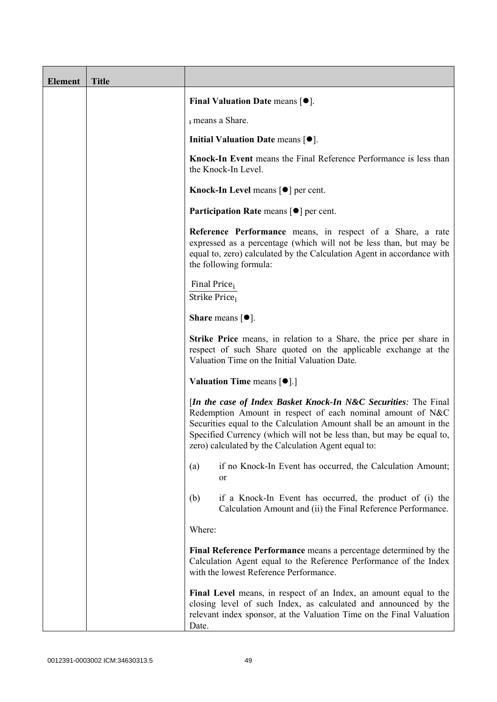| <b>Element</b> | <b>Title</b> |                                                                                                                                                                                                                                                                                                                                       |
|----------------|--------------|---------------------------------------------------------------------------------------------------------------------------------------------------------------------------------------------------------------------------------------------------------------------------------------------------------------------------------------|
|                |              | Final Valuation Date means $[•]$ .                                                                                                                                                                                                                                                                                                    |
|                |              | i means a Share.                                                                                                                                                                                                                                                                                                                      |
|                |              | Initial Valuation Date means $[•]$ .                                                                                                                                                                                                                                                                                                  |
|                |              | Knock-In Event means the Final Reference Performance is less than<br>the Knock-In Level.                                                                                                                                                                                                                                              |
|                |              | Knock-In Level means $\lceil \bullet \rceil$ per cent.                                                                                                                                                                                                                                                                                |
|                |              | <b>Participation Rate means <math>\lceil \bullet \rceil</math> per cent.</b>                                                                                                                                                                                                                                                          |
|                |              | Reference Performance means, in respect of a Share, a rate<br>expressed as a percentage (which will not be less than, but may be<br>equal to, zero) calculated by the Calculation Agent in accordance with<br>the following formula:                                                                                                  |
|                |              | Final Price <sub>i</sub><br>Strike Price <sub>i</sub>                                                                                                                                                                                                                                                                                 |
|                |              | <b>Share</b> means $[①]$ .                                                                                                                                                                                                                                                                                                            |
|                |              | <b>Strike Price</b> means, in relation to a Share, the price per share in<br>respect of such Share quoted on the applicable exchange at the<br>Valuation Time on the Initial Valuation Date.                                                                                                                                          |
|                |              | <b>Valuation Time means <math>\lceil \bullet \rceil</math>.</b>                                                                                                                                                                                                                                                                       |
|                |              | [In the case of Index Basket Knock-In N&C Securities: The Final<br>Redemption Amount in respect of each nominal amount of N&C<br>Securities equal to the Calculation Amount shall be an amount in the<br>Specified Currency (which will not be less than, but may be equal to,<br>zero) calculated by the Calculation Agent equal to: |
|                |              | if no Knock-In Event has occurred, the Calculation Amount;<br>(a)<br>or                                                                                                                                                                                                                                                               |
|                |              | if a Knock-In Event has occurred, the product of (i) the<br>(b)<br>Calculation Amount and (ii) the Final Reference Performance.                                                                                                                                                                                                       |
|                |              | Where:                                                                                                                                                                                                                                                                                                                                |
|                |              | Final Reference Performance means a percentage determined by the<br>Calculation Agent equal to the Reference Performance of the Index<br>with the lowest Reference Performance.                                                                                                                                                       |
|                |              | Final Level means, in respect of an Index, an amount equal to the<br>closing level of such Index, as calculated and announced by the<br>relevant index sponsor, at the Valuation Time on the Final Valuation<br>Date.                                                                                                                 |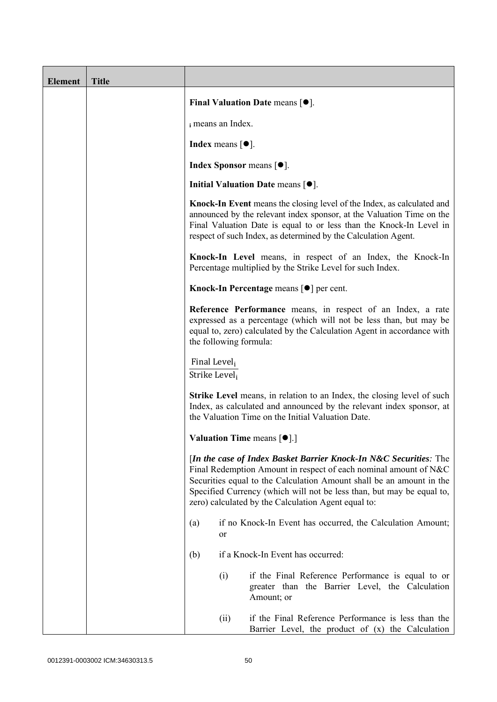| <b>Element</b> | <b>Title</b> |                                           |                                       |                                                                                                                                                                                                                                                                                                                                               |
|----------------|--------------|-------------------------------------------|---------------------------------------|-----------------------------------------------------------------------------------------------------------------------------------------------------------------------------------------------------------------------------------------------------------------------------------------------------------------------------------------------|
|                |              |                                           |                                       | Final Valuation Date means $[•]$ .                                                                                                                                                                                                                                                                                                            |
|                |              |                                           | i means an Index.                     |                                                                                                                                                                                                                                                                                                                                               |
|                |              |                                           | Index means $\lceil \bullet \rceil$ . |                                                                                                                                                                                                                                                                                                                                               |
|                |              |                                           |                                       | <b>Index Sponsor</b> means $\lceil \bullet \rceil$ .                                                                                                                                                                                                                                                                                          |
|                |              |                                           |                                       | Initial Valuation Date means $[•]$ .                                                                                                                                                                                                                                                                                                          |
|                |              |                                           |                                       | Knock-In Event means the closing level of the Index, as calculated and<br>announced by the relevant index sponsor, at the Valuation Time on the<br>Final Valuation Date is equal to or less than the Knock-In Level in<br>respect of such Index, as determined by the Calculation Agent.                                                      |
|                |              |                                           |                                       | Knock-In Level means, in respect of an Index, the Knock-In<br>Percentage multiplied by the Strike Level for such Index.                                                                                                                                                                                                                       |
|                |              |                                           |                                       | Knock-In Percentage means [●] per cent.                                                                                                                                                                                                                                                                                                       |
|                |              |                                           |                                       | Reference Performance means, in respect of an Index, a rate<br>expressed as a percentage (which will not be less than, but may be<br>equal to, zero) calculated by the Calculation Agent in accordance with<br>the following formula:                                                                                                         |
|                |              | Final Level <sub>i</sub><br>Strike Level; |                                       |                                                                                                                                                                                                                                                                                                                                               |
|                |              |                                           |                                       | <b>Strike Level</b> means, in relation to an Index, the closing level of such<br>Index, as calculated and announced by the relevant index sponsor, at<br>the Valuation Time on the Initial Valuation Date.                                                                                                                                    |
|                |              |                                           |                                       | Valuation Time means [ $\bullet$ ].]                                                                                                                                                                                                                                                                                                          |
|                |              |                                           |                                       | [In the case of Index Basket Barrier Knock-In N&C Securities: The<br>Final Redemption Amount in respect of each nominal amount of N&C<br>Securities equal to the Calculation Amount shall be an amount in the<br>Specified Currency (which will not be less than, but may be equal to,<br>zero) calculated by the Calculation Agent equal to: |
|                |              | (a)                                       | or                                    | if no Knock-In Event has occurred, the Calculation Amount;                                                                                                                                                                                                                                                                                    |
|                |              | (b)                                       |                                       | if a Knock-In Event has occurred:                                                                                                                                                                                                                                                                                                             |
|                |              |                                           | (i)                                   | if the Final Reference Performance is equal to or<br>greater than the Barrier Level, the Calculation<br>Amount; or                                                                                                                                                                                                                            |
|                |              |                                           | (ii)                                  | if the Final Reference Performance is less than the<br>Barrier Level, the product of $(x)$ the Calculation                                                                                                                                                                                                                                    |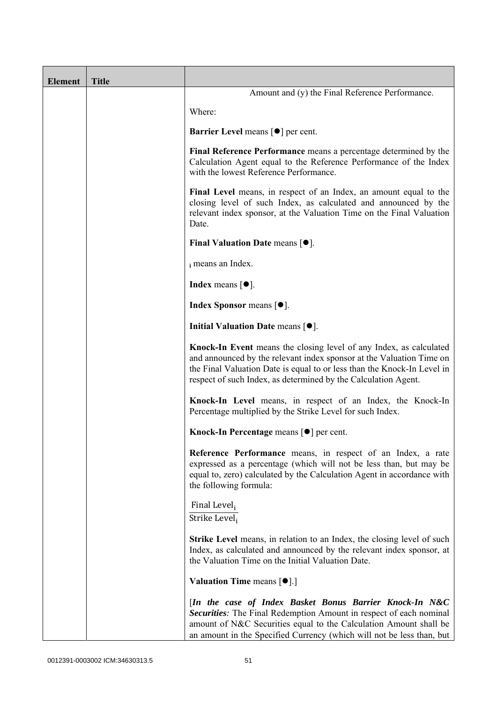| <b>Element</b> | <b>Title</b> |                                                                                                                                                                                                                                                                                         |
|----------------|--------------|-----------------------------------------------------------------------------------------------------------------------------------------------------------------------------------------------------------------------------------------------------------------------------------------|
|                |              | Amount and (y) the Final Reference Performance.                                                                                                                                                                                                                                         |
|                |              | Where:                                                                                                                                                                                                                                                                                  |
|                |              | <b>Barrier Level</b> means $\lceil \bullet \rceil$ per cent.                                                                                                                                                                                                                            |
|                |              | Final Reference Performance means a percentage determined by the<br>Calculation Agent equal to the Reference Performance of the Index<br>with the lowest Reference Performance.                                                                                                         |
|                |              | Final Level means, in respect of an Index, an amount equal to the<br>closing level of such Index, as calculated and announced by the<br>relevant index sponsor, at the Valuation Time on the Final Valuation<br>Date.                                                                   |
|                |              | Final Valuation Date means $[•]$ .                                                                                                                                                                                                                                                      |
|                |              | i means an Index.                                                                                                                                                                                                                                                                       |
|                |              | <b>Index</b> means $\lceil \bullet \rceil$ .                                                                                                                                                                                                                                            |
|                |              | <b>Index Sponsor</b> means $[•]$ .                                                                                                                                                                                                                                                      |
|                |              | Initial Valuation Date means $[•]$ .                                                                                                                                                                                                                                                    |
|                |              | Knock-In Event means the closing level of any Index, as calculated<br>and announced by the relevant index sponsor at the Valuation Time on<br>the Final Valuation Date is equal to or less than the Knock-In Level in<br>respect of such Index, as determined by the Calculation Agent. |
|                |              | Knock-In Level means, in respect of an Index, the Knock-In<br>Percentage multiplied by the Strike Level for such Index.                                                                                                                                                                 |
|                |              | Knock-In Percentage means [ <sup>●</sup> ] per cent.                                                                                                                                                                                                                                    |
|                |              | Reference Performance means, in respect of an Index, a rate<br>expressed as a percentage (which will not be less than, but may be<br>equal to, zero) calculated by the Calculation Agent in accordance with<br>the following formula:                                                   |
|                |              | Final Level <sub>i</sub><br>Strike Level <sub>i</sub>                                                                                                                                                                                                                                   |
|                |              | <b>Strike Level</b> means, in relation to an Index, the closing level of such<br>Index, as calculated and announced by the relevant index sponsor, at<br>the Valuation Time on the Initial Valuation Date.                                                                              |
|                |              | <b>Valuation Time means <math>\lceil \bullet \rceil</math>.</b>                                                                                                                                                                                                                         |
|                |              | [In the case of Index Basket Bonus Barrier Knock-In N&C<br>Securities: The Final Redemption Amount in respect of each nominal<br>amount of N&C Securities equal to the Calculation Amount shall be<br>an amount in the Specified Currency (which will not be less than, but             |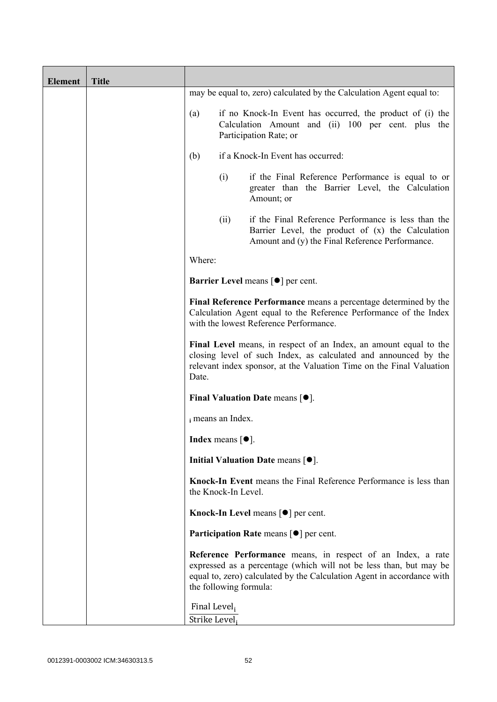| <b>Element</b> | <b>Title</b> |                                                       |                            |                                                                                                                                                                                                              |
|----------------|--------------|-------------------------------------------------------|----------------------------|--------------------------------------------------------------------------------------------------------------------------------------------------------------------------------------------------------------|
|                |              |                                                       |                            | may be equal to, zero) calculated by the Calculation Agent equal to:                                                                                                                                         |
|                |              | (a)                                                   |                            | if no Knock-In Event has occurred, the product of (i) the<br>Calculation Amount and (ii) 100 per cent. plus the<br>Participation Rate; or                                                                    |
|                |              | (b)                                                   |                            | if a Knock-In Event has occurred:                                                                                                                                                                            |
|                |              |                                                       | (i)                        | if the Final Reference Performance is equal to or<br>greater than the Barrier Level, the Calculation<br>Amount; or                                                                                           |
|                |              |                                                       | (ii)                       | if the Final Reference Performance is less than the<br>Barrier Level, the product of (x) the Calculation<br>Amount and (y) the Final Reference Performance.                                                  |
|                |              | Where:                                                |                            |                                                                                                                                                                                                              |
|                |              |                                                       |                            | <b>Barrier Level</b> means $\lceil \bullet \rceil$ per cent.                                                                                                                                                 |
|                |              |                                                       |                            | Final Reference Performance means a percentage determined by the<br>Calculation Agent equal to the Reference Performance of the Index<br>with the lowest Reference Performance.                              |
|                |              | Date.                                                 |                            | Final Level means, in respect of an Index, an amount equal to the<br>closing level of such Index, as calculated and announced by the<br>relevant index sponsor, at the Valuation Time on the Final Valuation |
|                |              |                                                       |                            | Final Valuation Date means $[•]$ .                                                                                                                                                                           |
|                |              |                                                       | i means an Index.          |                                                                                                                                                                                                              |
|                |              |                                                       | <b>Index</b> means $[•]$ . |                                                                                                                                                                                                              |
|                |              |                                                       |                            | Initial Valuation Date means $[•]$ .                                                                                                                                                                         |
|                |              |                                                       | the Knock-In Level.        | Knock-In Event means the Final Reference Performance is less than                                                                                                                                            |
|                |              |                                                       |                            | Knock-In Level means $\lceil \bullet \rceil$ per cent.                                                                                                                                                       |
|                |              |                                                       |                            | <b>Participation Rate means <math>\lceil \bullet \rceil</math> per cent.</b>                                                                                                                                 |
|                |              |                                                       | the following formula:     | Reference Performance means, in respect of an Index, a rate<br>expressed as a percentage (which will not be less than, but may be<br>equal to, zero) calculated by the Calculation Agent in accordance with  |
|                |              | Final Level <sub>i</sub><br>Strike Level <sub>i</sub> |                            |                                                                                                                                                                                                              |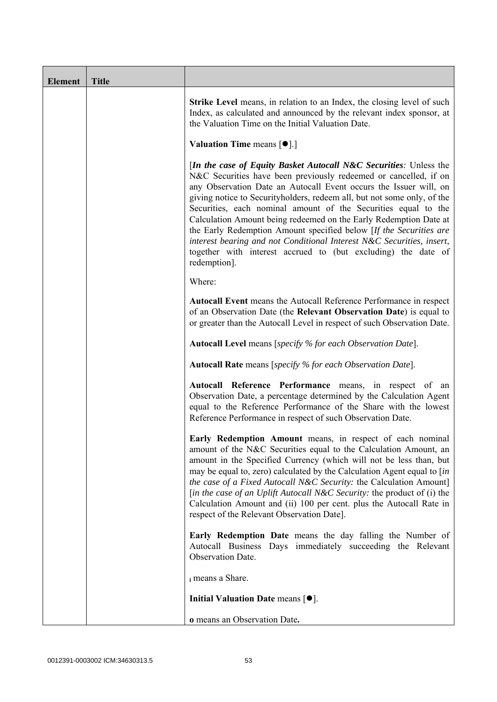| <b>Element</b> | <b>Title</b> |                                                                                                                                                                                                                                                                                                                                                                                                                                                                                                                                                                                                                                                                        |
|----------------|--------------|------------------------------------------------------------------------------------------------------------------------------------------------------------------------------------------------------------------------------------------------------------------------------------------------------------------------------------------------------------------------------------------------------------------------------------------------------------------------------------------------------------------------------------------------------------------------------------------------------------------------------------------------------------------------|
|                |              | <b>Strike Level</b> means, in relation to an Index, the closing level of such<br>Index, as calculated and announced by the relevant index sponsor, at<br>the Valuation Time on the Initial Valuation Date.                                                                                                                                                                                                                                                                                                                                                                                                                                                             |
|                |              | <b>Valuation Time means <math>\lceil \bullet \rceil</math>.</b>                                                                                                                                                                                                                                                                                                                                                                                                                                                                                                                                                                                                        |
|                |              | <i>In the case of Equity Basket Autocall N&amp;C Securities: Unless the</i><br>N&C Securities have been previously redeemed or cancelled, if on<br>any Observation Date an Autocall Event occurs the Issuer will, on<br>giving notice to Securityholders, redeem all, but not some only, of the<br>Securities, each nominal amount of the Securities equal to the<br>Calculation Amount being redeemed on the Early Redemption Date at<br>the Early Redemption Amount specified below [If the Securities are<br>interest bearing and not Conditional Interest N&C Securities, insert,<br>together with interest accrued to (but excluding) the date of<br>redemption]. |
|                |              | Where:                                                                                                                                                                                                                                                                                                                                                                                                                                                                                                                                                                                                                                                                 |
|                |              | Autocall Event means the Autocall Reference Performance in respect<br>of an Observation Date (the Relevant Observation Date) is equal to<br>or greater than the Autocall Level in respect of such Observation Date.                                                                                                                                                                                                                                                                                                                                                                                                                                                    |
|                |              | <b>Autocall Level</b> means [specify % for each Observation Date].                                                                                                                                                                                                                                                                                                                                                                                                                                                                                                                                                                                                     |
|                |              | <b>Autocall Rate</b> means [specify % for each Observation Date].                                                                                                                                                                                                                                                                                                                                                                                                                                                                                                                                                                                                      |
|                |              | Autocall Reference Performance means, in respect of an<br>Observation Date, a percentage determined by the Calculation Agent<br>equal to the Reference Performance of the Share with the lowest<br>Reference Performance in respect of such Observation Date.                                                                                                                                                                                                                                                                                                                                                                                                          |
|                |              | Early Redemption Amount means, in respect of each nominal<br>amount of the N&C Securities equal to the Calculation Amount, an<br>amount in the Specified Currency (which will not be less than, but<br>may be equal to, zero) calculated by the Calculation Agent equal to [in<br>the case of a Fixed Autocall N&C Security: the Calculation Amount]<br>[in the case of an Uplift Autocall N&C Security: the product of (i) the<br>Calculation Amount and (ii) 100 per cent. plus the Autocall Rate in<br>respect of the Relevant Observation Date].                                                                                                                   |
|                |              | Early Redemption Date means the day falling the Number of<br>Autocall Business Days immediately succeeding the Relevant<br>Observation Date.                                                                                                                                                                                                                                                                                                                                                                                                                                                                                                                           |
|                |              | i means a Share.                                                                                                                                                                                                                                                                                                                                                                                                                                                                                                                                                                                                                                                       |
|                |              | Initial Valuation Date means $[\bullet]$ .                                                                                                                                                                                                                                                                                                                                                                                                                                                                                                                                                                                                                             |
|                |              | o means an Observation Date.                                                                                                                                                                                                                                                                                                                                                                                                                                                                                                                                                                                                                                           |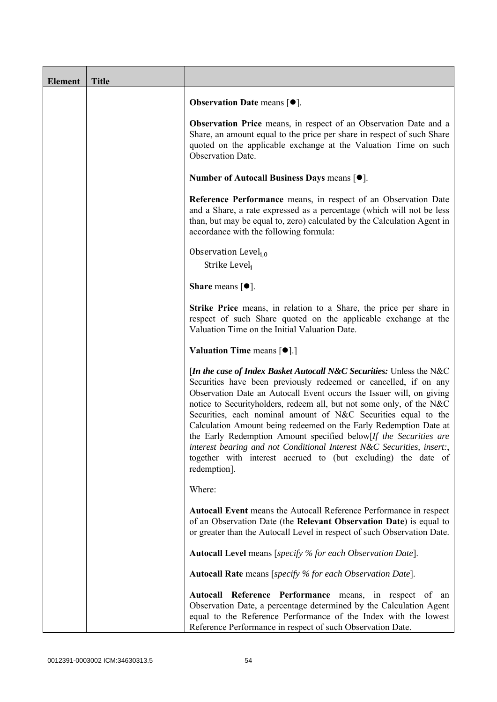| <b>Element</b> | <b>Title</b> |                                                                                                                                                                                                                                                                                                                                                                                                                                                                                                                                                                                                                                                                 |
|----------------|--------------|-----------------------------------------------------------------------------------------------------------------------------------------------------------------------------------------------------------------------------------------------------------------------------------------------------------------------------------------------------------------------------------------------------------------------------------------------------------------------------------------------------------------------------------------------------------------------------------------------------------------------------------------------------------------|
|                |              | <b>Observation Date means <math>\lceil \bullet \rceil</math>.</b>                                                                                                                                                                                                                                                                                                                                                                                                                                                                                                                                                                                               |
|                |              | Observation Price means, in respect of an Observation Date and a<br>Share, an amount equal to the price per share in respect of such Share<br>quoted on the applicable exchange at the Valuation Time on such<br><b>Observation Date.</b>                                                                                                                                                                                                                                                                                                                                                                                                                       |
|                |              | Number of Autocall Business Days means [●].                                                                                                                                                                                                                                                                                                                                                                                                                                                                                                                                                                                                                     |
|                |              | Reference Performance means, in respect of an Observation Date<br>and a Share, a rate expressed as a percentage (which will not be less<br>than, but may be equal to, zero) calculated by the Calculation Agent in<br>accordance with the following formula:                                                                                                                                                                                                                                                                                                                                                                                                    |
|                |              | Observation Level <sub>i,0</sub><br>Strike Level;                                                                                                                                                                                                                                                                                                                                                                                                                                                                                                                                                                                                               |
|                |              | <b>Share</b> means $[①]$ .                                                                                                                                                                                                                                                                                                                                                                                                                                                                                                                                                                                                                                      |
|                |              | Strike Price means, in relation to a Share, the price per share in<br>respect of such Share quoted on the applicable exchange at the<br>Valuation Time on the Initial Valuation Date.                                                                                                                                                                                                                                                                                                                                                                                                                                                                           |
|                |              | Valuation Time means [ $\bullet$ ].]                                                                                                                                                                                                                                                                                                                                                                                                                                                                                                                                                                                                                            |
|                |              | [In the case of Index Basket Autocall N&C Securities: Unless the N&C<br>Securities have been previously redeemed or cancelled, if on any<br>Observation Date an Autocall Event occurs the Issuer will, on giving<br>notice to Securityholders, redeem all, but not some only, of the N&C<br>Securities, each nominal amount of N&C Securities equal to the<br>Calculation Amount being redeemed on the Early Redemption Date at<br>the Early Redemption Amount specified below[If the Securities are<br>interest bearing and not Conditional Interest N&C Securities, insert:,<br>together with interest accrued to (but excluding) the date of<br>redemption]. |
|                |              | Where:                                                                                                                                                                                                                                                                                                                                                                                                                                                                                                                                                                                                                                                          |
|                |              | <b>Autocall Event</b> means the Autocall Reference Performance in respect<br>of an Observation Date (the Relevant Observation Date) is equal to<br>or greater than the Autocall Level in respect of such Observation Date.                                                                                                                                                                                                                                                                                                                                                                                                                                      |
|                |              | Autocall Level means [specify % for each Observation Date].                                                                                                                                                                                                                                                                                                                                                                                                                                                                                                                                                                                                     |
|                |              | <b>Autocall Rate</b> means [specify % for each Observation Date].                                                                                                                                                                                                                                                                                                                                                                                                                                                                                                                                                                                               |
|                |              | Autocall Reference Performance means, in respect of an<br>Observation Date, a percentage determined by the Calculation Agent<br>equal to the Reference Performance of the Index with the lowest<br>Reference Performance in respect of such Observation Date.                                                                                                                                                                                                                                                                                                                                                                                                   |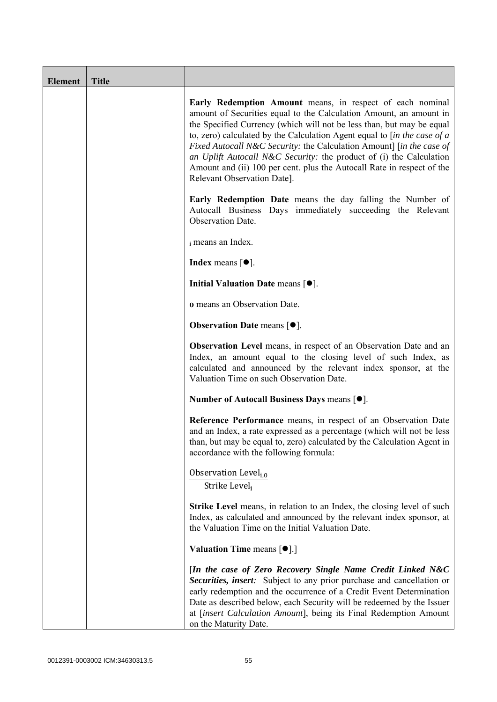| <b>Element</b> | <b>Title</b> |                                                                                                                                                                                                                                                                                                                                                                                                                                                                                                                                                           |
|----------------|--------------|-----------------------------------------------------------------------------------------------------------------------------------------------------------------------------------------------------------------------------------------------------------------------------------------------------------------------------------------------------------------------------------------------------------------------------------------------------------------------------------------------------------------------------------------------------------|
|                |              | Early Redemption Amount means, in respect of each nominal<br>amount of Securities equal to the Calculation Amount, an amount in<br>the Specified Currency (which will not be less than, but may be equal<br>to, zero) calculated by the Calculation Agent equal to $\int$ <i>in the case of a</i><br>Fixed Autocall N&C Security: the Calculation Amount] [in the case of<br>an Uplift Autocall N&C Security: the product of (i) the Calculation<br>Amount and (ii) 100 per cent. plus the Autocall Rate in respect of the<br>Relevant Observation Date]. |
|                |              | <b>Early Redemption Date</b> means the day falling the Number of<br>Autocall Business Days immediately succeeding the Relevant<br>Observation Date.                                                                                                                                                                                                                                                                                                                                                                                                       |
|                |              | i means an Index.                                                                                                                                                                                                                                                                                                                                                                                                                                                                                                                                         |
|                |              | <b>Index</b> means $\lceil \bullet \rceil$ .                                                                                                                                                                                                                                                                                                                                                                                                                                                                                                              |
|                |              | Initial Valuation Date means [ $\bullet$ ].                                                                                                                                                                                                                                                                                                                                                                                                                                                                                                               |
|                |              | o means an Observation Date.                                                                                                                                                                                                                                                                                                                                                                                                                                                                                                                              |
|                |              | <b>Observation Date means <math>\lceil \bullet \rceil</math>.</b>                                                                                                                                                                                                                                                                                                                                                                                                                                                                                         |
|                |              | Observation Level means, in respect of an Observation Date and an<br>Index, an amount equal to the closing level of such Index, as<br>calculated and announced by the relevant index sponsor, at the<br>Valuation Time on such Observation Date.                                                                                                                                                                                                                                                                                                          |
|                |              | Number of Autocall Business Days means [●].                                                                                                                                                                                                                                                                                                                                                                                                                                                                                                               |
|                |              | Reference Performance means, in respect of an Observation Date<br>and an Index, a rate expressed as a percentage (which will not be less<br>than, but may be equal to, zero) calculated by the Calculation Agent in<br>accordance with the following formula:                                                                                                                                                                                                                                                                                             |
|                |              | Observation Level <sub>i,0</sub><br>Strike Level;                                                                                                                                                                                                                                                                                                                                                                                                                                                                                                         |
|                |              | Strike Level means, in relation to an Index, the closing level of such<br>Index, as calculated and announced by the relevant index sponsor, at<br>the Valuation Time on the Initial Valuation Date.                                                                                                                                                                                                                                                                                                                                                       |
|                |              | Valuation Time means [ $\bullet$ ].]                                                                                                                                                                                                                                                                                                                                                                                                                                                                                                                      |
|                |              | [In the case of Zero Recovery Single Name Credit Linked N&C<br>Securities, insert: Subject to any prior purchase and cancellation or<br>early redemption and the occurrence of a Credit Event Determination<br>Date as described below, each Security will be redeemed by the Issuer<br>at [insert Calculation Amount], being its Final Redemption Amount<br>on the Maturity Date.                                                                                                                                                                        |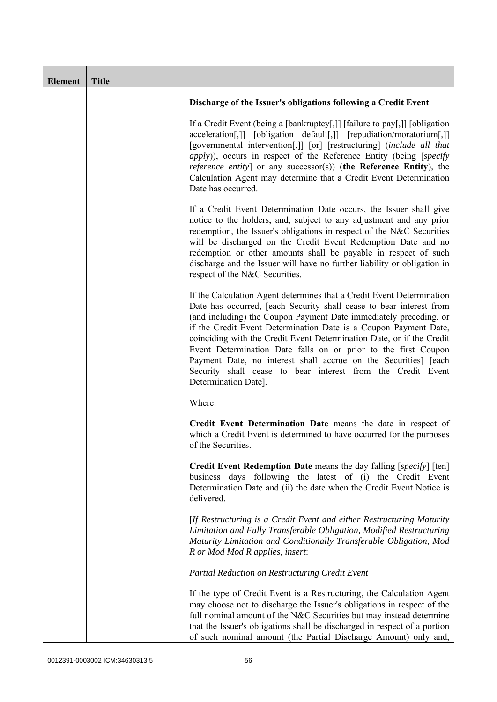| <b>Element</b> | <b>Title</b> |                                                                                                                                                                                                                                                                                                                                                                                                                                                                                                                                                                                            |
|----------------|--------------|--------------------------------------------------------------------------------------------------------------------------------------------------------------------------------------------------------------------------------------------------------------------------------------------------------------------------------------------------------------------------------------------------------------------------------------------------------------------------------------------------------------------------------------------------------------------------------------------|
|                |              | Discharge of the Issuer's obligations following a Credit Event                                                                                                                                                                                                                                                                                                                                                                                                                                                                                                                             |
|                |              | If a Credit Event (being a [bankruptcy[,]] [failure to pay[,]] [obligation<br>acceleration[,]] [obligation default[,]] [repudiation/moratorium[,]]<br>[governmental intervention[,]] [or] [restructuring] (include all that<br><i>apply</i> )), occurs in respect of the Reference Entity (being [specify]<br><i>reference entity</i> ] or any successor(s)) (the Reference Entity), the<br>Calculation Agent may determine that a Credit Event Determination<br>Date has occurred.                                                                                                        |
|                |              | If a Credit Event Determination Date occurs, the Issuer shall give<br>notice to the holders, and, subject to any adjustment and any prior<br>redemption, the Issuer's obligations in respect of the N&C Securities<br>will be discharged on the Credit Event Redemption Date and no<br>redemption or other amounts shall be payable in respect of such<br>discharge and the Issuer will have no further liability or obligation in<br>respect of the N&C Securities.                                                                                                                       |
|                |              | If the Calculation Agent determines that a Credit Event Determination<br>Date has occurred, [each Security shall cease to bear interest from<br>(and including) the Coupon Payment Date immediately preceding, or<br>if the Credit Event Determination Date is a Coupon Payment Date,<br>coinciding with the Credit Event Determination Date, or if the Credit<br>Event Determination Date falls on or prior to the first Coupon<br>Payment Date, no interest shall accrue on the Securities] [each<br>Security shall cease to bear interest from the Credit Event<br>Determination Date]. |
|                |              | Where:                                                                                                                                                                                                                                                                                                                                                                                                                                                                                                                                                                                     |
|                |              | Credit Event Determination Date means the date in respect of<br>which a Credit Event is determined to have occurred for the purposes<br>of the Securities.                                                                                                                                                                                                                                                                                                                                                                                                                                 |
|                |              | <b>Credit Event Redemption Date</b> means the day falling [specify] [ten]<br>business days following the latest of (i) the Credit Event<br>Determination Date and (ii) the date when the Credit Event Notice is<br>delivered.                                                                                                                                                                                                                                                                                                                                                              |
|                |              | [If Restructuring is a Credit Event and either Restructuring Maturity<br>Limitation and Fully Transferable Obligation, Modified Restructuring<br>Maturity Limitation and Conditionally Transferable Obligation, Mod<br>R or Mod Mod R applies, insert:                                                                                                                                                                                                                                                                                                                                     |
|                |              | Partial Reduction on Restructuring Credit Event                                                                                                                                                                                                                                                                                                                                                                                                                                                                                                                                            |
|                |              | If the type of Credit Event is a Restructuring, the Calculation Agent<br>may choose not to discharge the Issuer's obligations in respect of the<br>full nominal amount of the N&C Securities but may instead determine<br>that the Issuer's obligations shall be discharged in respect of a portion<br>of such nominal amount (the Partial Discharge Amount) only and,                                                                                                                                                                                                                     |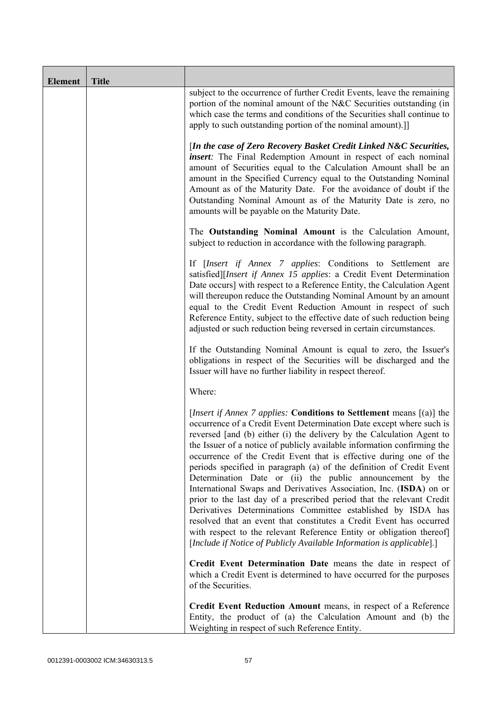| <b>Element</b> | <b>Title</b> |                                                                                                                                                                                                                                                                                                                                                                                                                                                                                                                                                                                                                                                                                                                                                                                                                                                                                                                                                           |
|----------------|--------------|-----------------------------------------------------------------------------------------------------------------------------------------------------------------------------------------------------------------------------------------------------------------------------------------------------------------------------------------------------------------------------------------------------------------------------------------------------------------------------------------------------------------------------------------------------------------------------------------------------------------------------------------------------------------------------------------------------------------------------------------------------------------------------------------------------------------------------------------------------------------------------------------------------------------------------------------------------------|
|                |              | subject to the occurrence of further Credit Events, leave the remaining<br>portion of the nominal amount of the N&C Securities outstanding (in<br>which case the terms and conditions of the Securities shall continue to<br>apply to such outstanding portion of the nominal amount).]                                                                                                                                                                                                                                                                                                                                                                                                                                                                                                                                                                                                                                                                   |
|                |              | [In the case of Zero Recovery Basket Credit Linked N&C Securities,<br><i>insert</i> : The Final Redemption Amount in respect of each nominal<br>amount of Securities equal to the Calculation Amount shall be an<br>amount in the Specified Currency equal to the Outstanding Nominal<br>Amount as of the Maturity Date. For the avoidance of doubt if the<br>Outstanding Nominal Amount as of the Maturity Date is zero, no<br>amounts will be payable on the Maturity Date.                                                                                                                                                                                                                                                                                                                                                                                                                                                                             |
|                |              | The Outstanding Nominal Amount is the Calculation Amount,<br>subject to reduction in accordance with the following paragraph.                                                                                                                                                                                                                                                                                                                                                                                                                                                                                                                                                                                                                                                                                                                                                                                                                             |
|                |              | If [Insert if Annex 7 applies: Conditions to Settlement are<br>satisfied][Insert if Annex 15 applies: a Credit Event Determination<br>Date occurs] with respect to a Reference Entity, the Calculation Agent<br>will thereupon reduce the Outstanding Nominal Amount by an amount<br>equal to the Credit Event Reduction Amount in respect of such<br>Reference Entity, subject to the effective date of such reduction being<br>adjusted or such reduction being reversed in certain circumstances.                                                                                                                                                                                                                                                                                                                                                                                                                                                      |
|                |              | If the Outstanding Nominal Amount is equal to zero, the Issuer's<br>obligations in respect of the Securities will be discharged and the<br>Issuer will have no further liability in respect thereof.                                                                                                                                                                                                                                                                                                                                                                                                                                                                                                                                                                                                                                                                                                                                                      |
|                |              | Where:                                                                                                                                                                                                                                                                                                                                                                                                                                                                                                                                                                                                                                                                                                                                                                                                                                                                                                                                                    |
|                |              | <i>[Insert if Annex 7 applies: Conditions to Settlement means [(a)] the</i><br>occurrence of a Credit Event Determination Date except where such is<br>reversed [and (b) either (i) the delivery by the Calculation Agent to<br>the Issuer of a notice of publicly available information confirming the<br>occurrence of the Credit Event that is effective during one of the<br>periods specified in paragraph (a) of the definition of Credit Event<br>Determination Date or (ii) the public announcement by the<br>International Swaps and Derivatives Association, Inc. (ISDA) on or<br>prior to the last day of a prescribed period that the relevant Credit<br>Derivatives Determinations Committee established by ISDA has<br>resolved that an event that constitutes a Credit Event has occurred<br>with respect to the relevant Reference Entity or obligation thereof]<br>[Include if Notice of Publicly Available Information is applicable].] |
|                |              | Credit Event Determination Date means the date in respect of<br>which a Credit Event is determined to have occurred for the purposes<br>of the Securities.                                                                                                                                                                                                                                                                                                                                                                                                                                                                                                                                                                                                                                                                                                                                                                                                |
|                |              | Credit Event Reduction Amount means, in respect of a Reference<br>Entity, the product of (a) the Calculation Amount and (b) the<br>Weighting in respect of such Reference Entity.                                                                                                                                                                                                                                                                                                                                                                                                                                                                                                                                                                                                                                                                                                                                                                         |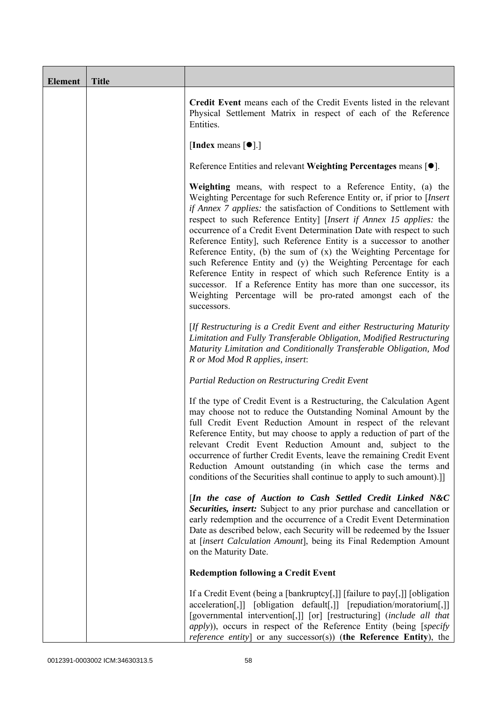| Element | <b>Title</b> |                                                                                                                                                                                                                                                                                                                                                                                                                                                                                                                                                                                                                                                                                                                                                                                                     |
|---------|--------------|-----------------------------------------------------------------------------------------------------------------------------------------------------------------------------------------------------------------------------------------------------------------------------------------------------------------------------------------------------------------------------------------------------------------------------------------------------------------------------------------------------------------------------------------------------------------------------------------------------------------------------------------------------------------------------------------------------------------------------------------------------------------------------------------------------|
|         |              | Credit Event means each of the Credit Events listed in the relevant<br>Physical Settlement Matrix in respect of each of the Reference<br>Entities.                                                                                                                                                                                                                                                                                                                                                                                                                                                                                                                                                                                                                                                  |
|         |              | [Index means $[\bullet]$ .]                                                                                                                                                                                                                                                                                                                                                                                                                                                                                                                                                                                                                                                                                                                                                                         |
|         |              | Reference Entities and relevant Weighting Percentages means $[•]$ .                                                                                                                                                                                                                                                                                                                                                                                                                                                                                                                                                                                                                                                                                                                                 |
|         |              | Weighting means, with respect to a Reference Entity, (a) the<br>Weighting Percentage for such Reference Entity or, if prior to [Insert]<br>if Annex 7 applies: the satisfaction of Conditions to Settlement with<br>respect to such Reference Entity] [Insert if Annex 15 applies: the<br>occurrence of a Credit Event Determination Date with respect to such<br>Reference Entity], such Reference Entity is a successor to another<br>Reference Entity, (b) the sum of $(x)$ the Weighting Percentage for<br>such Reference Entity and (y) the Weighting Percentage for each<br>Reference Entity in respect of which such Reference Entity is a<br>successor. If a Reference Entity has more than one successor, its<br>Weighting Percentage will be pro-rated amongst each of the<br>successors. |
|         |              | [If Restructuring is a Credit Event and either Restructuring Maturity<br>Limitation and Fully Transferable Obligation, Modified Restructuring<br>Maturity Limitation and Conditionally Transferable Obligation, Mod<br>R or Mod Mod R applies, insert:                                                                                                                                                                                                                                                                                                                                                                                                                                                                                                                                              |
|         |              | Partial Reduction on Restructuring Credit Event                                                                                                                                                                                                                                                                                                                                                                                                                                                                                                                                                                                                                                                                                                                                                     |
|         |              | If the type of Credit Event is a Restructuring, the Calculation Agent<br>may choose not to reduce the Outstanding Nominal Amount by the<br>full Credit Event Reduction Amount in respect of the relevant<br>Reference Entity, but may choose to apply a reduction of part of the<br>relevant Credit Event Reduction Amount and, subject to the<br>occurrence of further Credit Events, leave the remaining Credit Event<br>Reduction Amount outstanding (in which case the terms and<br>conditions of the Securities shall continue to apply to such amount).]                                                                                                                                                                                                                                      |
|         |              | [In the case of Auction to Cash Settled Credit Linked N&C<br>Securities, insert: Subject to any prior purchase and cancellation or<br>early redemption and the occurrence of a Credit Event Determination<br>Date as described below, each Security will be redeemed by the Issuer<br>at [insert Calculation Amount], being its Final Redemption Amount<br>on the Maturity Date.                                                                                                                                                                                                                                                                                                                                                                                                                    |
|         |              | <b>Redemption following a Credit Event</b>                                                                                                                                                                                                                                                                                                                                                                                                                                                                                                                                                                                                                                                                                                                                                          |
|         |              | If a Credit Event (being a [bankruptcy[,]] [failure to pay[,]] [obligation<br>acceleration[,]] [obligation default[,]] [repudiation/moratorium[,]]<br>[governmental intervention[,]] [or] [restructuring] (include all that<br><i>apply</i> )), occurs in respect of the Reference Entity (being [specify<br>reference entity] or any successor(s)) (the Reference Entity), the                                                                                                                                                                                                                                                                                                                                                                                                                     |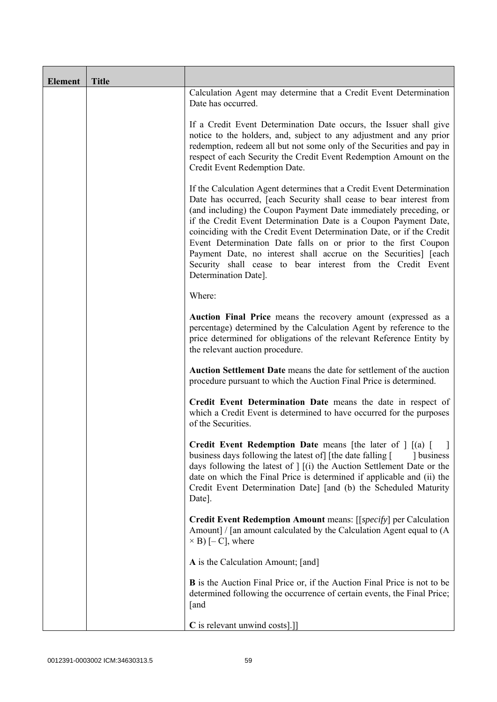| <b>Element</b> | <b>Title</b> |                                                                                                                                                                                                                                                                                                                                                                                                                                                                                                                                                                                            |
|----------------|--------------|--------------------------------------------------------------------------------------------------------------------------------------------------------------------------------------------------------------------------------------------------------------------------------------------------------------------------------------------------------------------------------------------------------------------------------------------------------------------------------------------------------------------------------------------------------------------------------------------|
|                |              | Calculation Agent may determine that a Credit Event Determination<br>Date has occurred.                                                                                                                                                                                                                                                                                                                                                                                                                                                                                                    |
|                |              | If a Credit Event Determination Date occurs, the Issuer shall give<br>notice to the holders, and, subject to any adjustment and any prior<br>redemption, redeem all but not some only of the Securities and pay in<br>respect of each Security the Credit Event Redemption Amount on the<br>Credit Event Redemption Date.                                                                                                                                                                                                                                                                  |
|                |              | If the Calculation Agent determines that a Credit Event Determination<br>Date has occurred, [each Security shall cease to bear interest from<br>(and including) the Coupon Payment Date immediately preceding, or<br>if the Credit Event Determination Date is a Coupon Payment Date,<br>coinciding with the Credit Event Determination Date, or if the Credit<br>Event Determination Date falls on or prior to the first Coupon<br>Payment Date, no interest shall accrue on the Securities] [each<br>Security shall cease to bear interest from the Credit Event<br>Determination Date]. |
|                |              | Where:                                                                                                                                                                                                                                                                                                                                                                                                                                                                                                                                                                                     |
|                |              | Auction Final Price means the recovery amount (expressed as a<br>percentage) determined by the Calculation Agent by reference to the<br>price determined for obligations of the relevant Reference Entity by<br>the relevant auction procedure.                                                                                                                                                                                                                                                                                                                                            |
|                |              | Auction Settlement Date means the date for settlement of the auction<br>procedure pursuant to which the Auction Final Price is determined.                                                                                                                                                                                                                                                                                                                                                                                                                                                 |
|                |              | Credit Event Determination Date means the date in respect of<br>which a Credit Event is determined to have occurred for the purposes<br>of the Securities.                                                                                                                                                                                                                                                                                                                                                                                                                                 |
|                |              | <b>Credit Event Redemption Date</b> means [the later of $\int$ $[(a)$ $[$<br>business days following the latest of [the date falling [<br>dollar business<br>days following the latest of $\vert$ $\vert$ (i) the Auction Settlement Date or the<br>date on which the Final Price is determined if applicable and (ii) the<br>Credit Event Determination Date] [and (b) the Scheduled Maturity<br>Date].                                                                                                                                                                                   |
|                |              | <b>Credit Event Redemption Amount</b> means: [[ <i>specify</i> ] per Calculation<br>Amount] / [an amount calculated by the Calculation Agent equal to (A<br>$\times$ B) [- C], where                                                                                                                                                                                                                                                                                                                                                                                                       |
|                |              | A is the Calculation Amount; [and]                                                                                                                                                                                                                                                                                                                                                                                                                                                                                                                                                         |
|                |              | <b>B</b> is the Auction Final Price or, if the Auction Final Price is not to be<br>determined following the occurrence of certain events, the Final Price;<br>[and                                                                                                                                                                                                                                                                                                                                                                                                                         |
|                |              | C is relevant unwind costs].]]                                                                                                                                                                                                                                                                                                                                                                                                                                                                                                                                                             |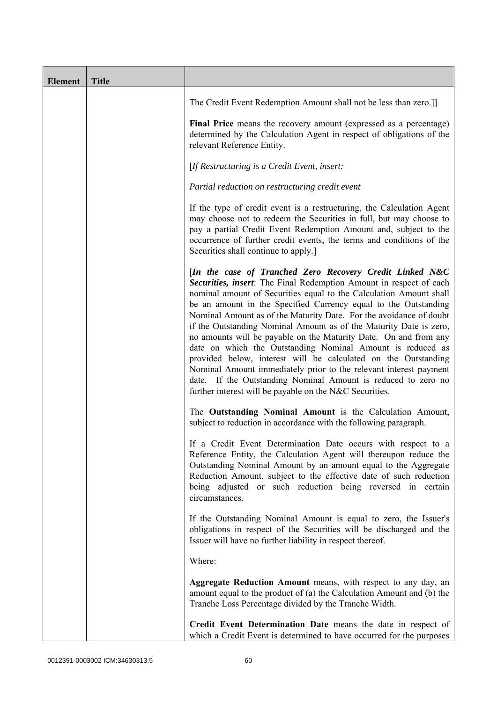| <b>Element</b> | <b>Title</b> |                                                                                                                                                                                                                                                                                                                                                                                                                                                                                                                                                                                                                                                                                                                                                                                                                          |
|----------------|--------------|--------------------------------------------------------------------------------------------------------------------------------------------------------------------------------------------------------------------------------------------------------------------------------------------------------------------------------------------------------------------------------------------------------------------------------------------------------------------------------------------------------------------------------------------------------------------------------------------------------------------------------------------------------------------------------------------------------------------------------------------------------------------------------------------------------------------------|
|                |              | The Credit Event Redemption Amount shall not be less than zero.]                                                                                                                                                                                                                                                                                                                                                                                                                                                                                                                                                                                                                                                                                                                                                         |
|                |              | Final Price means the recovery amount (expressed as a percentage)<br>determined by the Calculation Agent in respect of obligations of the<br>relevant Reference Entity.                                                                                                                                                                                                                                                                                                                                                                                                                                                                                                                                                                                                                                                  |
|                |              | [If Restructuring is a Credit Event, insert:                                                                                                                                                                                                                                                                                                                                                                                                                                                                                                                                                                                                                                                                                                                                                                             |
|                |              | Partial reduction on restructuring credit event                                                                                                                                                                                                                                                                                                                                                                                                                                                                                                                                                                                                                                                                                                                                                                          |
|                |              | If the type of credit event is a restructuring, the Calculation Agent<br>may choose not to redeem the Securities in full, but may choose to<br>pay a partial Credit Event Redemption Amount and, subject to the<br>occurrence of further credit events, the terms and conditions of the<br>Securities shall continue to apply.]                                                                                                                                                                                                                                                                                                                                                                                                                                                                                          |
|                |              | [In the case of Tranched Zero Recovery Credit Linked N&C<br>Securities, insert: The Final Redemption Amount in respect of each<br>nominal amount of Securities equal to the Calculation Amount shall<br>be an amount in the Specified Currency equal to the Outstanding<br>Nominal Amount as of the Maturity Date. For the avoidance of doubt<br>if the Outstanding Nominal Amount as of the Maturity Date is zero,<br>no amounts will be payable on the Maturity Date. On and from any<br>date on which the Outstanding Nominal Amount is reduced as<br>provided below, interest will be calculated on the Outstanding<br>Nominal Amount immediately prior to the relevant interest payment<br>date. If the Outstanding Nominal Amount is reduced to zero no<br>further interest will be payable on the N&C Securities. |
|                |              | The Outstanding Nominal Amount is the Calculation Amount,<br>subject to reduction in accordance with the following paragraph.                                                                                                                                                                                                                                                                                                                                                                                                                                                                                                                                                                                                                                                                                            |
|                |              | If a Credit Event Determination Date occurs with respect to a<br>Reference Entity, the Calculation Agent will thereupon reduce the<br>Outstanding Nominal Amount by an amount equal to the Aggregate<br>Reduction Amount, subject to the effective date of such reduction<br>being adjusted or such reduction being reversed in certain<br>circumstances.                                                                                                                                                                                                                                                                                                                                                                                                                                                                |
|                |              | If the Outstanding Nominal Amount is equal to zero, the Issuer's<br>obligations in respect of the Securities will be discharged and the<br>Issuer will have no further liability in respect thereof.                                                                                                                                                                                                                                                                                                                                                                                                                                                                                                                                                                                                                     |
|                |              | Where:                                                                                                                                                                                                                                                                                                                                                                                                                                                                                                                                                                                                                                                                                                                                                                                                                   |
|                |              | Aggregate Reduction Amount means, with respect to any day, an<br>amount equal to the product of (a) the Calculation Amount and (b) the<br>Tranche Loss Percentage divided by the Tranche Width.                                                                                                                                                                                                                                                                                                                                                                                                                                                                                                                                                                                                                          |
|                |              | Credit Event Determination Date means the date in respect of<br>which a Credit Event is determined to have occurred for the purposes                                                                                                                                                                                                                                                                                                                                                                                                                                                                                                                                                                                                                                                                                     |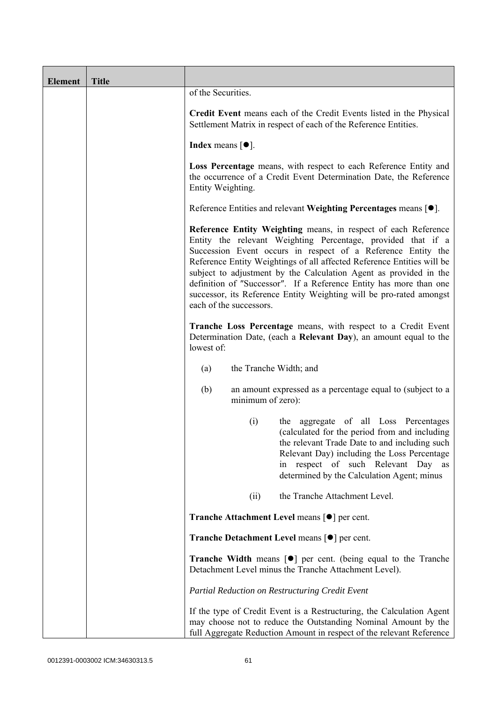| <b>Element</b> | <b>Title</b> |                                                                                                                                                                                                                                                                                                                                                                                                                                                                                                                       |
|----------------|--------------|-----------------------------------------------------------------------------------------------------------------------------------------------------------------------------------------------------------------------------------------------------------------------------------------------------------------------------------------------------------------------------------------------------------------------------------------------------------------------------------------------------------------------|
|                |              | of the Securities.                                                                                                                                                                                                                                                                                                                                                                                                                                                                                                    |
|                |              | Credit Event means each of the Credit Events listed in the Physical<br>Settlement Matrix in respect of each of the Reference Entities.                                                                                                                                                                                                                                                                                                                                                                                |
|                |              | <b>Index</b> means $[•]$ .                                                                                                                                                                                                                                                                                                                                                                                                                                                                                            |
|                |              | Loss Percentage means, with respect to each Reference Entity and<br>the occurrence of a Credit Event Determination Date, the Reference<br>Entity Weighting.                                                                                                                                                                                                                                                                                                                                                           |
|                |              | Reference Entities and relevant Weighting Percentages means [●].                                                                                                                                                                                                                                                                                                                                                                                                                                                      |
|                |              | Reference Entity Weighting means, in respect of each Reference<br>Entity the relevant Weighting Percentage, provided that if a<br>Succession Event occurs in respect of a Reference Entity the<br>Reference Entity Weightings of all affected Reference Entities will be<br>subject to adjustment by the Calculation Agent as provided in the<br>definition of "Successor". If a Reference Entity has more than one<br>successor, its Reference Entity Weighting will be pro-rated amongst<br>each of the successors. |
|                |              | Tranche Loss Percentage means, with respect to a Credit Event<br>Determination Date, (each a Relevant Day), an amount equal to the<br>lowest of:                                                                                                                                                                                                                                                                                                                                                                      |
|                |              | the Tranche Width; and<br>(a)                                                                                                                                                                                                                                                                                                                                                                                                                                                                                         |
|                |              | (b)<br>an amount expressed as a percentage equal to (subject to a<br>minimum of zero):                                                                                                                                                                                                                                                                                                                                                                                                                                |
|                |              | the aggregate of all Loss Percentages<br>(i)<br>(calculated for the period from and including<br>the relevant Trade Date to and including such<br>Relevant Day) including the Loss Percentage<br>respect of such Relevant Day as<br>in<br>determined by the Calculation Agent; minus                                                                                                                                                                                                                                  |
|                |              | the Tranche Attachment Level.<br>(ii)                                                                                                                                                                                                                                                                                                                                                                                                                                                                                 |
|                |              | <b>Tranche Attachment Level means <math>\lceil \bullet \rceil</math> per cent.</b>                                                                                                                                                                                                                                                                                                                                                                                                                                    |
|                |              | <b>Tranche Detachment Level means [●] per cent.</b>                                                                                                                                                                                                                                                                                                                                                                                                                                                                   |
|                |              | <b>Tranche Width</b> means $\lceil \bullet \rceil$ per cent. (being equal to the Tranche<br>Detachment Level minus the Tranche Attachment Level).                                                                                                                                                                                                                                                                                                                                                                     |
|                |              | Partial Reduction on Restructuring Credit Event                                                                                                                                                                                                                                                                                                                                                                                                                                                                       |
|                |              | If the type of Credit Event is a Restructuring, the Calculation Agent<br>may choose not to reduce the Outstanding Nominal Amount by the<br>full Aggregate Reduction Amount in respect of the relevant Reference                                                                                                                                                                                                                                                                                                       |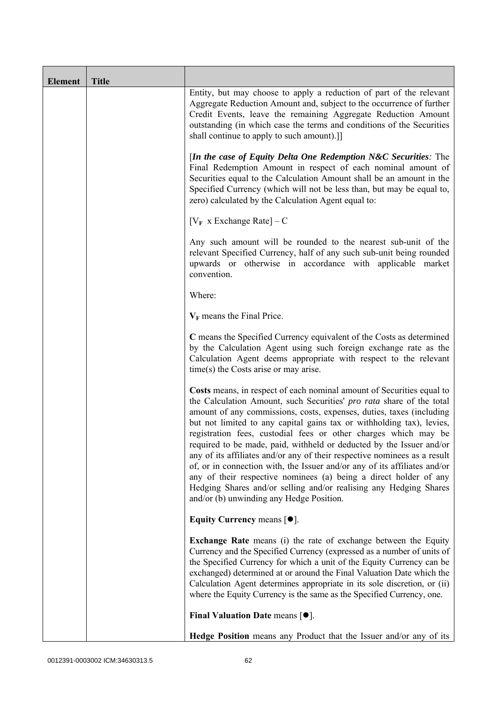| <b>Element</b> | <b>Title</b> |                                                                                                                                                                                                                                                                                                                                                                                                                                                                                                                                                                                                                                                                                                                                                                                           |
|----------------|--------------|-------------------------------------------------------------------------------------------------------------------------------------------------------------------------------------------------------------------------------------------------------------------------------------------------------------------------------------------------------------------------------------------------------------------------------------------------------------------------------------------------------------------------------------------------------------------------------------------------------------------------------------------------------------------------------------------------------------------------------------------------------------------------------------------|
|                |              | Entity, but may choose to apply a reduction of part of the relevant<br>Aggregate Reduction Amount and, subject to the occurrence of further<br>Credit Events, leave the remaining Aggregate Reduction Amount<br>outstanding (in which case the terms and conditions of the Securities<br>shall continue to apply to such amount).]                                                                                                                                                                                                                                                                                                                                                                                                                                                        |
|                |              | [In the case of Equity Delta One Redemption N&C Securities: The<br>Final Redemption Amount in respect of each nominal amount of<br>Securities equal to the Calculation Amount shall be an amount in the<br>Specified Currency (which will not be less than, but may be equal to,<br>zero) calculated by the Calculation Agent equal to:                                                                                                                                                                                                                                                                                                                                                                                                                                                   |
|                |              | $[V_F \times Exchange Rate] - C$                                                                                                                                                                                                                                                                                                                                                                                                                                                                                                                                                                                                                                                                                                                                                          |
|                |              | Any such amount will be rounded to the nearest sub-unit of the<br>relevant Specified Currency, half of any such sub-unit being rounded<br>upwards or otherwise in accordance with applicable market<br>convention.                                                                                                                                                                                                                                                                                                                                                                                                                                                                                                                                                                        |
|                |              | Where:                                                                                                                                                                                                                                                                                                                                                                                                                                                                                                                                                                                                                                                                                                                                                                                    |
|                |              | $V_F$ means the Final Price.                                                                                                                                                                                                                                                                                                                                                                                                                                                                                                                                                                                                                                                                                                                                                              |
|                |              | C means the Specified Currency equivalent of the Costs as determined<br>by the Calculation Agent using such foreign exchange rate as the<br>Calculation Agent deems appropriate with respect to the relevant<br>time(s) the Costs arise or may arise.                                                                                                                                                                                                                                                                                                                                                                                                                                                                                                                                     |
|                |              | Costs means, in respect of each nominal amount of Securities equal to<br>the Calculation Amount, such Securities' pro rata share of the total<br>amount of any commissions, costs, expenses, duties, taxes (including<br>but not limited to any capital gains tax or withholding tax), levies,<br>registration fees, custodial fees or other charges which may be<br>required to be made, paid, withheld or deducted by the Issuer and/or<br>any of its affiliates and/or any of their respective nominees as a result<br>of, or in connection with, the Issuer and/or any of its affiliates and/or<br>any of their respective nominees (a) being a direct holder of any<br>Hedging Shares and/or selling and/or realising any Hedging Shares<br>and/or (b) unwinding any Hedge Position. |
|                |              | Equity Currency means $[\bullet].$                                                                                                                                                                                                                                                                                                                                                                                                                                                                                                                                                                                                                                                                                                                                                        |
|                |              | <b>Exchange Rate</b> means (i) the rate of exchange between the Equity<br>Currency and the Specified Currency (expressed as a number of units of<br>the Specified Currency for which a unit of the Equity Currency can be<br>exchanged) determined at or around the Final Valuation Date which the<br>Calculation Agent determines appropriate in its sole discretion, or (ii)<br>where the Equity Currency is the same as the Specified Currency, one.                                                                                                                                                                                                                                                                                                                                   |
|                |              | Final Valuation Date means $[•]$ .                                                                                                                                                                                                                                                                                                                                                                                                                                                                                                                                                                                                                                                                                                                                                        |
|                |              | Hedge Position means any Product that the Issuer and/or any of its                                                                                                                                                                                                                                                                                                                                                                                                                                                                                                                                                                                                                                                                                                                        |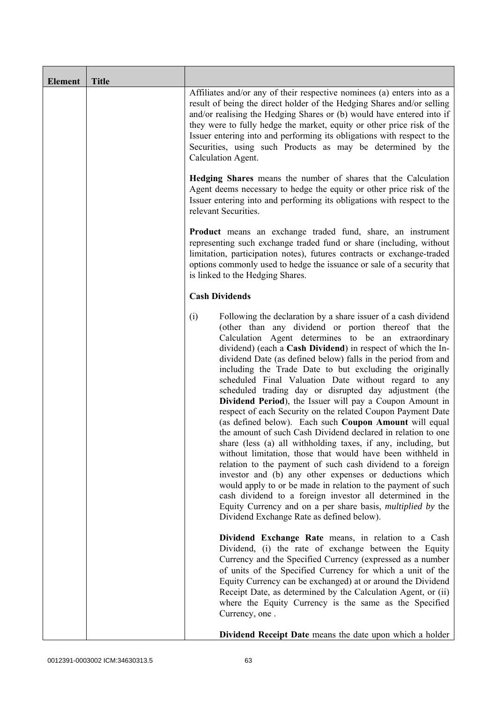| <b>Element</b> | <b>Title</b> |                                                                                                                                                                                                                                                                                                                                                                                                                                                                                                                                                                                                                                                                                                                                                                                                                                                                                                                                                                                                                                                                                                                                                                                                                                                                  |
|----------------|--------------|------------------------------------------------------------------------------------------------------------------------------------------------------------------------------------------------------------------------------------------------------------------------------------------------------------------------------------------------------------------------------------------------------------------------------------------------------------------------------------------------------------------------------------------------------------------------------------------------------------------------------------------------------------------------------------------------------------------------------------------------------------------------------------------------------------------------------------------------------------------------------------------------------------------------------------------------------------------------------------------------------------------------------------------------------------------------------------------------------------------------------------------------------------------------------------------------------------------------------------------------------------------|
|                |              | Affiliates and/or any of their respective nominees (a) enters into as a<br>result of being the direct holder of the Hedging Shares and/or selling<br>and/or realising the Hedging Shares or (b) would have entered into if<br>they were to fully hedge the market, equity or other price risk of the<br>Issuer entering into and performing its obligations with respect to the<br>Securities, using such Products as may be determined by the<br>Calculation Agent.                                                                                                                                                                                                                                                                                                                                                                                                                                                                                                                                                                                                                                                                                                                                                                                             |
|                |              | <b>Hedging Shares</b> means the number of shares that the Calculation<br>Agent deems necessary to hedge the equity or other price risk of the<br>Issuer entering into and performing its obligations with respect to the<br>relevant Securities.                                                                                                                                                                                                                                                                                                                                                                                                                                                                                                                                                                                                                                                                                                                                                                                                                                                                                                                                                                                                                 |
|                |              | <b>Product</b> means an exchange traded fund, share, an instrument<br>representing such exchange traded fund or share (including, without<br>limitation, participation notes), futures contracts or exchange-traded<br>options commonly used to hedge the issuance or sale of a security that<br>is linked to the Hedging Shares.                                                                                                                                                                                                                                                                                                                                                                                                                                                                                                                                                                                                                                                                                                                                                                                                                                                                                                                                |
|                |              | <b>Cash Dividends</b>                                                                                                                                                                                                                                                                                                                                                                                                                                                                                                                                                                                                                                                                                                                                                                                                                                                                                                                                                                                                                                                                                                                                                                                                                                            |
|                |              | (i)<br>Following the declaration by a share issuer of a cash dividend<br>(other than any dividend or portion thereof that the<br>Calculation Agent determines to be an extraordinary<br>dividend) (each a Cash Dividend) in respect of which the In-<br>dividend Date (as defined below) falls in the period from and<br>including the Trade Date to but excluding the originally<br>scheduled Final Valuation Date without regard to any<br>scheduled trading day or disrupted day adjustment (the<br>Dividend Period), the Issuer will pay a Coupon Amount in<br>respect of each Security on the related Coupon Payment Date<br>(as defined below). Each such Coupon Amount will equal<br>the amount of such Cash Dividend declared in relation to one<br>share (less (a) all withholding taxes, if any, including, but<br>without limitation, those that would have been withheld in<br>relation to the payment of such cash dividend to a foreign<br>investor and (b) any other expenses or deductions which<br>would apply to or be made in relation to the payment of such<br>cash dividend to a foreign investor all determined in the<br>Equity Currency and on a per share basis, <i>multiplied by</i> the<br>Dividend Exchange Rate as defined below). |
|                |              | Dividend Exchange Rate means, in relation to a Cash<br>Dividend, (i) the rate of exchange between the Equity<br>Currency and the Specified Currency (expressed as a number<br>of units of the Specified Currency for which a unit of the<br>Equity Currency can be exchanged) at or around the Dividend<br>Receipt Date, as determined by the Calculation Agent, or (ii)<br>where the Equity Currency is the same as the Specified<br>Currency, one.                                                                                                                                                                                                                                                                                                                                                                                                                                                                                                                                                                                                                                                                                                                                                                                                             |
|                |              | <b>Dividend Receipt Date</b> means the date upon which a holder                                                                                                                                                                                                                                                                                                                                                                                                                                                                                                                                                                                                                                                                                                                                                                                                                                                                                                                                                                                                                                                                                                                                                                                                  |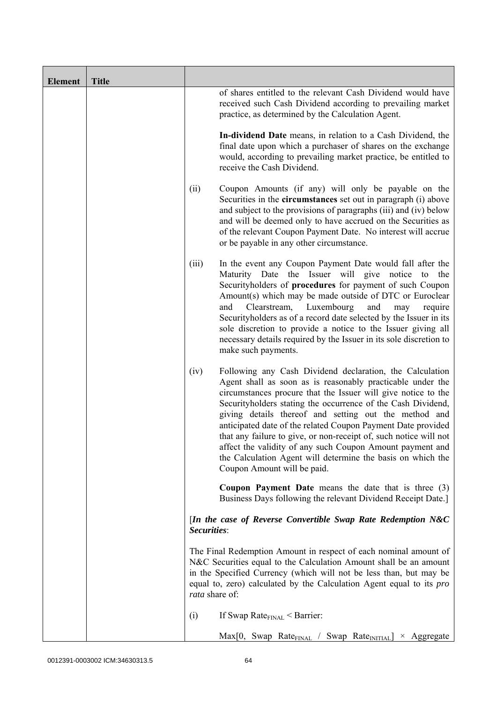| <b>Element</b> | <b>Title</b> |                |                                                                                                                                                                                                                                                                                                                                                                                                                                                                                                                                                                                                                   |
|----------------|--------------|----------------|-------------------------------------------------------------------------------------------------------------------------------------------------------------------------------------------------------------------------------------------------------------------------------------------------------------------------------------------------------------------------------------------------------------------------------------------------------------------------------------------------------------------------------------------------------------------------------------------------------------------|
|                |              |                | of shares entitled to the relevant Cash Dividend would have<br>received such Cash Dividend according to prevailing market<br>practice, as determined by the Calculation Agent.                                                                                                                                                                                                                                                                                                                                                                                                                                    |
|                |              |                | In-dividend Date means, in relation to a Cash Dividend, the<br>final date upon which a purchaser of shares on the exchange<br>would, according to prevailing market practice, be entitled to<br>receive the Cash Dividend.                                                                                                                                                                                                                                                                                                                                                                                        |
|                |              | (ii)           | Coupon Amounts (if any) will only be payable on the<br>Securities in the <b>circumstances</b> set out in paragraph (i) above<br>and subject to the provisions of paragraphs (iii) and (iv) below<br>and will be deemed only to have accrued on the Securities as<br>of the relevant Coupon Payment Date. No interest will accrue<br>or be payable in any other circumstance.                                                                                                                                                                                                                                      |
|                |              | (iii)          | In the event any Coupon Payment Date would fall after the<br>Maturity Date the Issuer will give notice to<br>the<br>Securityholders of procedures for payment of such Coupon<br>Amount(s) which may be made outside of DTC or Euroclear<br>Clearstream,<br>Luxembourg<br>and<br>and<br>require<br>may<br>Securityholders as of a record date selected by the Issuer in its<br>sole discretion to provide a notice to the Issuer giving all<br>necessary details required by the Issuer in its sole discretion to<br>make such payments.                                                                           |
|                |              | (iv)           | Following any Cash Dividend declaration, the Calculation<br>Agent shall as soon as is reasonably practicable under the<br>circumstances procure that the Issuer will give notice to the<br>Security holders stating the occurrence of the Cash Dividend,<br>giving details thereof and setting out the method and<br>anticipated date of the related Coupon Payment Date provided<br>that any failure to give, or non-receipt of, such notice will not<br>affect the validity of any such Coupon Amount payment and<br>the Calculation Agent will determine the basis on which the<br>Coupon Amount will be paid. |
|                |              |                | <b>Coupon Payment Date</b> means the date that is three $(3)$<br>Business Days following the relevant Dividend Receipt Date.]                                                                                                                                                                                                                                                                                                                                                                                                                                                                                     |
|                |              | Securities:    | [In the case of Reverse Convertible Swap Rate Redemption N&C                                                                                                                                                                                                                                                                                                                                                                                                                                                                                                                                                      |
|                |              | rata share of: | The Final Redemption Amount in respect of each nominal amount of<br>N&C Securities equal to the Calculation Amount shall be an amount<br>in the Specified Currency (which will not be less than, but may be<br>equal to, zero) calculated by the Calculation Agent equal to its pro                                                                                                                                                                                                                                                                                                                               |
|                |              | (i)            | If Swap Rate $_{\text{FINAL}}$ < Barrier:                                                                                                                                                                                                                                                                                                                                                                                                                                                                                                                                                                         |
|                |              |                | $Max[0, Swap Rate_{FINAL} / Swap Rate_{INITIAL}] \times Aggregate$                                                                                                                                                                                                                                                                                                                                                                                                                                                                                                                                                |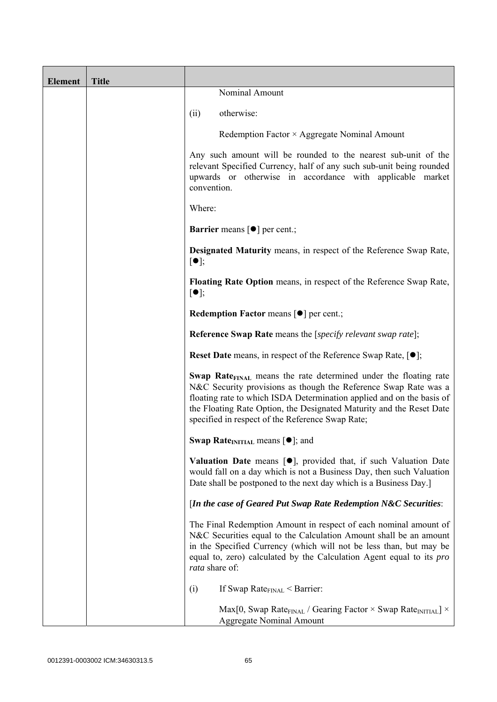| <b>Element</b> | <b>Title</b> |                                                                                                                                                                                                                                                                                                                                                      |
|----------------|--------------|------------------------------------------------------------------------------------------------------------------------------------------------------------------------------------------------------------------------------------------------------------------------------------------------------------------------------------------------------|
|                |              | Nominal Amount                                                                                                                                                                                                                                                                                                                                       |
|                |              | otherwise:<br>(ii)                                                                                                                                                                                                                                                                                                                                   |
|                |              | Redemption Factor $\times$ Aggregate Nominal Amount                                                                                                                                                                                                                                                                                                  |
|                |              | Any such amount will be rounded to the nearest sub-unit of the<br>relevant Specified Currency, half of any such sub-unit being rounded<br>upwards or otherwise in accordance with applicable market<br>convention.                                                                                                                                   |
|                |              | Where:                                                                                                                                                                                                                                                                                                                                               |
|                |              | <b>Barrier</b> means $\lceil \bullet \rceil$ per cent.;                                                                                                                                                                                                                                                                                              |
|                |              | <b>Designated Maturity means, in respect of the Reference Swap Rate,</b><br>$[\bullet]$ ;                                                                                                                                                                                                                                                            |
|                |              | <b>Floating Rate Option</b> means, in respect of the Reference Swap Rate,<br>$[\bullet]$ ;                                                                                                                                                                                                                                                           |
|                |              | Redemption Factor means [ $\bullet$ ] per cent.;                                                                                                                                                                                                                                                                                                     |
|                |              | <b>Reference Swap Rate</b> means the [ <i>specify relevant swap rate</i> ];                                                                                                                                                                                                                                                                          |
|                |              | <b>Reset Date</b> means, in respect of the Reference Swap Rate, $[•]$ ;                                                                                                                                                                                                                                                                              |
|                |              | Swap Rate <sub>FINAL</sub> means the rate determined under the floating rate<br>N&C Security provisions as though the Reference Swap Rate was a<br>floating rate to which ISDA Determination applied and on the basis of<br>the Floating Rate Option, the Designated Maturity and the Reset Date<br>specified in respect of the Reference Swap Rate; |
|                |              | Swap Rate <sub>INITIAL</sub> means $[\bullet]$ ; and                                                                                                                                                                                                                                                                                                 |
|                |              | Valuation Date means [.], provided that, if such Valuation Date<br>would fall on a day which is not a Business Day, then such Valuation<br>Date shall be postponed to the next day which is a Business Day.]                                                                                                                                         |
|                |              | [In the case of Geared Put Swap Rate Redemption N&C Securities:                                                                                                                                                                                                                                                                                      |
|                |              | The Final Redemption Amount in respect of each nominal amount of<br>N&C Securities equal to the Calculation Amount shall be an amount<br>in the Specified Currency (which will not be less than, but may be<br>equal to, zero) calculated by the Calculation Agent equal to its <i>pro</i><br>rata share of:                                         |
|                |              | If Swap Rate $_{\text{FINAL}}$ < Barrier:<br>(i)                                                                                                                                                                                                                                                                                                     |
|                |              | Max[0, Swap Rate <sub>FINAL</sub> / Gearing Factor $\times$ Swap Rate <sub>INITIAL</sub> ] $\times$<br><b>Aggregate Nominal Amount</b>                                                                                                                                                                                                               |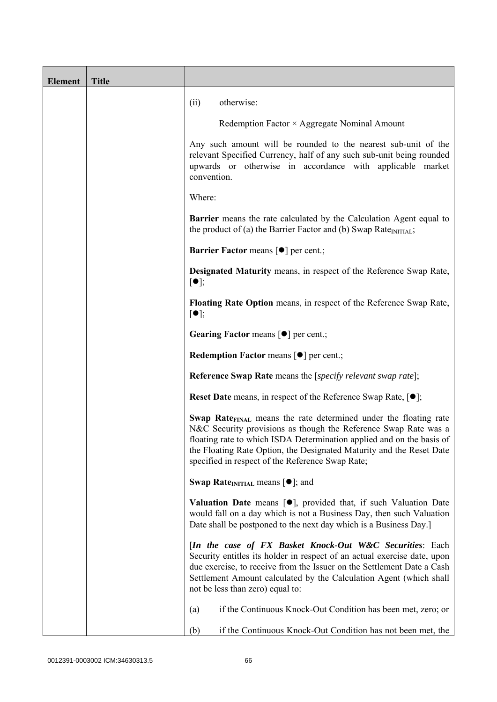| <b>Element</b> | <b>Title</b> |                                                                                                                                                                                                                                                                                                                                                             |
|----------------|--------------|-------------------------------------------------------------------------------------------------------------------------------------------------------------------------------------------------------------------------------------------------------------------------------------------------------------------------------------------------------------|
|                |              | otherwise:<br>(ii)                                                                                                                                                                                                                                                                                                                                          |
|                |              | Redemption Factor × Aggregate Nominal Amount                                                                                                                                                                                                                                                                                                                |
|                |              | Any such amount will be rounded to the nearest sub-unit of the<br>relevant Specified Currency, half of any such sub-unit being rounded<br>upwards or otherwise in accordance with applicable market<br>convention.                                                                                                                                          |
|                |              | Where:                                                                                                                                                                                                                                                                                                                                                      |
|                |              | Barrier means the rate calculated by the Calculation Agent equal to<br>the product of (a) the Barrier Factor and (b) Swap Rate $_{\text{INITIAL}}$ ;                                                                                                                                                                                                        |
|                |              | <b>Barrier Factor means [<math>\bullet</math>] per cent.;</b>                                                                                                                                                                                                                                                                                               |
|                |              | Designated Maturity means, in respect of the Reference Swap Rate,<br>$[\bullet]$ ;                                                                                                                                                                                                                                                                          |
|                |              | Floating Rate Option means, in respect of the Reference Swap Rate,<br>$[\bullet]$ ;                                                                                                                                                                                                                                                                         |
|                |              | Gearing Factor means [ $\bullet$ ] per cent.;                                                                                                                                                                                                                                                                                                               |
|                |              | Redemption Factor means [ $\bullet$ ] per cent.;                                                                                                                                                                                                                                                                                                            |
|                |              | <b>Reference Swap Rate</b> means the [specify relevant swap rate];                                                                                                                                                                                                                                                                                          |
|                |              | <b>Reset Date</b> means, in respect of the Reference Swap Rate, $[•]$ ;                                                                                                                                                                                                                                                                                     |
|                |              | <b>Swap Rate</b> <sub>FINAL</sub> means the rate determined under the floating rate<br>N&C Security provisions as though the Reference Swap Rate was a<br>floating rate to which ISDA Determination applied and on the basis of<br>the Floating Rate Option, the Designated Maturity and the Reset Date<br>specified in respect of the Reference Swap Rate; |
|                |              | <b>Swap Rate</b> <sub>INITIAL</sub> means $[\bullet]$ ; and                                                                                                                                                                                                                                                                                                 |
|                |              | <b>Valuation Date</b> means $[\bullet]$ , provided that, if such Valuation Date<br>would fall on a day which is not a Business Day, then such Valuation<br>Date shall be postponed to the next day which is a Business Day.]                                                                                                                                |
|                |              | [In the case of FX Basket Knock-Out W&C Securities: Each<br>Security entitles its holder in respect of an actual exercise date, upon<br>due exercise, to receive from the Issuer on the Settlement Date a Cash<br>Settlement Amount calculated by the Calculation Agent (which shall<br>not be less than zero) equal to:                                    |
|                |              | if the Continuous Knock-Out Condition has been met, zero; or<br>(a)                                                                                                                                                                                                                                                                                         |
|                |              | if the Continuous Knock-Out Condition has not been met, the<br>(b)                                                                                                                                                                                                                                                                                          |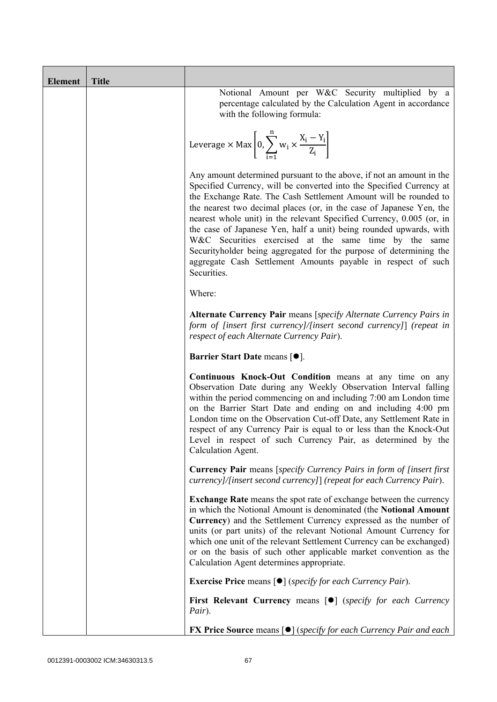| <b>Element</b> | <b>Title</b> |                                                                                                                                                                                                                                                                                                                                                                                                                                                                                                                                                                                                                                                        |
|----------------|--------------|--------------------------------------------------------------------------------------------------------------------------------------------------------------------------------------------------------------------------------------------------------------------------------------------------------------------------------------------------------------------------------------------------------------------------------------------------------------------------------------------------------------------------------------------------------------------------------------------------------------------------------------------------------|
|                |              | Notional Amount per W&C Security multiplied by a<br>percentage calculated by the Calculation Agent in accordance<br>with the following formula:                                                                                                                                                                                                                                                                                                                                                                                                                                                                                                        |
|                |              | Leverage $\times$ Max $\left[0, \sum_{i=1}^{n} w_i \times \frac{X_i - Y_i}{Z_i}\right]$                                                                                                                                                                                                                                                                                                                                                                                                                                                                                                                                                                |
|                |              | Any amount determined pursuant to the above, if not an amount in the<br>Specified Currency, will be converted into the Specified Currency at<br>the Exchange Rate. The Cash Settlement Amount will be rounded to<br>the nearest two decimal places (or, in the case of Japanese Yen, the<br>nearest whole unit) in the relevant Specified Currency, 0.005 (or, in<br>the case of Japanese Yen, half a unit) being rounded upwards, with<br>W&C Securities exercised at the same time by the same<br>Security holder being aggregated for the purpose of determining the<br>aggregate Cash Settlement Amounts payable in respect of such<br>Securities. |
|                |              | Where:                                                                                                                                                                                                                                                                                                                                                                                                                                                                                                                                                                                                                                                 |
|                |              | Alternate Currency Pair means [specify Alternate Currency Pairs in<br>form of [insert first currency]/[insert second currency]] (repeat in<br>respect of each Alternate Currency Pair).                                                                                                                                                                                                                                                                                                                                                                                                                                                                |
|                |              | Barrier Start Date means [ $\bullet$ ].                                                                                                                                                                                                                                                                                                                                                                                                                                                                                                                                                                                                                |
|                |              | Continuous Knock-Out Condition means at any time on any<br>Observation Date during any Weekly Observation Interval falling<br>within the period commencing on and including 7:00 am London time<br>on the Barrier Start Date and ending on and including 4:00 pm<br>London time on the Observation Cut-off Date, any Settlement Rate in<br>respect of any Currency Pair is equal to or less than the Knock-Out<br>Level in respect of such Currency Pair, as determined by the<br>Calculation Agent.                                                                                                                                                   |
|                |              | <b>Currency Pair</b> means [specify Currency Pairs in form of [insert first]<br>currency]/[insert second currency]] (repeat for each Currency Pair).                                                                                                                                                                                                                                                                                                                                                                                                                                                                                                   |
|                |              | <b>Exchange Rate</b> means the spot rate of exchange between the currency<br>in which the Notional Amount is denominated (the Notional Amount<br>Currency) and the Settlement Currency expressed as the number of<br>units (or part units) of the relevant Notional Amount Currency for<br>which one unit of the relevant Settlement Currency can be exchanged)<br>or on the basis of such other applicable market convention as the<br>Calculation Agent determines appropriate.                                                                                                                                                                      |
|                |              | <b>Exercise Price</b> means $\lceil \bullet \rceil$ ( <i>specify for each Currency Pair</i> ).                                                                                                                                                                                                                                                                                                                                                                                                                                                                                                                                                         |
|                |              | <b>First Relevant Currency means [O]</b> (specify for each Currency<br>Pair).                                                                                                                                                                                                                                                                                                                                                                                                                                                                                                                                                                          |
|                |              | <b>FX Price Source</b> means $\lceil \bullet \rceil$ (specify for each Currency Pair and each                                                                                                                                                                                                                                                                                                                                                                                                                                                                                                                                                          |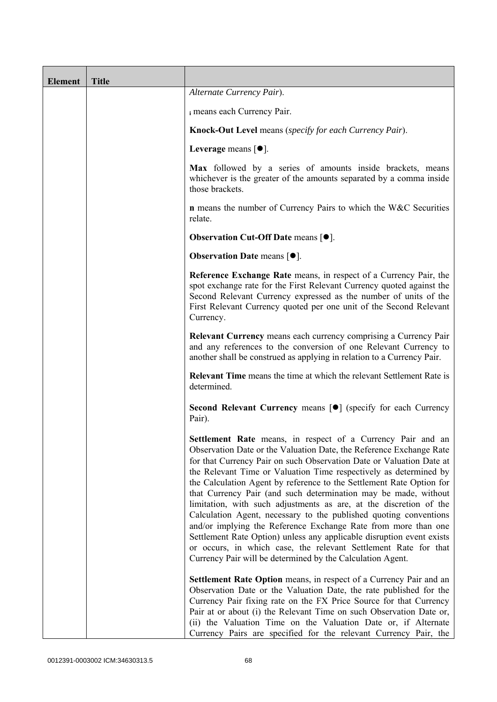| <b>Element</b> | <b>Title</b> |                                                                                                                                                                                                                                                                                                                                                                                                                                                                                                                                                                                                                                                                                                                                                                                                                                                   |
|----------------|--------------|---------------------------------------------------------------------------------------------------------------------------------------------------------------------------------------------------------------------------------------------------------------------------------------------------------------------------------------------------------------------------------------------------------------------------------------------------------------------------------------------------------------------------------------------------------------------------------------------------------------------------------------------------------------------------------------------------------------------------------------------------------------------------------------------------------------------------------------------------|
|                |              | Alternate Currency Pair).                                                                                                                                                                                                                                                                                                                                                                                                                                                                                                                                                                                                                                                                                                                                                                                                                         |
|                |              | i means each Currency Pair.                                                                                                                                                                                                                                                                                                                                                                                                                                                                                                                                                                                                                                                                                                                                                                                                                       |
|                |              | Knock-Out Level means (specify for each Currency Pair).                                                                                                                                                                                                                                                                                                                                                                                                                                                                                                                                                                                                                                                                                                                                                                                           |
|                |              | Leverage means $[•]$ .                                                                                                                                                                                                                                                                                                                                                                                                                                                                                                                                                                                                                                                                                                                                                                                                                            |
|                |              | Max followed by a series of amounts inside brackets, means<br>whichever is the greater of the amounts separated by a comma inside<br>those brackets.                                                                                                                                                                                                                                                                                                                                                                                                                                                                                                                                                                                                                                                                                              |
|                |              | <b>n</b> means the number of Currency Pairs to which the W&C Securities<br>relate.                                                                                                                                                                                                                                                                                                                                                                                                                                                                                                                                                                                                                                                                                                                                                                |
|                |              | Observation Cut-Off Date means [ $\bullet$ ].                                                                                                                                                                                                                                                                                                                                                                                                                                                                                                                                                                                                                                                                                                                                                                                                     |
|                |              | <b>Observation Date means <math>\lceil \bullet \rceil</math>.</b>                                                                                                                                                                                                                                                                                                                                                                                                                                                                                                                                                                                                                                                                                                                                                                                 |
|                |              | Reference Exchange Rate means, in respect of a Currency Pair, the<br>spot exchange rate for the First Relevant Currency quoted against the<br>Second Relevant Currency expressed as the number of units of the<br>First Relevant Currency quoted per one unit of the Second Relevant<br>Currency.                                                                                                                                                                                                                                                                                                                                                                                                                                                                                                                                                 |
|                |              | Relevant Currency means each currency comprising a Currency Pair<br>and any references to the conversion of one Relevant Currency to<br>another shall be construed as applying in relation to a Currency Pair.                                                                                                                                                                                                                                                                                                                                                                                                                                                                                                                                                                                                                                    |
|                |              | <b>Relevant Time</b> means the time at which the relevant Settlement Rate is<br>determined.                                                                                                                                                                                                                                                                                                                                                                                                                                                                                                                                                                                                                                                                                                                                                       |
|                |              | Second Relevant Currency means [ $\bullet$ ] (specify for each Currency<br>Pair).                                                                                                                                                                                                                                                                                                                                                                                                                                                                                                                                                                                                                                                                                                                                                                 |
|                |              | Settlement Rate means, in respect of a Currency Pair and an<br>Observation Date or the Valuation Date, the Reference Exchange Rate<br>for that Currency Pair on such Observation Date or Valuation Date at<br>the Relevant Time or Valuation Time respectively as determined by<br>the Calculation Agent by reference to the Settlement Rate Option for<br>that Currency Pair (and such determination may be made, without<br>limitation, with such adjustments as are, at the discretion of the<br>Calculation Agent, necessary to the published quoting conventions<br>and/or implying the Reference Exchange Rate from more than one<br>Settlement Rate Option) unless any applicable disruption event exists<br>or occurs, in which case, the relevant Settlement Rate for that<br>Currency Pair will be determined by the Calculation Agent. |
|                |              | <b>Settlement Rate Option</b> means, in respect of a Currency Pair and an<br>Observation Date or the Valuation Date, the rate published for the<br>Currency Pair fixing rate on the FX Price Source for that Currency<br>Pair at or about (i) the Relevant Time on such Observation Date or,<br>(ii) the Valuation Time on the Valuation Date or, if Alternate<br>Currency Pairs are specified for the relevant Currency Pair, the                                                                                                                                                                                                                                                                                                                                                                                                                |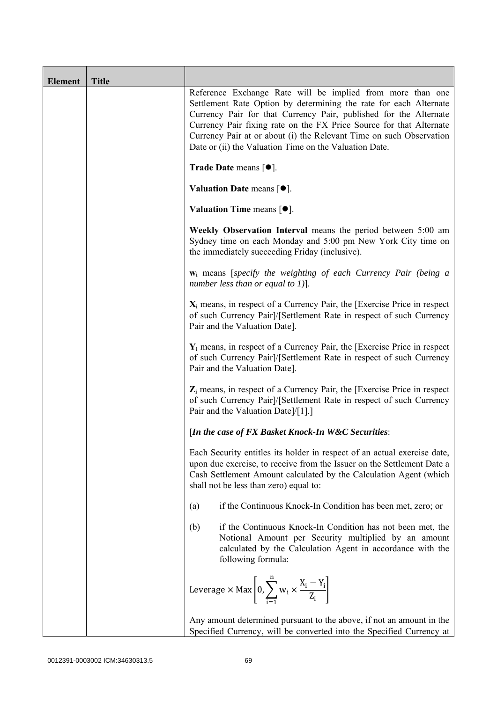| <b>Element</b> | <b>Title</b> |                                                                                                                                                                                                                                                                                                                                                                                                              |
|----------------|--------------|--------------------------------------------------------------------------------------------------------------------------------------------------------------------------------------------------------------------------------------------------------------------------------------------------------------------------------------------------------------------------------------------------------------|
|                |              | Reference Exchange Rate will be implied from more than one<br>Settlement Rate Option by determining the rate for each Alternate<br>Currency Pair for that Currency Pair, published for the Alternate<br>Currency Pair fixing rate on the FX Price Source for that Alternate<br>Currency Pair at or about (i) the Relevant Time on such Observation<br>Date or (ii) the Valuation Time on the Valuation Date. |
|                |              | Trade Date means $[•]$ .                                                                                                                                                                                                                                                                                                                                                                                     |
|                |              | Valuation Date means $[•]$ .                                                                                                                                                                                                                                                                                                                                                                                 |
|                |              | <b>Valuation Time means <math>[•]</math>.</b>                                                                                                                                                                                                                                                                                                                                                                |
|                |              | Weekly Observation Interval means the period between 5:00 am<br>Sydney time on each Monday and 5:00 pm New York City time on<br>the immediately succeeding Friday (inclusive).                                                                                                                                                                                                                               |
|                |              | w <sub>i</sub> means [specify the weighting of each Currency Pair (being a<br>number less than or equal to 1)].                                                                                                                                                                                                                                                                                              |
|                |              | $X_i$ means, in respect of a Currency Pair, the [Exercise Price in respect<br>of such Currency Pair]/[Settlement Rate in respect of such Currency<br>Pair and the Valuation Date].                                                                                                                                                                                                                           |
|                |              | $Y_i$ means, in respect of a Currency Pair, the [Exercise Price in respect<br>of such Currency Pair]/[Settlement Rate in respect of such Currency<br>Pair and the Valuation Date].                                                                                                                                                                                                                           |
|                |              | $Z_i$ means, in respect of a Currency Pair, the [Exercise Price in respect<br>of such Currency Pair]/[Settlement Rate in respect of such Currency<br>Pair and the Valuation Date]/[1].]                                                                                                                                                                                                                      |
|                |              | [In the case of FX Basket Knock-In W&C Securities:                                                                                                                                                                                                                                                                                                                                                           |
|                |              | Each Security entitles its holder in respect of an actual exercise date,<br>upon due exercise, to receive from the Issuer on the Settlement Date a<br>Cash Settlement Amount calculated by the Calculation Agent (which<br>shall not be less than zero) equal to:                                                                                                                                            |
|                |              | if the Continuous Knock-In Condition has been met, zero; or<br>(a)                                                                                                                                                                                                                                                                                                                                           |
|                |              | if the Continuous Knock-In Condition has not been met, the<br>(b)<br>Notional Amount per Security multiplied by an amount<br>calculated by the Calculation Agent in accordance with the<br>following formula:                                                                                                                                                                                                |
|                |              | Leverage $\times$ Max $\left[0, \sum_{i=1}^{n} w_i \times \frac{X_i - Y_i}{Z_i}\right]$                                                                                                                                                                                                                                                                                                                      |
|                |              | Any amount determined pursuant to the above, if not an amount in the<br>Specified Currency, will be converted into the Specified Currency at                                                                                                                                                                                                                                                                 |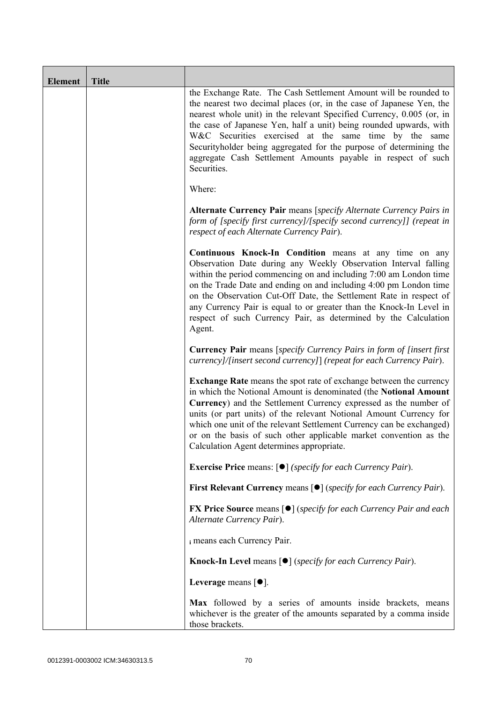| <b>Element</b> | <b>Title</b> |                                                                                                                                                                                                                                                                                                                                                                                                                                                                                                       |
|----------------|--------------|-------------------------------------------------------------------------------------------------------------------------------------------------------------------------------------------------------------------------------------------------------------------------------------------------------------------------------------------------------------------------------------------------------------------------------------------------------------------------------------------------------|
|                |              | the Exchange Rate. The Cash Settlement Amount will be rounded to<br>the nearest two decimal places (or, in the case of Japanese Yen, the<br>nearest whole unit) in the relevant Specified Currency, 0.005 (or, in<br>the case of Japanese Yen, half a unit) being rounded upwards, with<br>W&C Securities exercised at the same time by the same<br>Securityholder being aggregated for the purpose of determining the<br>aggregate Cash Settlement Amounts payable in respect of such<br>Securities. |
|                |              | Where:                                                                                                                                                                                                                                                                                                                                                                                                                                                                                                |
|                |              | Alternate Currency Pair means [specify Alternate Currency Pairs in<br>form of [specify first currency]/[specify second currency]] (repeat in<br>respect of each Alternate Currency Pair).                                                                                                                                                                                                                                                                                                             |
|                |              | <b>Continuous Knock-In Condition</b> means at any time on any<br>Observation Date during any Weekly Observation Interval falling<br>within the period commencing on and including 7:00 am London time<br>on the Trade Date and ending on and including 4:00 pm London time<br>on the Observation Cut-Off Date, the Settlement Rate in respect of<br>any Currency Pair is equal to or greater than the Knock-In Level in<br>respect of such Currency Pair, as determined by the Calculation<br>Agent.  |
|                |              | Currency Pair means [specify Currency Pairs in form of [insert first<br>currency]/[insert second currency]] (repeat for each Currency Pair).                                                                                                                                                                                                                                                                                                                                                          |
|                |              | <b>Exchange Rate</b> means the spot rate of exchange between the currency<br>in which the Notional Amount is denominated (the Notional Amount<br>Currency) and the Settlement Currency expressed as the number of<br>units (or part units) of the relevant Notional Amount Currency for<br>which one unit of the relevant Settlement Currency can be exchanged)<br>or on the basis of such other applicable market convention as the<br>Calculation Agent determines appropriate.                     |
|                |              | <b>Exercise Price</b> means: $\lceil \bullet \rceil$ ( <i>specify for each Currency Pair</i> ).                                                                                                                                                                                                                                                                                                                                                                                                       |
|                |              | First Relevant Currency means [ $\bullet$ ] (specify for each Currency Pair).                                                                                                                                                                                                                                                                                                                                                                                                                         |
|                |              | <b>FX Price Source</b> means $[\bullet]$ (specify for each Currency Pair and each<br>Alternate Currency Pair).                                                                                                                                                                                                                                                                                                                                                                                        |
|                |              | i means each Currency Pair.                                                                                                                                                                                                                                                                                                                                                                                                                                                                           |
|                |              | <b>Knock-In Level means <math>\lceil \bullet \rceil</math> (specify for each Currency Pair).</b>                                                                                                                                                                                                                                                                                                                                                                                                      |
|                |              | Leverage means $\lceil \bullet \rceil$ .                                                                                                                                                                                                                                                                                                                                                                                                                                                              |
|                |              | Max followed by a series of amounts inside brackets, means<br>whichever is the greater of the amounts separated by a comma inside<br>those brackets.                                                                                                                                                                                                                                                                                                                                                  |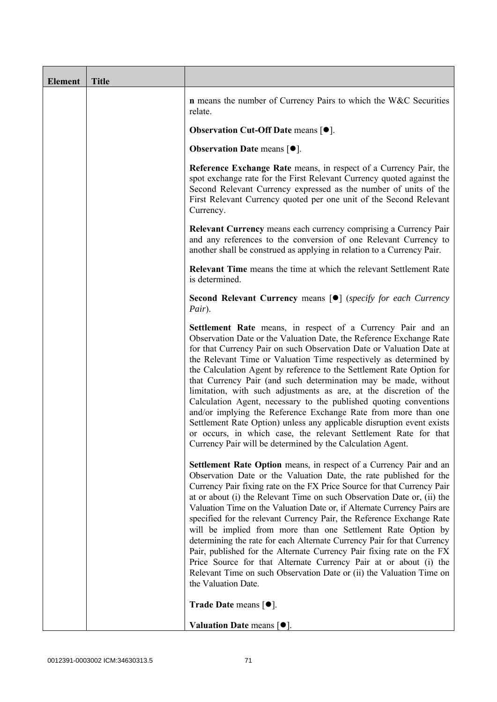| <b>Element</b> | <b>Title</b> |                                                                                                                                                                                                                                                                                                                                                                                                                                                                                                                                                                                                                                                                                                                                                                                                                                                   |
|----------------|--------------|---------------------------------------------------------------------------------------------------------------------------------------------------------------------------------------------------------------------------------------------------------------------------------------------------------------------------------------------------------------------------------------------------------------------------------------------------------------------------------------------------------------------------------------------------------------------------------------------------------------------------------------------------------------------------------------------------------------------------------------------------------------------------------------------------------------------------------------------------|
|                |              | <b>n</b> means the number of Currency Pairs to which the W&C Securities<br>relate.                                                                                                                                                                                                                                                                                                                                                                                                                                                                                                                                                                                                                                                                                                                                                                |
|                |              | <b>Observation Cut-Off Date means [<math>\bullet</math>].</b>                                                                                                                                                                                                                                                                                                                                                                                                                                                                                                                                                                                                                                                                                                                                                                                     |
|                |              | <b>Observation Date means <math>\lceil \bullet \rceil</math>.</b>                                                                                                                                                                                                                                                                                                                                                                                                                                                                                                                                                                                                                                                                                                                                                                                 |
|                |              | Reference Exchange Rate means, in respect of a Currency Pair, the<br>spot exchange rate for the First Relevant Currency quoted against the<br>Second Relevant Currency expressed as the number of units of the<br>First Relevant Currency quoted per one unit of the Second Relevant<br>Currency.                                                                                                                                                                                                                                                                                                                                                                                                                                                                                                                                                 |
|                |              | <b>Relevant Currency</b> means each currency comprising a Currency Pair<br>and any references to the conversion of one Relevant Currency to<br>another shall be construed as applying in relation to a Currency Pair.                                                                                                                                                                                                                                                                                                                                                                                                                                                                                                                                                                                                                             |
|                |              | <b>Relevant Time</b> means the time at which the relevant Settlement Rate<br>is determined.                                                                                                                                                                                                                                                                                                                                                                                                                                                                                                                                                                                                                                                                                                                                                       |
|                |              | <b>Second Relevant Currency means [O]</b> (specify for each Currency<br>Pair).                                                                                                                                                                                                                                                                                                                                                                                                                                                                                                                                                                                                                                                                                                                                                                    |
|                |              | Settlement Rate means, in respect of a Currency Pair and an<br>Observation Date or the Valuation Date, the Reference Exchange Rate<br>for that Currency Pair on such Observation Date or Valuation Date at<br>the Relevant Time or Valuation Time respectively as determined by<br>the Calculation Agent by reference to the Settlement Rate Option for<br>that Currency Pair (and such determination may be made, without<br>limitation, with such adjustments as are, at the discretion of the<br>Calculation Agent, necessary to the published quoting conventions<br>and/or implying the Reference Exchange Rate from more than one<br>Settlement Rate Option) unless any applicable disruption event exists<br>or occurs, in which case, the relevant Settlement Rate for that<br>Currency Pair will be determined by the Calculation Agent. |
|                |              | Settlement Rate Option means, in respect of a Currency Pair and an<br>Observation Date or the Valuation Date, the rate published for the<br>Currency Pair fixing rate on the FX Price Source for that Currency Pair<br>at or about (i) the Relevant Time on such Observation Date or, (ii) the<br>Valuation Time on the Valuation Date or, if Alternate Currency Pairs are<br>specified for the relevant Currency Pair, the Reference Exchange Rate<br>will be implied from more than one Settlement Rate Option by<br>determining the rate for each Alternate Currency Pair for that Currency<br>Pair, published for the Alternate Currency Pair fixing rate on the FX<br>Price Source for that Alternate Currency Pair at or about (i) the<br>Relevant Time on such Observation Date or (ii) the Valuation Time on<br>the Valuation Date.       |
|                |              | <b>Trade Date means <math>\lceil \bullet \rceil</math>.</b>                                                                                                                                                                                                                                                                                                                                                                                                                                                                                                                                                                                                                                                                                                                                                                                       |
|                |              | Valuation Date means $[•]$ .                                                                                                                                                                                                                                                                                                                                                                                                                                                                                                                                                                                                                                                                                                                                                                                                                      |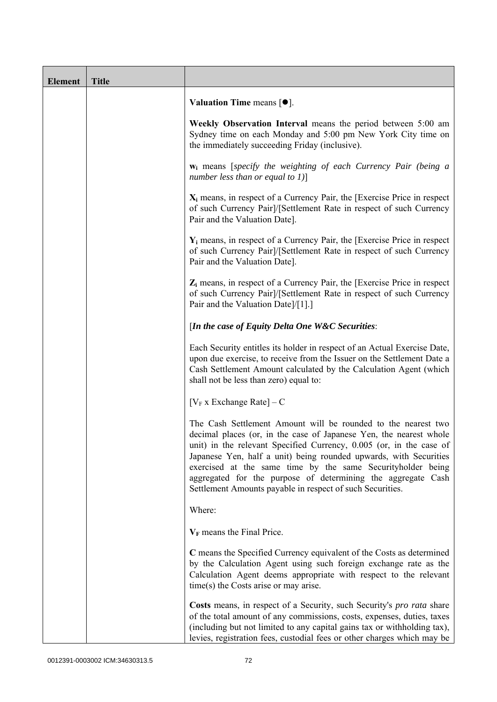| <b>Element</b> | <b>Title</b> |                                                                                                                                                                                                                                                                                                                                                                                                                                                                             |
|----------------|--------------|-----------------------------------------------------------------------------------------------------------------------------------------------------------------------------------------------------------------------------------------------------------------------------------------------------------------------------------------------------------------------------------------------------------------------------------------------------------------------------|
|                |              | Valuation Time means $[\bullet].$                                                                                                                                                                                                                                                                                                                                                                                                                                           |
|                |              | Weekly Observation Interval means the period between 5:00 am<br>Sydney time on each Monday and 5:00 pm New York City time on<br>the immediately succeeding Friday (inclusive).                                                                                                                                                                                                                                                                                              |
|                |              | $w_i$ means [specify the weighting of each Currency Pair (being a<br>number less than or equal to $1$ )]                                                                                                                                                                                                                                                                                                                                                                    |
|                |              | $X_i$ means, in respect of a Currency Pair, the [Exercise Price in respect<br>of such Currency Pair]/[Settlement Rate in respect of such Currency<br>Pair and the Valuation Date].                                                                                                                                                                                                                                                                                          |
|                |              | $Y_i$ means, in respect of a Currency Pair, the [Exercise Price in respect]<br>of such Currency Pair]/[Settlement Rate in respect of such Currency<br>Pair and the Valuation Date].                                                                                                                                                                                                                                                                                         |
|                |              | $Z_i$ means, in respect of a Currency Pair, the [Exercise Price in respect<br>of such Currency Pair]/[Settlement Rate in respect of such Currency<br>Pair and the Valuation Date]/[1].]                                                                                                                                                                                                                                                                                     |
|                |              | [In the case of Equity Delta One W&C Securities:                                                                                                                                                                                                                                                                                                                                                                                                                            |
|                |              | Each Security entitles its holder in respect of an Actual Exercise Date,<br>upon due exercise, to receive from the Issuer on the Settlement Date a<br>Cash Settlement Amount calculated by the Calculation Agent (which<br>shall not be less than zero) equal to:                                                                                                                                                                                                           |
|                |              | $[V_F x]$ Exchange Rate $]-C$                                                                                                                                                                                                                                                                                                                                                                                                                                               |
|                |              | The Cash Settlement Amount will be rounded to the nearest two<br>decimal places (or, in the case of Japanese Yen, the nearest whole<br>unit) in the relevant Specified Currency, 0.005 (or, in the case of<br>Japanese Yen, half a unit) being rounded upwards, with Securities<br>exercised at the same time by the same Securityholder being<br>aggregated for the purpose of determining the aggregate Cash<br>Settlement Amounts payable in respect of such Securities. |
|                |              | Where:                                                                                                                                                                                                                                                                                                                                                                                                                                                                      |
|                |              | $V_F$ means the Final Price.                                                                                                                                                                                                                                                                                                                                                                                                                                                |
|                |              | C means the Specified Currency equivalent of the Costs as determined<br>by the Calculation Agent using such foreign exchange rate as the<br>Calculation Agent deems appropriate with respect to the relevant<br>time(s) the Costs arise or may arise.                                                                                                                                                                                                                       |
|                |              | Costs means, in respect of a Security, such Security's <i>pro rata</i> share<br>of the total amount of any commissions, costs, expenses, duties, taxes<br>(including but not limited to any capital gains tax or withholding tax),<br>levies, registration fees, custodial fees or other charges which may be                                                                                                                                                               |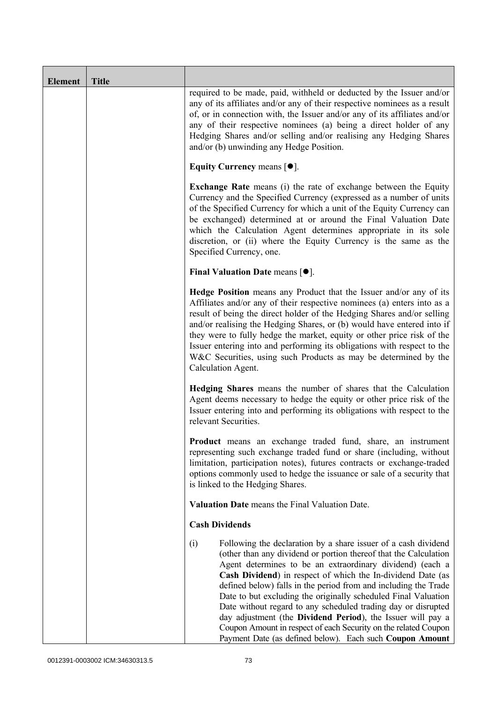| <b>Element</b> | <b>Title</b> |                                                                                                                                                                                                                                                                                                                                                                                                                                                                                                                                                                                                                                                                           |
|----------------|--------------|---------------------------------------------------------------------------------------------------------------------------------------------------------------------------------------------------------------------------------------------------------------------------------------------------------------------------------------------------------------------------------------------------------------------------------------------------------------------------------------------------------------------------------------------------------------------------------------------------------------------------------------------------------------------------|
|                |              | required to be made, paid, withheld or deducted by the Issuer and/or<br>any of its affiliates and/or any of their respective nominees as a result<br>of, or in connection with, the Issuer and/or any of its affiliates and/or<br>any of their respective nominees (a) being a direct holder of any<br>Hedging Shares and/or selling and/or realising any Hedging Shares<br>and/or (b) unwinding any Hedge Position.                                                                                                                                                                                                                                                      |
|                |              | Equity Currency means $[\bullet].$                                                                                                                                                                                                                                                                                                                                                                                                                                                                                                                                                                                                                                        |
|                |              | <b>Exchange Rate</b> means (i) the rate of exchange between the Equity<br>Currency and the Specified Currency (expressed as a number of units<br>of the Specified Currency for which a unit of the Equity Currency can<br>be exchanged) determined at or around the Final Valuation Date<br>which the Calculation Agent determines appropriate in its sole<br>discretion, or (ii) where the Equity Currency is the same as the<br>Specified Currency, one.                                                                                                                                                                                                                |
|                |              | Final Valuation Date means $[•]$ .                                                                                                                                                                                                                                                                                                                                                                                                                                                                                                                                                                                                                                        |
|                |              | <b>Hedge Position</b> means any Product that the Issuer and/or any of its<br>Affiliates and/or any of their respective nominees (a) enters into as a<br>result of being the direct holder of the Hedging Shares and/or selling<br>and/or realising the Hedging Shares, or (b) would have entered into if<br>they were to fully hedge the market, equity or other price risk of the<br>Issuer entering into and performing its obligations with respect to the<br>W&C Securities, using such Products as may be determined by the<br>Calculation Agent.                                                                                                                    |
|                |              | Hedging Shares means the number of shares that the Calculation<br>Agent deems necessary to hedge the equity or other price risk of the<br>Issuer entering into and performing its obligations with respect to the<br>relevant Securities.                                                                                                                                                                                                                                                                                                                                                                                                                                 |
|                |              | Product means an exchange traded fund, share, an instrument<br>representing such exchange traded fund or share (including, without<br>limitation, participation notes), futures contracts or exchange-traded<br>options commonly used to hedge the issuance or sale of a security that<br>is linked to the Hedging Shares.                                                                                                                                                                                                                                                                                                                                                |
|                |              | Valuation Date means the Final Valuation Date.                                                                                                                                                                                                                                                                                                                                                                                                                                                                                                                                                                                                                            |
|                |              | <b>Cash Dividends</b>                                                                                                                                                                                                                                                                                                                                                                                                                                                                                                                                                                                                                                                     |
|                |              | (i)<br>Following the declaration by a share issuer of a cash dividend<br>(other than any dividend or portion thereof that the Calculation<br>Agent determines to be an extraordinary dividend) (each a<br>Cash Dividend) in respect of which the In-dividend Date (as<br>defined below) falls in the period from and including the Trade<br>Date to but excluding the originally scheduled Final Valuation<br>Date without regard to any scheduled trading day or disrupted<br>day adjustment (the Dividend Period), the Issuer will pay a<br>Coupon Amount in respect of each Security on the related Coupon<br>Payment Date (as defined below). Each such Coupon Amount |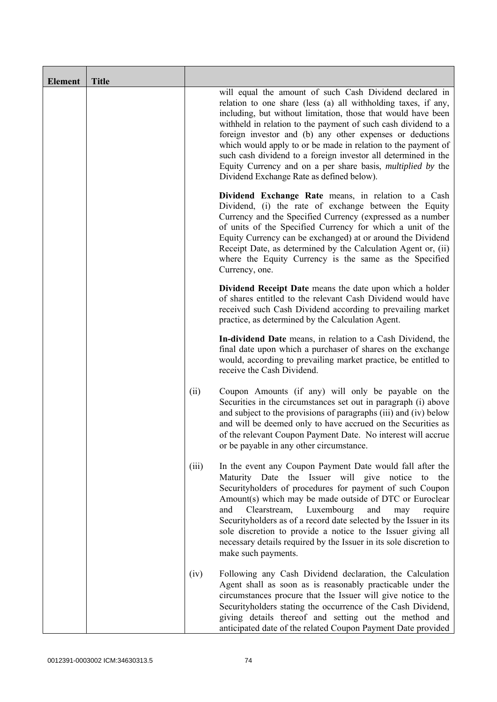| <b>Element</b> | <b>Title</b> |       |                                                                                                                                                                                                                                                                                                                                                                                                                                                                                                                                                                                 |
|----------------|--------------|-------|---------------------------------------------------------------------------------------------------------------------------------------------------------------------------------------------------------------------------------------------------------------------------------------------------------------------------------------------------------------------------------------------------------------------------------------------------------------------------------------------------------------------------------------------------------------------------------|
|                |              |       | will equal the amount of such Cash Dividend declared in<br>relation to one share (less (a) all withholding taxes, if any,<br>including, but without limitation, those that would have been<br>withheld in relation to the payment of such cash dividend to a<br>foreign investor and (b) any other expenses or deductions<br>which would apply to or be made in relation to the payment of<br>such cash dividend to a foreign investor all determined in the<br>Equity Currency and on a per share basis, <i>multiplied by</i> the<br>Dividend Exchange Rate as defined below). |
|                |              |       | Dividend Exchange Rate means, in relation to a Cash<br>Dividend, (i) the rate of exchange between the Equity<br>Currency and the Specified Currency (expressed as a number<br>of units of the Specified Currency for which a unit of the<br>Equity Currency can be exchanged) at or around the Dividend<br>Receipt Date, as determined by the Calculation Agent or, (ii)<br>where the Equity Currency is the same as the Specified<br>Currency, one.                                                                                                                            |
|                |              |       | <b>Dividend Receipt Date</b> means the date upon which a holder<br>of shares entitled to the relevant Cash Dividend would have<br>received such Cash Dividend according to prevailing market<br>practice, as determined by the Calculation Agent.                                                                                                                                                                                                                                                                                                                               |
|                |              |       | In-dividend Date means, in relation to a Cash Dividend, the<br>final date upon which a purchaser of shares on the exchange<br>would, according to prevailing market practice, be entitled to<br>receive the Cash Dividend.                                                                                                                                                                                                                                                                                                                                                      |
|                |              | (ii)  | Coupon Amounts (if any) will only be payable on the<br>Securities in the circumstances set out in paragraph (i) above<br>and subject to the provisions of paragraphs (iii) and (iv) below<br>and will be deemed only to have accrued on the Securities as<br>of the relevant Coupon Payment Date. No interest will accrue<br>or be payable in any other circumstance.                                                                                                                                                                                                           |
|                |              | (iii) | In the event any Coupon Payment Date would fall after the<br>Maturity Date the Issuer will give notice to<br>the<br>Securityholders of procedures for payment of such Coupon<br>Amount(s) which may be made outside of DTC or Euroclear<br>Luxembourg<br>and<br>Clearstream,<br>and<br>require<br>may<br>Securityholders as of a record date selected by the Issuer in its<br>sole discretion to provide a notice to the Issuer giving all<br>necessary details required by the Issuer in its sole discretion to<br>make such payments.                                         |
|                |              | (iv)  | Following any Cash Dividend declaration, the Calculation<br>Agent shall as soon as is reasonably practicable under the<br>circumstances procure that the Issuer will give notice to the<br>Securityholders stating the occurrence of the Cash Dividend,<br>giving details thereof and setting out the method and<br>anticipated date of the related Coupon Payment Date provided                                                                                                                                                                                                |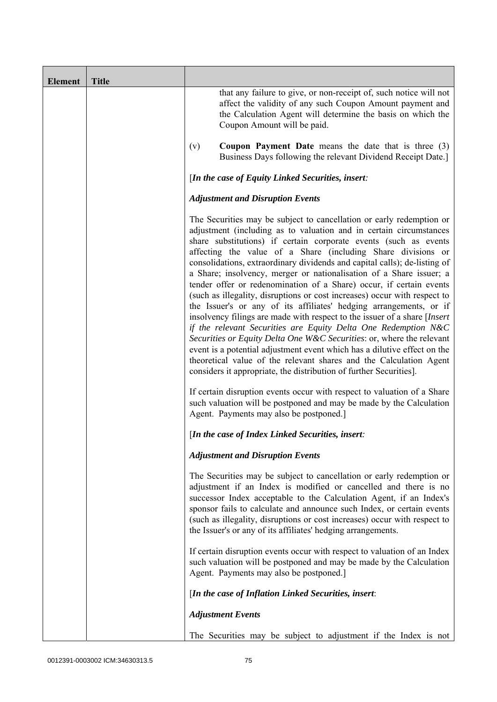| <b>Element</b> | <b>Title</b> |                                                                                                                                                                                                                                                                                                                                                                                                                                                                                                                                                                                                                                                                                                                                                                                                                                                                                                                                                                                                                                                                                                               |
|----------------|--------------|---------------------------------------------------------------------------------------------------------------------------------------------------------------------------------------------------------------------------------------------------------------------------------------------------------------------------------------------------------------------------------------------------------------------------------------------------------------------------------------------------------------------------------------------------------------------------------------------------------------------------------------------------------------------------------------------------------------------------------------------------------------------------------------------------------------------------------------------------------------------------------------------------------------------------------------------------------------------------------------------------------------------------------------------------------------------------------------------------------------|
|                |              | that any failure to give, or non-receipt of, such notice will not<br>affect the validity of any such Coupon Amount payment and<br>the Calculation Agent will determine the basis on which the<br>Coupon Amount will be paid.                                                                                                                                                                                                                                                                                                                                                                                                                                                                                                                                                                                                                                                                                                                                                                                                                                                                                  |
|                |              | <b>Coupon Payment Date</b> means the date that is three $(3)$<br>(v)<br>Business Days following the relevant Dividend Receipt Date.]                                                                                                                                                                                                                                                                                                                                                                                                                                                                                                                                                                                                                                                                                                                                                                                                                                                                                                                                                                          |
|                |              | [In the case of Equity Linked Securities, insert:                                                                                                                                                                                                                                                                                                                                                                                                                                                                                                                                                                                                                                                                                                                                                                                                                                                                                                                                                                                                                                                             |
|                |              | <b>Adjustment and Disruption Events</b>                                                                                                                                                                                                                                                                                                                                                                                                                                                                                                                                                                                                                                                                                                                                                                                                                                                                                                                                                                                                                                                                       |
|                |              | The Securities may be subject to cancellation or early redemption or<br>adjustment (including as to valuation and in certain circumstances<br>share substitutions) if certain corporate events (such as events<br>affecting the value of a Share (including Share divisions or<br>consolidations, extraordinary dividends and capital calls); de-listing of<br>a Share; insolvency, merger or nationalisation of a Share issuer; a<br>tender offer or redenomination of a Share) occur, if certain events<br>(such as illegality, disruptions or cost increases) occur with respect to<br>the Issuer's or any of its affiliates' hedging arrangements, or if<br>insolvency filings are made with respect to the issuer of a share [Insert]<br>if the relevant Securities are Equity Delta One Redemption N&C<br>Securities or Equity Delta One W&C Securities: or, where the relevant<br>event is a potential adjustment event which has a dilutive effect on the<br>theoretical value of the relevant shares and the Calculation Agent<br>considers it appropriate, the distribution of further Securities]. |
|                |              | If certain disruption events occur with respect to valuation of a Share<br>such valuation will be postponed and may be made by the Calculation<br>Agent. Payments may also be postponed.]                                                                                                                                                                                                                                                                                                                                                                                                                                                                                                                                                                                                                                                                                                                                                                                                                                                                                                                     |
|                |              | [In the case of Index Linked Securities, insert:                                                                                                                                                                                                                                                                                                                                                                                                                                                                                                                                                                                                                                                                                                                                                                                                                                                                                                                                                                                                                                                              |
|                |              | <b>Adjustment and Disruption Events</b>                                                                                                                                                                                                                                                                                                                                                                                                                                                                                                                                                                                                                                                                                                                                                                                                                                                                                                                                                                                                                                                                       |
|                |              | The Securities may be subject to cancellation or early redemption or<br>adjustment if an Index is modified or cancelled and there is no<br>successor Index acceptable to the Calculation Agent, if an Index's<br>sponsor fails to calculate and announce such Index, or certain events<br>(such as illegality, disruptions or cost increases) occur with respect to<br>the Issuer's or any of its affiliates' hedging arrangements.                                                                                                                                                                                                                                                                                                                                                                                                                                                                                                                                                                                                                                                                           |
|                |              | If certain disruption events occur with respect to valuation of an Index<br>such valuation will be postponed and may be made by the Calculation<br>Agent. Payments may also be postponed.]                                                                                                                                                                                                                                                                                                                                                                                                                                                                                                                                                                                                                                                                                                                                                                                                                                                                                                                    |
|                |              | [In the case of Inflation Linked Securities, insert:                                                                                                                                                                                                                                                                                                                                                                                                                                                                                                                                                                                                                                                                                                                                                                                                                                                                                                                                                                                                                                                          |
|                |              | <b>Adjustment Events</b>                                                                                                                                                                                                                                                                                                                                                                                                                                                                                                                                                                                                                                                                                                                                                                                                                                                                                                                                                                                                                                                                                      |
|                |              | The Securities may be subject to adjustment if the Index is not                                                                                                                                                                                                                                                                                                                                                                                                                                                                                                                                                                                                                                                                                                                                                                                                                                                                                                                                                                                                                                               |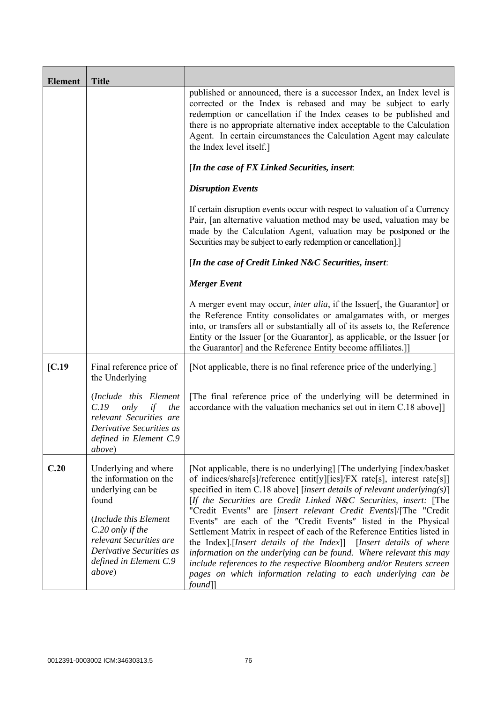| <b>Element</b>   | <b>Title</b>                                                                                                                                                                                                         |                                                                                                                                                                                                                                                                                                                                                                                                                                                                                                                                                                                                                                                                                                                                                                                                                            |
|------------------|----------------------------------------------------------------------------------------------------------------------------------------------------------------------------------------------------------------------|----------------------------------------------------------------------------------------------------------------------------------------------------------------------------------------------------------------------------------------------------------------------------------------------------------------------------------------------------------------------------------------------------------------------------------------------------------------------------------------------------------------------------------------------------------------------------------------------------------------------------------------------------------------------------------------------------------------------------------------------------------------------------------------------------------------------------|
|                  |                                                                                                                                                                                                                      | published or announced, there is a successor Index, an Index level is<br>corrected or the Index is rebased and may be subject to early<br>redemption or cancellation if the Index ceases to be published and<br>there is no appropriate alternative index acceptable to the Calculation<br>Agent. In certain circumstances the Calculation Agent may calculate<br>the Index level itself.]                                                                                                                                                                                                                                                                                                                                                                                                                                 |
|                  |                                                                                                                                                                                                                      | [In the case of FX Linked Securities, insert:                                                                                                                                                                                                                                                                                                                                                                                                                                                                                                                                                                                                                                                                                                                                                                              |
|                  |                                                                                                                                                                                                                      | <b>Disruption Events</b>                                                                                                                                                                                                                                                                                                                                                                                                                                                                                                                                                                                                                                                                                                                                                                                                   |
|                  |                                                                                                                                                                                                                      | If certain disruption events occur with respect to valuation of a Currency<br>Pair, [an alternative valuation method may be used, valuation may be<br>made by the Calculation Agent, valuation may be postponed or the<br>Securities may be subject to early redemption or cancellation].]                                                                                                                                                                                                                                                                                                                                                                                                                                                                                                                                 |
|                  |                                                                                                                                                                                                                      | [In the case of Credit Linked N&C Securities, insert:                                                                                                                                                                                                                                                                                                                                                                                                                                                                                                                                                                                                                                                                                                                                                                      |
|                  |                                                                                                                                                                                                                      | <b>Merger Event</b>                                                                                                                                                                                                                                                                                                                                                                                                                                                                                                                                                                                                                                                                                                                                                                                                        |
|                  |                                                                                                                                                                                                                      | A merger event may occur, <i>inter alia</i> , if the Issuer[, the Guarantor] or<br>the Reference Entity consolidates or amalgamates with, or merges<br>into, or transfers all or substantially all of its assets to, the Reference<br>Entity or the Issuer [or the Guarantor], as applicable, or the Issuer [or<br>the Guarantor] and the Reference Entity become affiliates.]                                                                                                                                                                                                                                                                                                                                                                                                                                             |
| $\mathcal{C}.19$ | Final reference price of<br>the Underlying                                                                                                                                                                           | [Not applicable, there is no final reference price of the underlying.]                                                                                                                                                                                                                                                                                                                                                                                                                                                                                                                                                                                                                                                                                                                                                     |
|                  | (Include this Element<br>only<br>C.19<br>the<br>if<br>relevant Securities are<br>Derivative Securities as<br>defined in Element C.9<br><i>above</i> )                                                                | [The final reference price of the underlying will be determined in<br>accordance with the valuation mechanics set out in item C.18 above]]                                                                                                                                                                                                                                                                                                                                                                                                                                                                                                                                                                                                                                                                                 |
| C.20             | Underlying and where<br>the information on the<br>underlying can be<br>found<br>(Include this Element<br>C.20 only if the<br>relevant Securities are<br>Derivative Securities as<br>defined in Element C.9<br>above) | [Not applicable, there is no underlying] [The underlying [index/basket]<br>of indices/share[s]/reference entit[y][ies]/FX rate[s], interest rate[s]]<br>specified in item C.18 above] [insert details of relevant underlying(s)]<br>[If the Securities are Credit Linked N&C Securities, insert: [The<br>"Credit Events" are [insert relevant Credit Events]/[The "Credit<br>Events" are each of the "Credit Events" listed in the Physical<br>Settlement Matrix in respect of each of the Reference Entities listed in<br>the Index].[Insert details of the Index]] [Insert details of where<br>information on the underlying can be found. Where relevant this may<br>include references to the respective Bloomberg and/or Reuters screen<br>pages on which information relating to each underlying can be<br>$found$ ] |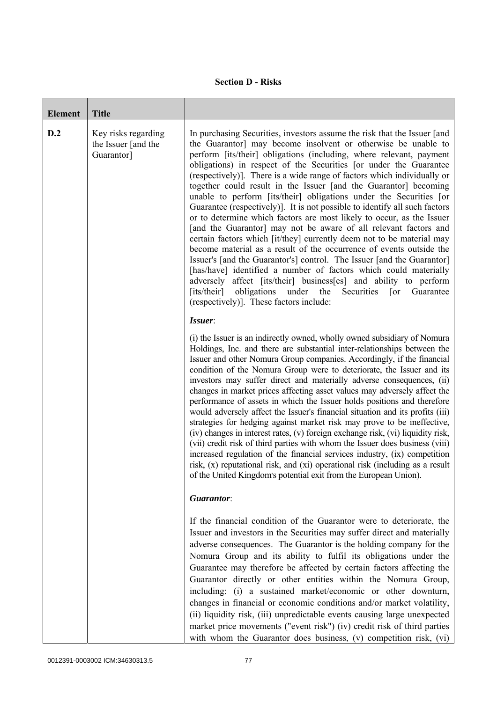# **Section D - Risks**

| <b>Element</b> | <b>Title</b>                                             |                                                                                                                                                                                                                                                                                                                                                                                                                                                                                                                                                                                                                                                                                                                                                                                                                                                                                                                                                                                                                                                                                                                                                                                                                                            |
|----------------|----------------------------------------------------------|--------------------------------------------------------------------------------------------------------------------------------------------------------------------------------------------------------------------------------------------------------------------------------------------------------------------------------------------------------------------------------------------------------------------------------------------------------------------------------------------------------------------------------------------------------------------------------------------------------------------------------------------------------------------------------------------------------------------------------------------------------------------------------------------------------------------------------------------------------------------------------------------------------------------------------------------------------------------------------------------------------------------------------------------------------------------------------------------------------------------------------------------------------------------------------------------------------------------------------------------|
| D.2            | Key risks regarding<br>the Issuer [and the<br>Guarantor] | In purchasing Securities, investors assume the risk that the Issuer [and<br>the Guarantor] may become insolvent or otherwise be unable to<br>perform [its/their] obligations (including, where relevant, payment<br>obligations) in respect of the Securities [or under the Guarantee<br>(respectively)]. There is a wide range of factors which individually or<br>together could result in the Issuer [and the Guarantor] becoming<br>unable to perform [its/their] obligations under the Securities [or<br>Guarantee (respectively)]. It is not possible to identify all such factors<br>or to determine which factors are most likely to occur, as the Issuer<br>[and the Guarantor] may not be aware of all relevant factors and<br>certain factors which [it/they] currently deem not to be material may<br>become material as a result of the occurrence of events outside the<br>Issuer's [and the Guarantor's] control. The Issuer [and the Guarantor]<br>[has/have] identified a number of factors which could materially<br>adversely affect [its/their] business[es] and ability to perform<br>obligations<br>[its/their]<br>under<br>Securities<br>Guarantee<br>the<br>$\lceil$ or<br>(respectively)]. These factors include: |
|                |                                                          | Issuer:<br>(i) the Issuer is an indirectly owned, wholly owned subsidiary of Nomura<br>Holdings, Inc. and there are substantial inter-relationships between the<br>Issuer and other Nomura Group companies. Accordingly, if the financial<br>condition of the Nomura Group were to deteriorate, the Issuer and its<br>investors may suffer direct and materially adverse consequences, (ii)<br>changes in market prices affecting asset values may adversely affect the<br>performance of assets in which the Issuer holds positions and therefore<br>would adversely affect the Issuer's financial situation and its profits (iii)<br>strategies for hedging against market risk may prove to be ineffective,<br>(iv) changes in interest rates, (v) foreign exchange risk, (vi) liquidity risk,<br>(vii) credit risk of third parties with whom the Issuer does business (viii)<br>increased regulation of the financial services industry, (ix) competition<br>risk, (x) reputational risk, and (xi) operational risk (including as a result<br>of the United Kingdom's potential exit from the European Union).                                                                                                                        |
|                |                                                          | Guarantor:                                                                                                                                                                                                                                                                                                                                                                                                                                                                                                                                                                                                                                                                                                                                                                                                                                                                                                                                                                                                                                                                                                                                                                                                                                 |
|                |                                                          | If the financial condition of the Guarantor were to deteriorate, the<br>Issuer and investors in the Securities may suffer direct and materially<br>adverse consequences. The Guarantor is the holding company for the<br>Nomura Group and its ability to fulfil its obligations under the<br>Guarantee may therefore be affected by certain factors affecting the<br>Guarantor directly or other entities within the Nomura Group,<br>including: (i) a sustained market/economic or other downturn,<br>changes in financial or economic conditions and/or market volatility,<br>(ii) liquidity risk, (iii) unpredictable events causing large unexpected<br>market price movements ("event risk") (iv) credit risk of third parties<br>with whom the Guarantor does business, (v) competition risk, (vi)                                                                                                                                                                                                                                                                                                                                                                                                                                   |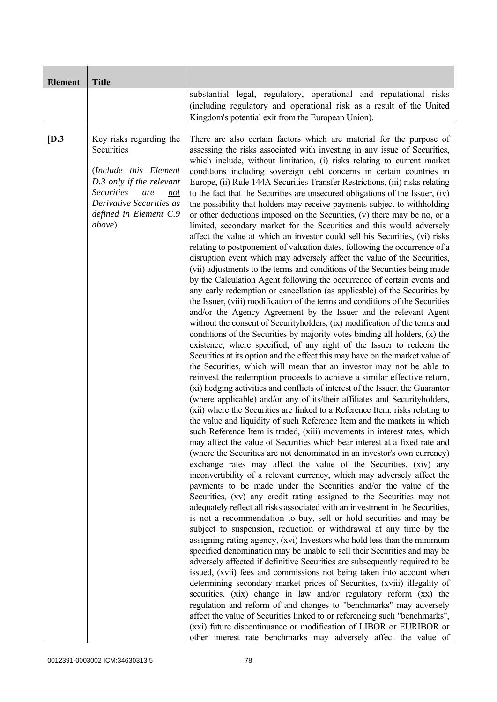| <b>Element</b> | <b>Title</b>                                                                                                                                                                                          |                                                                                                                                                                                                                                                                                                                                                                                                                                                                                                                                                                                                                                                                                                                                                                                                                                                                                                                                                                                                                                                                                                                                                                                                                                                                                                                                                                                                                                                                                                                                                                                                                                                                                                                                                                                                                                                                                                                                                                                                                                                                                                                                                                                                                                                                                                                                                                                                                                                                                                                                                                                                                                                                                                                                                                                                                                                                                                                                                                                                                                                                                                                                                                                                                                                                                                                                                                                                                                                                                                                                                                                                                                                                             |
|----------------|-------------------------------------------------------------------------------------------------------------------------------------------------------------------------------------------------------|-----------------------------------------------------------------------------------------------------------------------------------------------------------------------------------------------------------------------------------------------------------------------------------------------------------------------------------------------------------------------------------------------------------------------------------------------------------------------------------------------------------------------------------------------------------------------------------------------------------------------------------------------------------------------------------------------------------------------------------------------------------------------------------------------------------------------------------------------------------------------------------------------------------------------------------------------------------------------------------------------------------------------------------------------------------------------------------------------------------------------------------------------------------------------------------------------------------------------------------------------------------------------------------------------------------------------------------------------------------------------------------------------------------------------------------------------------------------------------------------------------------------------------------------------------------------------------------------------------------------------------------------------------------------------------------------------------------------------------------------------------------------------------------------------------------------------------------------------------------------------------------------------------------------------------------------------------------------------------------------------------------------------------------------------------------------------------------------------------------------------------------------------------------------------------------------------------------------------------------------------------------------------------------------------------------------------------------------------------------------------------------------------------------------------------------------------------------------------------------------------------------------------------------------------------------------------------------------------------------------------------------------------------------------------------------------------------------------------------------------------------------------------------------------------------------------------------------------------------------------------------------------------------------------------------------------------------------------------------------------------------------------------------------------------------------------------------------------------------------------------------------------------------------------------------------------------------------------------------------------------------------------------------------------------------------------------------------------------------------------------------------------------------------------------------------------------------------------------------------------------------------------------------------------------------------------------------------------------------------------------------------------------------------------------------|
|                |                                                                                                                                                                                                       | substantial legal, regulatory, operational and reputational risks<br>(including regulatory and operational risk as a result of the United<br>Kingdom's potential exit from the European Union).                                                                                                                                                                                                                                                                                                                                                                                                                                                                                                                                                                                                                                                                                                                                                                                                                                                                                                                                                                                                                                                                                                                                                                                                                                                                                                                                                                                                                                                                                                                                                                                                                                                                                                                                                                                                                                                                                                                                                                                                                                                                                                                                                                                                                                                                                                                                                                                                                                                                                                                                                                                                                                                                                                                                                                                                                                                                                                                                                                                                                                                                                                                                                                                                                                                                                                                                                                                                                                                                             |
| [D.3]          | Key risks regarding the<br>Securities<br>(Include this Element<br>D.3 only if the relevant<br><b>Securities</b><br>are<br>not<br>Derivative Securities as<br>defined in Element C.9<br><i>above</i> ) | There are also certain factors which are material for the purpose of<br>assessing the risks associated with investing in any issue of Securities,<br>which include, without limitation, (i) risks relating to current market<br>conditions including sovereign debt concerns in certain countries in<br>Europe, (ii) Rule 144A Securities Transfer Restrictions, (iii) risks relating<br>to the fact that the Securities are unsecured obligations of the Issuer, (iv)<br>the possibility that holders may receive payments subject to withholding<br>or other deductions imposed on the Securities, (v) there may be no, or a<br>limited, secondary market for the Securities and this would adversely<br>affect the value at which an investor could sell his Securities, (vi) risks<br>relating to postponement of valuation dates, following the occurrence of a<br>disruption event which may adversely affect the value of the Securities,<br>(vii) adjustments to the terms and conditions of the Securities being made<br>by the Calculation Agent following the occurrence of certain events and<br>any early redemption or cancellation (as applicable) of the Securities by<br>the Issuer, (viii) modification of the terms and conditions of the Securities<br>and/or the Agency Agreement by the Issuer and the relevant Agent<br>without the consent of Securityholders, (ix) modification of the terms and<br>conditions of the Securities by majority votes binding all holders, $(x)$ the<br>existence, where specified, of any right of the Issuer to redeem the<br>Securities at its option and the effect this may have on the market value of<br>the Securities, which will mean that an investor may not be able to<br>reinvest the redemption proceeds to achieve a similar effective return,<br>(xi) hedging activities and conflicts of interest of the Issuer, the Guarantor<br>(where applicable) and/or any of its/their affiliates and Securityholders,<br>(xii) where the Securities are linked to a Reference Item, risks relating to<br>the value and liquidity of such Reference Item and the markets in which<br>such Reference Item is traded, (xiii) movements in interest rates, which<br>may affect the value of Securities which bear interest at a fixed rate and<br>(where the Securities are not denominated in an investor's own currency)<br>exchange rates may affect the value of the Securities, (xiv) any<br>inconvertibility of a relevant currency, which may adversely affect the<br>payments to be made under the Securities and/or the value of the<br>Securities, (xv) any credit rating assigned to the Securities may not<br>adequately reflect all risks associated with an investment in the Securities,<br>is not a recommendation to buy, sell or hold securities and may be<br>subject to suspension, reduction or withdrawal at any time by the<br>assigning rating agency, (xvi) Investors who hold less than the minimum<br>specified denomination may be unable to sell their Securities and may be<br>adversely affected if definitive Securities are subsequently required to be<br>issued, (xvii) fees and commissions not being taken into account when<br>determining secondary market prices of Securities, (xviii) illegality of<br>securities, (xix) change in law and/or regulatory reform (xx) the<br>regulation and reform of and changes to "benchmarks" may adversely<br>affect the value of Securities linked to or referencing such "benchmarks",<br>(xxi) future discontinuance or modification of LIBOR or EURIBOR or<br>other interest rate benchmarks may adversely affect the value of |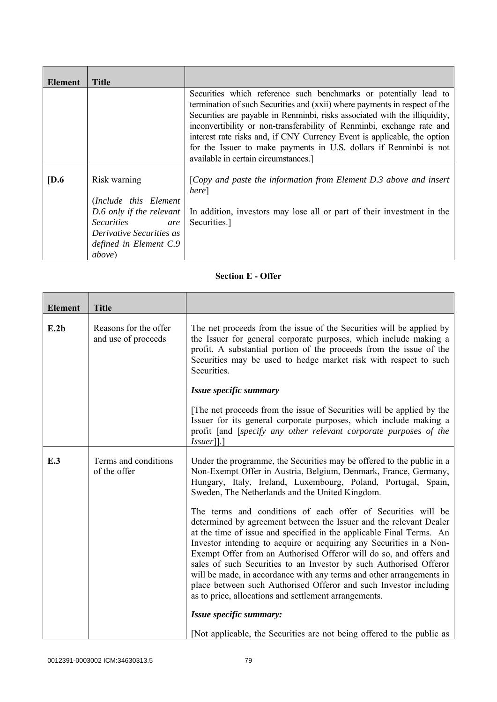| Element          | <b>Title</b>                                                                                                                                                           |                                                                                                                                                                                                                                                                                                                                                                                                                                                                                                   |
|------------------|------------------------------------------------------------------------------------------------------------------------------------------------------------------------|---------------------------------------------------------------------------------------------------------------------------------------------------------------------------------------------------------------------------------------------------------------------------------------------------------------------------------------------------------------------------------------------------------------------------------------------------------------------------------------------------|
|                  |                                                                                                                                                                        | Securities which reference such benchmarks or potentially lead to<br>termination of such Securities and (xxii) where payments in respect of the<br>Securities are payable in Renminbi, risks associated with the illiquidity,<br>inconvertibility or non-transferability of Renminbi, exchange rate and<br>interest rate risks and, if CNY Currency Event is applicable, the option<br>for the Issuer to make payments in U.S. dollars if Renminbi is not<br>available in certain circumstances.] |
| $\overline{D.6}$ | Risk warning<br>(Include this Element)<br>D.6 only if the relevant<br><i>Securities</i><br>are<br>Derivative Securities as<br>defined in Element C.9<br><i>above</i> ) | [Copy and paste the information from Element $D.3$ above and insert<br>here]<br>In addition, investors may lose all or part of their investment in the<br>Securities.]                                                                                                                                                                                                                                                                                                                            |

# **Section E - Offer**

| <b>Element</b>      | <b>Title</b>                                 |                                                                                                                                                                                                                                                                                                                                                                                                                                                                                                                                                                                                                                     |
|---------------------|----------------------------------------------|-------------------------------------------------------------------------------------------------------------------------------------------------------------------------------------------------------------------------------------------------------------------------------------------------------------------------------------------------------------------------------------------------------------------------------------------------------------------------------------------------------------------------------------------------------------------------------------------------------------------------------------|
| E.2b                | Reasons for the offer<br>and use of proceeds | The net proceeds from the issue of the Securities will be applied by<br>the Issuer for general corporate purposes, which include making a<br>profit. A substantial portion of the proceeds from the issue of the<br>Securities may be used to hedge market risk with respect to such<br>Securities.                                                                                                                                                                                                                                                                                                                                 |
|                     |                                              | Issue specific summary                                                                                                                                                                                                                                                                                                                                                                                                                                                                                                                                                                                                              |
|                     |                                              | The net proceeds from the issue of Securities will be applied by the<br>Issuer for its general corporate purposes, which include making a<br>profit [and [specify any other relevant corporate purposes of the<br>$Issuer$ [].]                                                                                                                                                                                                                                                                                                                                                                                                     |
| E.3<br>of the offer | Terms and conditions                         | Under the programme, the Securities may be offered to the public in a<br>Non-Exempt Offer in Austria, Belgium, Denmark, France, Germany,<br>Hungary, Italy, Ireland, Luxembourg, Poland, Portugal, Spain,<br>Sweden, The Netherlands and the United Kingdom.                                                                                                                                                                                                                                                                                                                                                                        |
|                     |                                              | The terms and conditions of each offer of Securities will be<br>determined by agreement between the Issuer and the relevant Dealer<br>at the time of issue and specified in the applicable Final Terms. An<br>Investor intending to acquire or acquiring any Securities in a Non-<br>Exempt Offer from an Authorised Offeror will do so, and offers and<br>sales of such Securities to an Investor by such Authorised Offeror<br>will be made, in accordance with any terms and other arrangements in<br>place between such Authorised Offeror and such Investor including<br>as to price, allocations and settlement arrangements. |
|                     |                                              | Issue specific summary:                                                                                                                                                                                                                                                                                                                                                                                                                                                                                                                                                                                                             |
|                     |                                              | [Not applicable, the Securities are not being offered to the public as                                                                                                                                                                                                                                                                                                                                                                                                                                                                                                                                                              |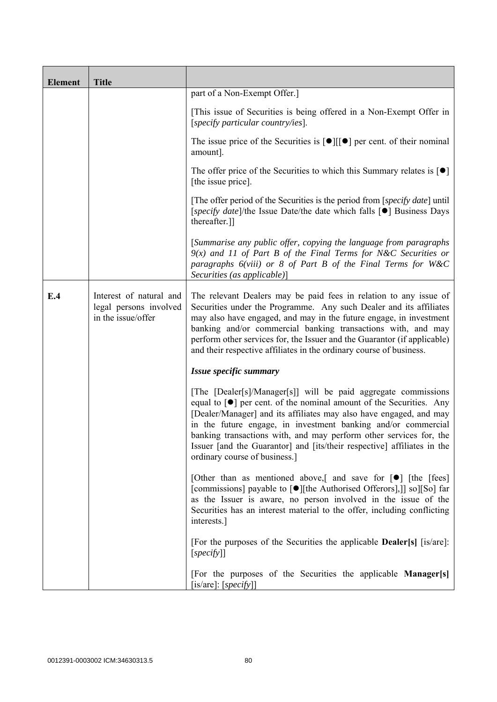| <b>Element</b> | <b>Title</b>                                                            |                                                                                                                                                                                                                                                                                                                                                                                                                                                                                    |
|----------------|-------------------------------------------------------------------------|------------------------------------------------------------------------------------------------------------------------------------------------------------------------------------------------------------------------------------------------------------------------------------------------------------------------------------------------------------------------------------------------------------------------------------------------------------------------------------|
|                |                                                                         | part of a Non-Exempt Offer.]                                                                                                                                                                                                                                                                                                                                                                                                                                                       |
|                |                                                                         | [This issue of Securities is being offered in a Non-Exempt Offer in<br>[specify particular country/ies].                                                                                                                                                                                                                                                                                                                                                                           |
|                |                                                                         | The issue price of the Securities is $[\bullet]$ [ $[\bullet]$ ] per cent. of their nominal<br>amount].                                                                                                                                                                                                                                                                                                                                                                            |
|                |                                                                         | The offer price of the Securities to which this Summary relates is $\lceil \bullet \rceil$<br>[the issue price].                                                                                                                                                                                                                                                                                                                                                                   |
|                |                                                                         | [The offer period of the Securities is the period from [specify date] until<br>[specify date]/the Issue Date/the date which falls [●] Business Days<br>thereafter.]]                                                                                                                                                                                                                                                                                                               |
|                |                                                                         | [Summarise any public offer, copying the language from paragraphs<br>$9(x)$ and 11 of Part B of the Final Terms for N&C Securities or<br>paragraphs $6(viii)$ or 8 of Part B of the Final Terms for W&C<br>Securities (as applicable)]                                                                                                                                                                                                                                             |
| E.4            | Interest of natural and<br>legal persons involved<br>in the issue/offer | The relevant Dealers may be paid fees in relation to any issue of<br>Securities under the Programme. Any such Dealer and its affiliates<br>may also have engaged, and may in the future engage, in investment<br>banking and/or commercial banking transactions with, and may<br>perform other services for, the Issuer and the Guarantor (if applicable)<br>and their respective affiliates in the ordinary course of business.                                                   |
|                |                                                                         | Issue specific summary                                                                                                                                                                                                                                                                                                                                                                                                                                                             |
|                |                                                                         | [The [Dealer[s]/Manager[s]] will be paid aggregate commissions<br>equal to $\lceil \bullet \rceil$ per cent. of the nominal amount of the Securities. Any<br>[Dealer/Manager] and its affiliates may also have engaged, and may<br>in the future engage, in investment banking and/or commercial<br>banking transactions with, and may perform other services for, the<br>Issuer [and the Guarantor] and [its/their respective] affiliates in the<br>ordinary course of business.] |
|                |                                                                         | [Other than as mentioned above,] and save for $\lceil \bullet \rceil$ [the [fees]<br>[commissions] payable to [●][the Authorised Offerors],]] so][So] far<br>as the Issuer is aware, no person involved in the issue of the<br>Securities has an interest material to the offer, including conflicting<br>interests.]                                                                                                                                                              |
|                |                                                                         | [For the purposes of the Securities the applicable <b>Dealer</b> [s] [is/are]:<br>[specify]                                                                                                                                                                                                                                                                                                                                                                                        |
|                |                                                                         | [For the purposes of the Securities the applicable Manager[s]<br>[is/are]: [ <i>specify</i> ]]                                                                                                                                                                                                                                                                                                                                                                                     |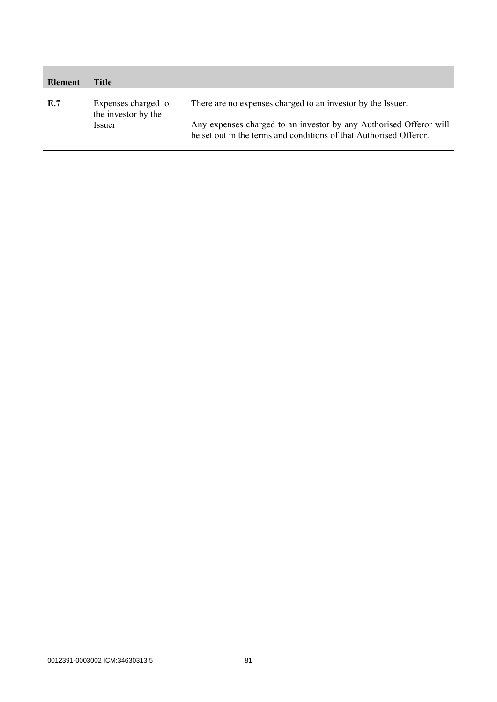| Element | Title                                      |                                                                                                                                          |
|---------|--------------------------------------------|------------------------------------------------------------------------------------------------------------------------------------------|
| E.7     | Expenses charged to<br>the investor by the | There are no expenses charged to an investor by the Issuer.                                                                              |
|         | Issuer                                     | Any expenses charged to an investor by any Authorised Offeror will<br>be set out in the terms and conditions of that Authorised Offeror. |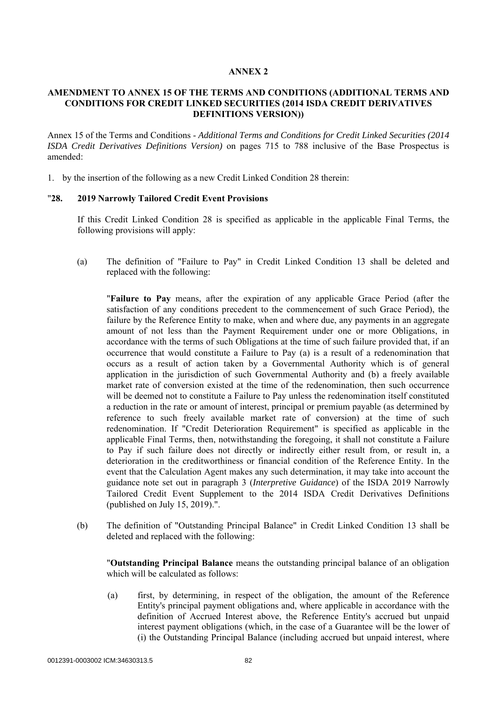### **AMENDMENT TO ANNEX 15 OF THE TERMS AND CONDITIONS (ADDITIONAL TERMS AND CONDITIONS FOR CREDIT LINKED SECURITIES (2014 ISDA CREDIT DERIVATIVES DEFINITIONS VERSION))**

Annex 15 of the Terms and Conditions - *Additional Terms and Conditions for Credit Linked Securities (2014 ISDA Credit Derivatives Definitions Version)* on pages 715 to 788 inclusive of the Base Prospectus is amended:

1. by the insertion of the following as a new Credit Linked Condition 28 therein:

### "**28. 2019 Narrowly Tailored Credit Event Provisions**

If this Credit Linked Condition 28 is specified as applicable in the applicable Final Terms, the following provisions will apply:

(a) The definition of "Failure to Pay" in Credit Linked Condition 13 shall be deleted and replaced with the following:

"**Failure to Pay** means, after the expiration of any applicable Grace Period (after the satisfaction of any conditions precedent to the commencement of such Grace Period), the failure by the Reference Entity to make, when and where due, any payments in an aggregate amount of not less than the Payment Requirement under one or more Obligations, in accordance with the terms of such Obligations at the time of such failure provided that, if an occurrence that would constitute a Failure to Pay (a) is a result of a redenomination that occurs as a result of action taken by a Governmental Authority which is of general application in the jurisdiction of such Governmental Authority and (b) a freely available market rate of conversion existed at the time of the redenomination, then such occurrence will be deemed not to constitute a Failure to Pay unless the redenomination itself constituted a reduction in the rate or amount of interest, principal or premium payable (as determined by reference to such freely available market rate of conversion) at the time of such redenomination. If "Credit Deterioration Requirement" is specified as applicable in the applicable Final Terms, then, notwithstanding the foregoing, it shall not constitute a Failure to Pay if such failure does not directly or indirectly either result from, or result in, a deterioration in the creditworthiness or financial condition of the Reference Entity. In the event that the Calculation Agent makes any such determination, it may take into account the guidance note set out in paragraph 3 (*Interpretive Guidance*) of the ISDA 2019 Narrowly Tailored Credit Event Supplement to the 2014 ISDA Credit Derivatives Definitions (published on July 15, 2019).".

(b) The definition of "Outstanding Principal Balance" in Credit Linked Condition 13 shall be deleted and replaced with the following:

"**Outstanding Principal Balance** means the outstanding principal balance of an obligation which will be calculated as follows:

(a) first, by determining, in respect of the obligation, the amount of the Reference Entity's principal payment obligations and, where applicable in accordance with the definition of Accrued Interest above, the Reference Entity's accrued but unpaid interest payment obligations (which, in the case of a Guarantee will be the lower of (i) the Outstanding Principal Balance (including accrued but unpaid interest, where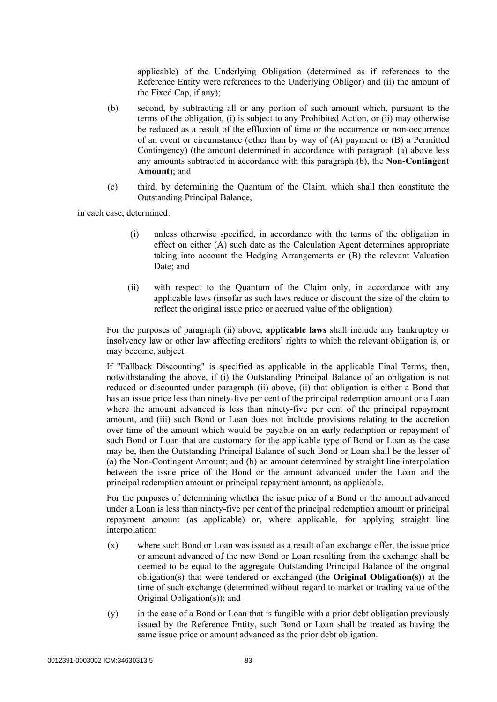applicable) of the Underlying Obligation (determined as if references to the Reference Entity were references to the Underlying Obligor) and (ii) the amount of the Fixed Cap, if any);

- (b) second, by subtracting all or any portion of such amount which, pursuant to the terms of the obligation, (i) is subject to any Prohibited Action, or (ii) may otherwise be reduced as a result of the effluxion of time or the occurrence or non-occurrence of an event or circumstance (other than by way of (A) payment or (B) a Permitted Contingency) (the amount determined in accordance with paragraph (a) above less any amounts subtracted in accordance with this paragraph (b), the **Non-Contingent Amount**); and
- (c) third, by determining the Quantum of the Claim, which shall then constitute the Outstanding Principal Balance,

in each case, determined:

- (i) unless otherwise specified, in accordance with the terms of the obligation in effect on either (A) such date as the Calculation Agent determines appropriate taking into account the Hedging Arrangements or (B) the relevant Valuation Date; and
- (ii) with respect to the Quantum of the Claim only, in accordance with any applicable laws (insofar as such laws reduce or discount the size of the claim to reflect the original issue price or accrued value of the obligation).

For the purposes of paragraph (ii) above, **applicable laws** shall include any bankruptcy or insolvency law or other law affecting creditors' rights to which the relevant obligation is, or may become, subject.

If "Fallback Discounting" is specified as applicable in the applicable Final Terms, then, notwithstanding the above, if (i) the Outstanding Principal Balance of an obligation is not reduced or discounted under paragraph (ii) above, (ii) that obligation is either a Bond that has an issue price less than ninety-five per cent of the principal redemption amount or a Loan where the amount advanced is less than ninety-five per cent of the principal repayment amount, and (iii) such Bond or Loan does not include provisions relating to the accretion over time of the amount which would be payable on an early redemption or repayment of such Bond or Loan that are customary for the applicable type of Bond or Loan as the case may be, then the Outstanding Principal Balance of such Bond or Loan shall be the lesser of (a) the Non-Contingent Amount; and (b) an amount determined by straight line interpolation between the issue price of the Bond or the amount advanced under the Loan and the principal redemption amount or principal repayment amount, as applicable.

For the purposes of determining whether the issue price of a Bond or the amount advanced under a Loan is less than ninety-five per cent of the principal redemption amount or principal repayment amount (as applicable) or, where applicable, for applying straight line interpolation:

- (x) where such Bond or Loan was issued as a result of an exchange offer, the issue price or amount advanced of the new Bond or Loan resulting from the exchange shall be deemed to be equal to the aggregate Outstanding Principal Balance of the original obligation(s) that were tendered or exchanged (the **Original Obligation(s)**) at the time of such exchange (determined without regard to market or trading value of the Original Obligation(s)); and
- (y) in the case of a Bond or Loan that is fungible with a prior debt obligation previously issued by the Reference Entity, such Bond or Loan shall be treated as having the same issue price or amount advanced as the prior debt obligation.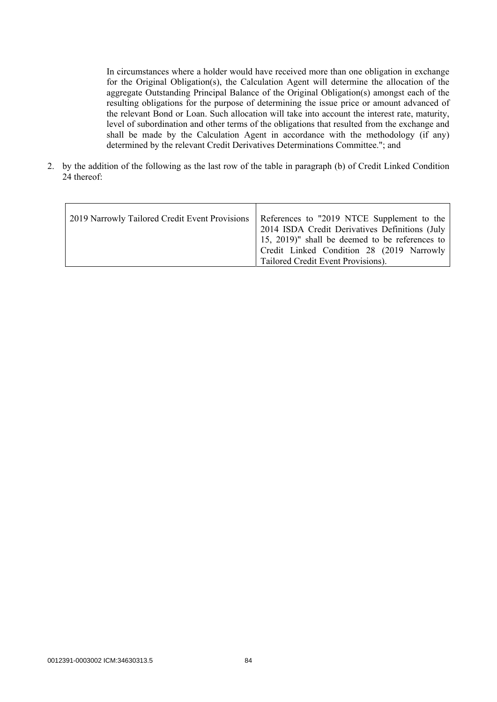In circumstances where a holder would have received more than one obligation in exchange for the Original Obligation(s), the Calculation Agent will determine the allocation of the aggregate Outstanding Principal Balance of the Original Obligation(s) amongst each of the resulting obligations for the purpose of determining the issue price or amount advanced of the relevant Bond or Loan. Such allocation will take into account the interest rate, maturity, level of subordination and other terms of the obligations that resulted from the exchange and shall be made by the Calculation Agent in accordance with the methodology (if any) determined by the relevant Credit Derivatives Determinations Committee."; and

2. by the addition of the following as the last row of the table in paragraph (b) of Credit Linked Condition 24 thereof: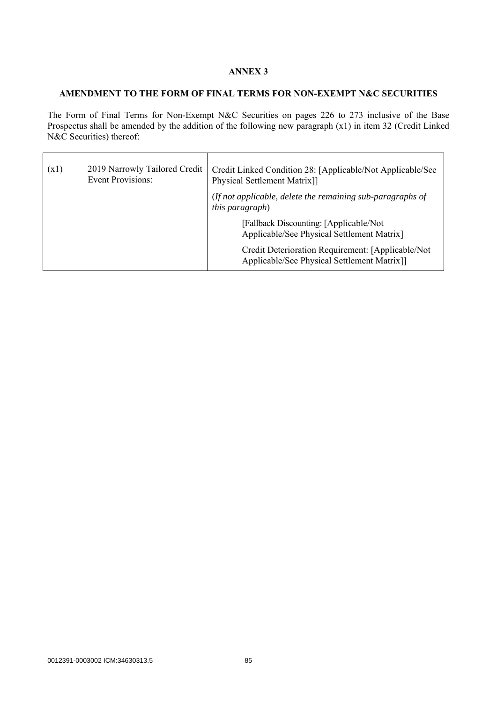## **AMENDMENT TO THE FORM OF FINAL TERMS FOR NON-EXEMPT N&C SECURITIES**

The Form of Final Terms for Non-Exempt N&C Securities on pages 226 to 273 inclusive of the Base Prospectus shall be amended by the addition of the following new paragraph (x1) in item 32 (Credit Linked N&C Securities) thereof:

| (x1) | 2019 Narrowly Tailored Credit<br><b>Event Provisions:</b> | Credit Linked Condition 28: [Applicable/Not Applicable/See<br>Physical Settlement Matrix]]        |
|------|-----------------------------------------------------------|---------------------------------------------------------------------------------------------------|
|      |                                                           | (If not applicable, delete the remaining sub-paragraphs of<br><i>this paragraph</i> )             |
|      |                                                           | [Fallback Discounting: [Applicable/Not]<br>Applicable/See Physical Settlement Matrix]             |
|      |                                                           | Credit Deterioration Requirement: [Applicable/Not]<br>Applicable/See Physical Settlement Matrix]] |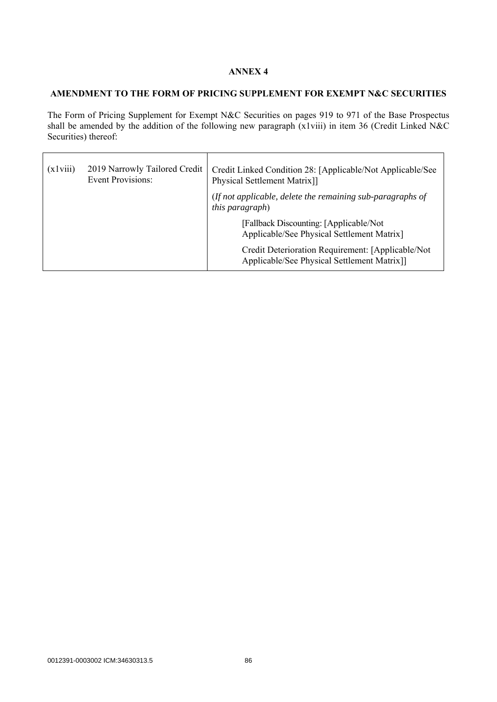## **AMENDMENT TO THE FORM OF PRICING SUPPLEMENT FOR EXEMPT N&C SECURITIES**

The Form of Pricing Supplement for Exempt N&C Securities on pages 919 to 971 of the Base Prospectus shall be amended by the addition of the following new paragraph (x1viii) in item 36 (Credit Linked N&C Securities) thereof:

| (x1viii) | 2019 Narrowly Tailored Credit<br><b>Event Provisions:</b> | Credit Linked Condition 28: [Applicable/Not Applicable/See<br>Physical Settlement Matrix]]       |
|----------|-----------------------------------------------------------|--------------------------------------------------------------------------------------------------|
|          |                                                           | (If not applicable, delete the remaining sub-paragraphs of<br><i>this paragraph</i> )            |
|          |                                                           | [Fallback Discounting: [Applicable/Not<br>Applicable/See Physical Settlement Matrix]             |
|          |                                                           | Credit Deterioration Requirement: [Applicable/Not<br>Applicable/See Physical Settlement Matrix]] |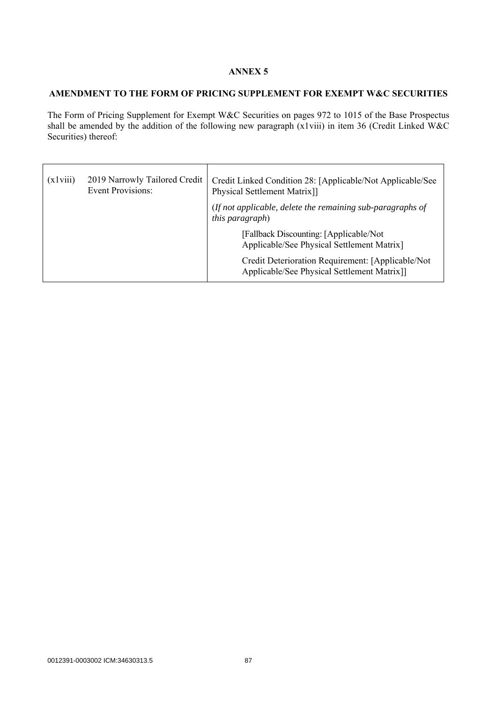### **AMENDMENT TO THE FORM OF PRICING SUPPLEMENT FOR EXEMPT W&C SECURITIES**

The Form of Pricing Supplement for Exempt W&C Securities on pages 972 to 1015 of the Base Prospectus shall be amended by the addition of the following new paragraph (x1viii) in item 36 (Credit Linked W&C Securities) thereof:

| (x1viii) | 2019 Narrowly Tailored Credit<br><b>Event Provisions:</b> | Credit Linked Condition 28: [Applicable/Not Applicable/See<br>Physical Settlement Matrix]]        |
|----------|-----------------------------------------------------------|---------------------------------------------------------------------------------------------------|
|          |                                                           | (If not applicable, delete the remaining sub-paragraphs of<br><i>this paragraph</i> )             |
|          |                                                           | [Fallback Discounting: [Applicable/Not]<br>Applicable/See Physical Settlement Matrix]             |
|          |                                                           | Credit Deterioration Requirement: [Applicable/Not]<br>Applicable/See Physical Settlement Matrix]] |